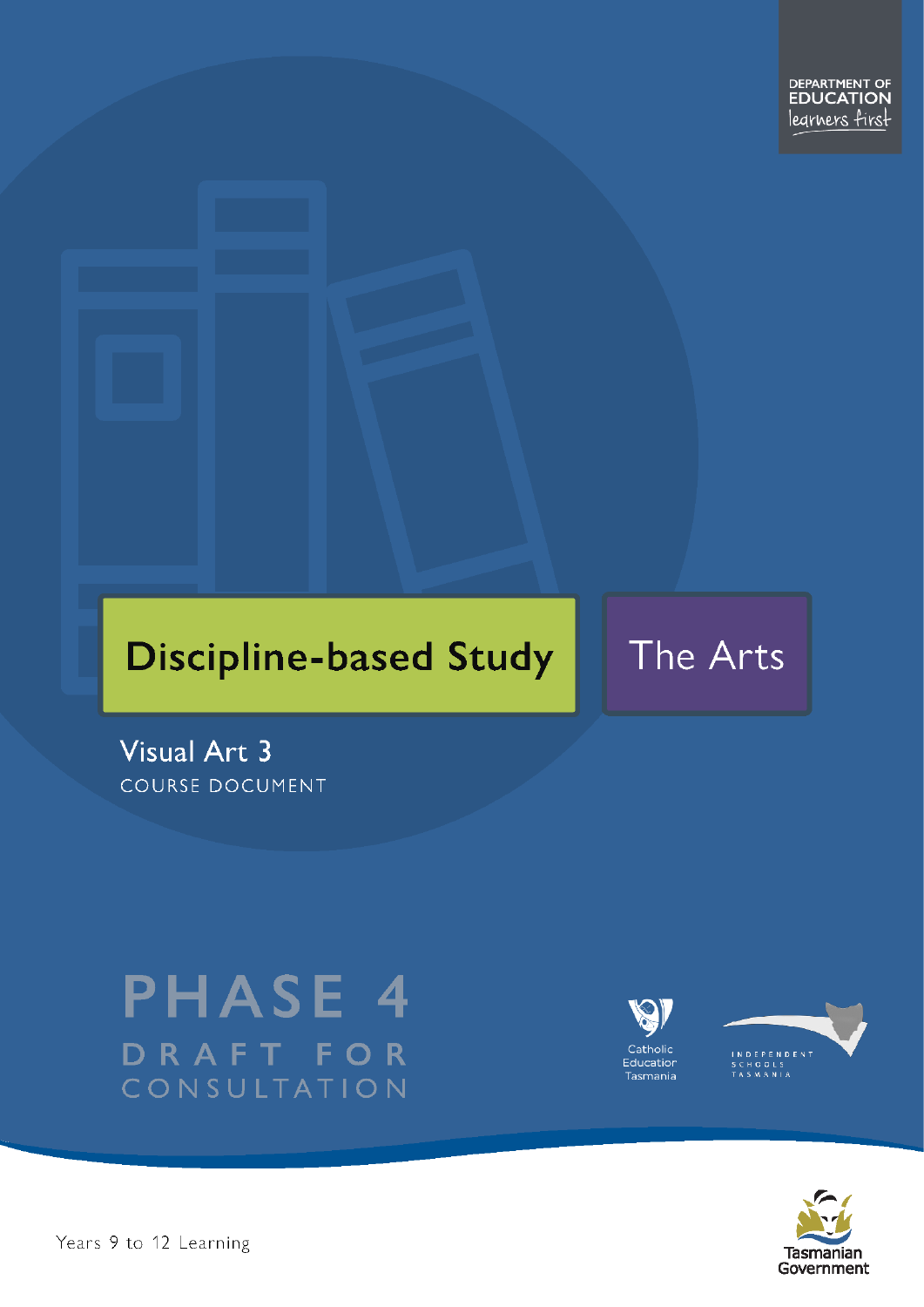# **Discipline-based Study**

# The Arts

Visual Art 3 COURSE DOCUMENT

# **PHASE 4** DRAFT FOR CONSULTATION





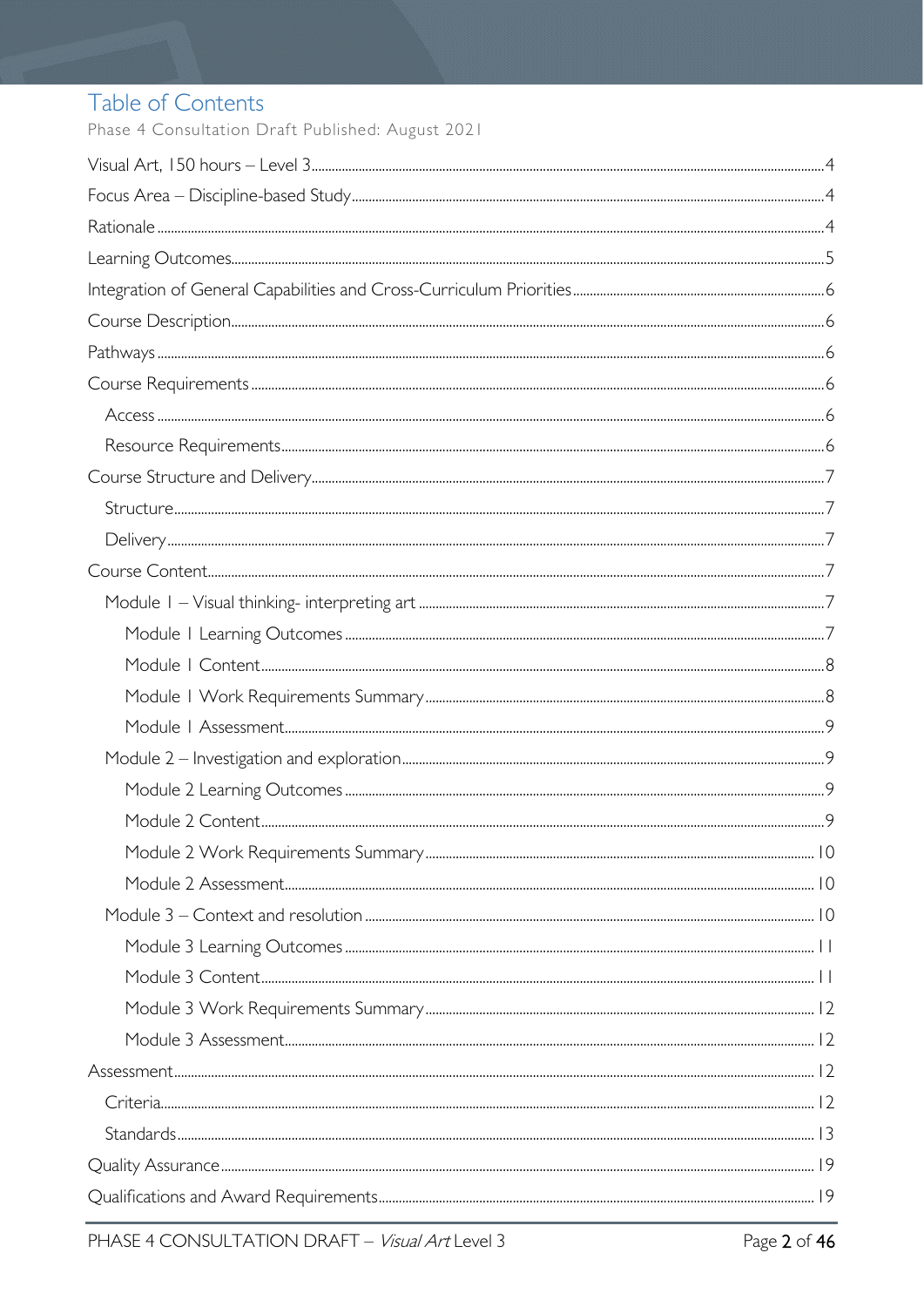# Table of Contents

Phase 4 Consultation Draft Published: August 2021

| $Stand arcs. 13$ |  |
|------------------|--|
|                  |  |
|                  |  |
|                  |  |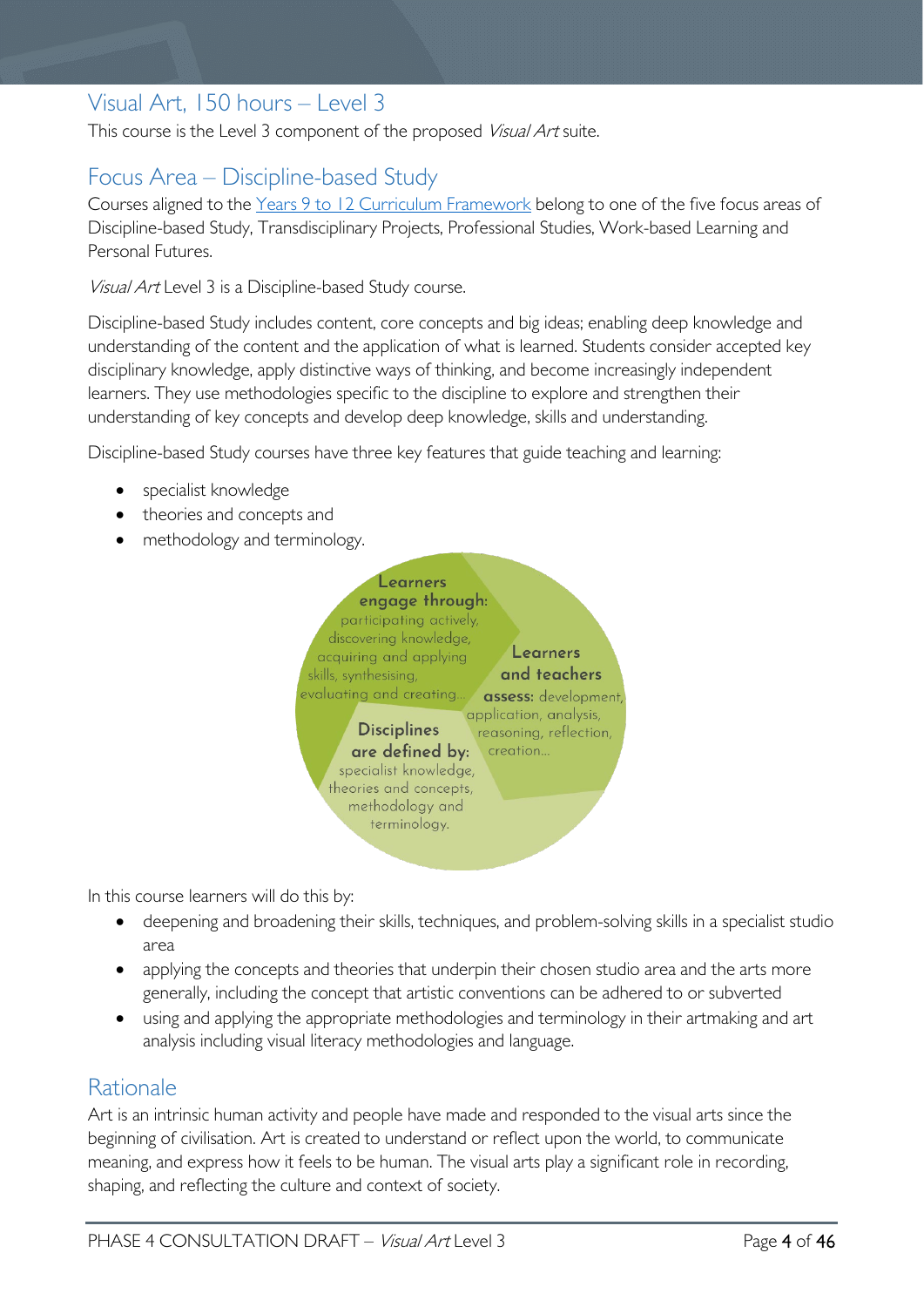# <span id="page-3-0"></span>Visual Art, 150 hours – Level 3

This course is the Level 3 component of the proposed Visual Art suite.

# <span id="page-3-1"></span>Focus Area – Discipline-based Study

Courses aligned to the Years 9 to 12 Curriculum [Framework](https://publicdocumentcentre.education.tas.gov.au/library/Shared%20Documents/Education%209-12%20Frameworks%20A3%20WEB%20POSTER.pdf) belong to one of the five focus areas of Discipline-based Study, Transdisciplinary Projects, Professional Studies, Work-based Learning and Personal Futures.

Visual Art Level 3 is a Discipline-based Study course.

Discipline-based Study includes content, core concepts and big ideas; enabling deep knowledge and understanding of the content and the application of what is learned. Students consider accepted key disciplinary knowledge, apply distinctive ways of thinking, and become increasingly independent learners. They use methodologies specific to the discipline to explore and strengthen their understanding of key concepts and develop deep knowledge, skills and understanding.

Discipline-based Study courses have three key features that guide teaching and learning:

- specialist knowledge
- theories and concepts and
- methodology and terminology.



In this course learners will do this by:

- deepening and broadening their skills, techniques, and problem-solving skills in a specialist studio area
- applying the concepts and theories that underpin their chosen studio area and the arts more generally, including the concept that artistic conventions can be adhered to or subverted
- using and applying the appropriate methodologies and terminology in their artmaking and art analysis including visual literacy methodologies and language.

## <span id="page-3-2"></span>Rationale

Art is an intrinsic human activity and people have made and responded to the visual arts since the beginning of civilisation. Art is created to understand or reflect upon the world, to communicate meaning, and express how it feels to be human. The visual arts play a significant role in recording, shaping, and reflecting the culture and context of society.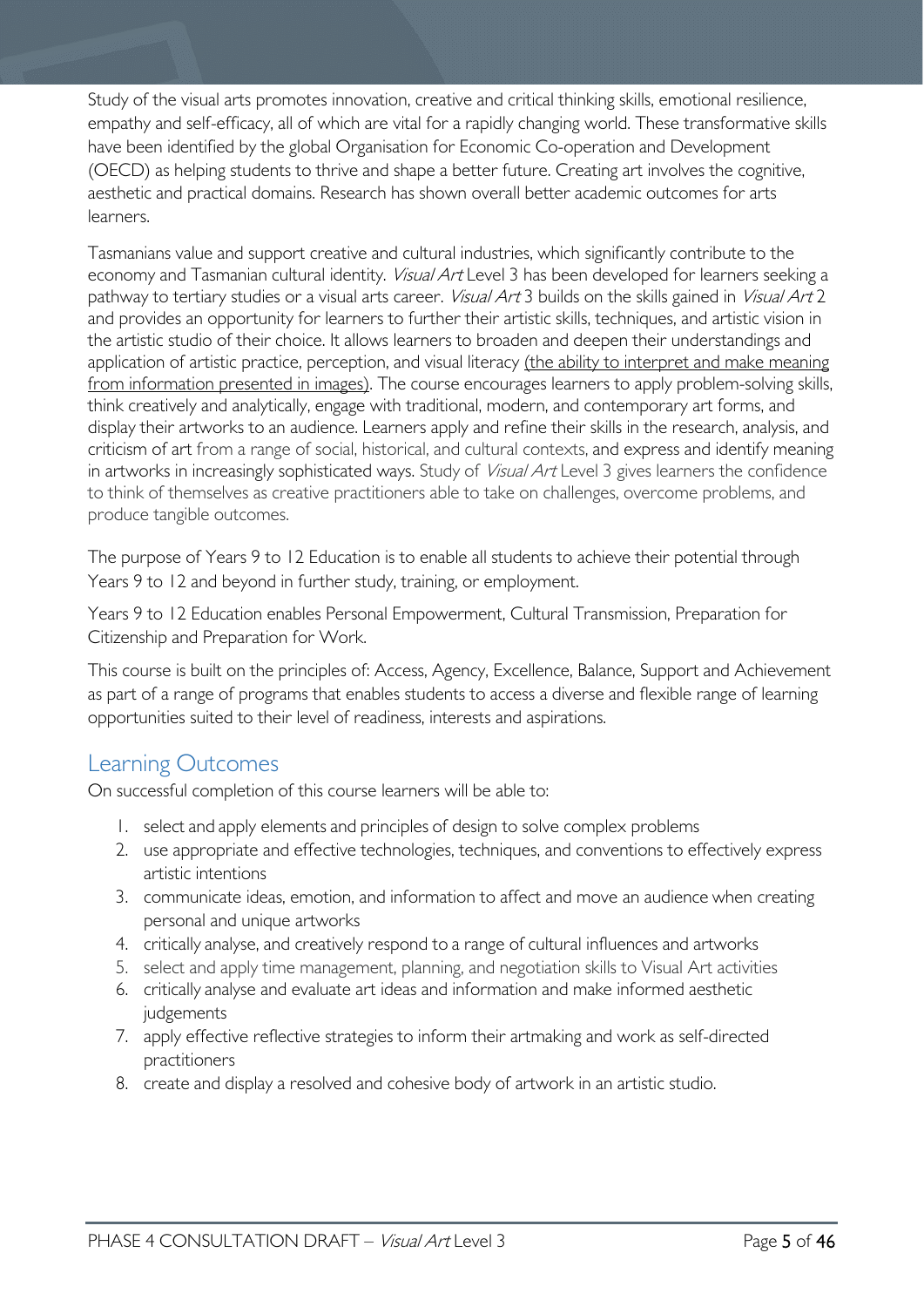Study of the visual arts promotes innovation, creative and critical thinking skills, emotional resilience, empathy and self-efficacy, all of which are vital for a rapidly changing world. These transformative skills have been identified by the global Organisation for Economic Co-operation and Development (OECD) as helping students to thrive and shape a better future. Creating art involves the cognitive, aesthetic and practical domains. Research has shown overall better academic outcomes for arts learners.

Tasmanians value and support creative and cultural industries, which significantly contribute to the economy and Tasmanian cultural identity. Visual Art Level 3 has been developed for learners seeking a pathway to tertiary studies or a visual arts career. *Visual Art* 3 builds on the skills gained in Visual Art 2 and provides an opportunity for learners to further their artistic skills, techniques, and artistic vision in the artistic studio of their choice. It allows learners to broaden and deepen their understandings and application of artistic practice, perception, and visual literacy (the ability to interpret and make meaning from information presented in images). The course encourages learners to apply problem-solving skills, think creatively and analytically, engage with traditional, modern, and contemporary art forms, and display their artworks to an audience. Learners apply and refine their skills in the research, analysis, and criticism of art from a range of social, historical, and cultural contexts, and express and identify meaning in artworks in increasingly sophisticated ways. Study of *Visual Art* Level 3 gives learners the confidence to think of themselves as creative practitioners able to take on challenges, overcome problems, and produce tangible outcomes.

The purpose of Years 9 to 12 Education is to enable all students to achieve their potential through Years 9 to 12 and beyond in further study, training, or employment.

Years 9 to 12 Education enables Personal Empowerment, Cultural Transmission, Preparation for Citizenship and Preparation for Work.

This course is built on the principles of: Access, Agency, Excellence, Balance, Support and Achievement as part of a range of programs that enables students to access a diverse and flexible range of learning opportunities suited to their level of readiness, interests and aspirations.

# <span id="page-4-0"></span>Learning Outcomes

On successful completion of this course learners will be able to:

- 1. select and apply elements and principles of design to solve complex problems
- 2. use appropriate and effective technologies, techniques, and conventions to effectively express artistic intentions
- 3. communicate ideas, emotion, and information to affect and move an audience when creating personal and unique artworks
- 4. critically analyse, and creatively respond to a range of cultural influences and artworks
- 5. select and apply time management, planning, and negotiation skills to Visual Art activities
- 6. critically analyse and evaluate art ideas and information and make informed aesthetic judgements
- 7. apply effective reflective strategies to inform their artmaking and work as self-directed practitioners
- 8. create and display a resolved and cohesive body of artwork in an artistic studio.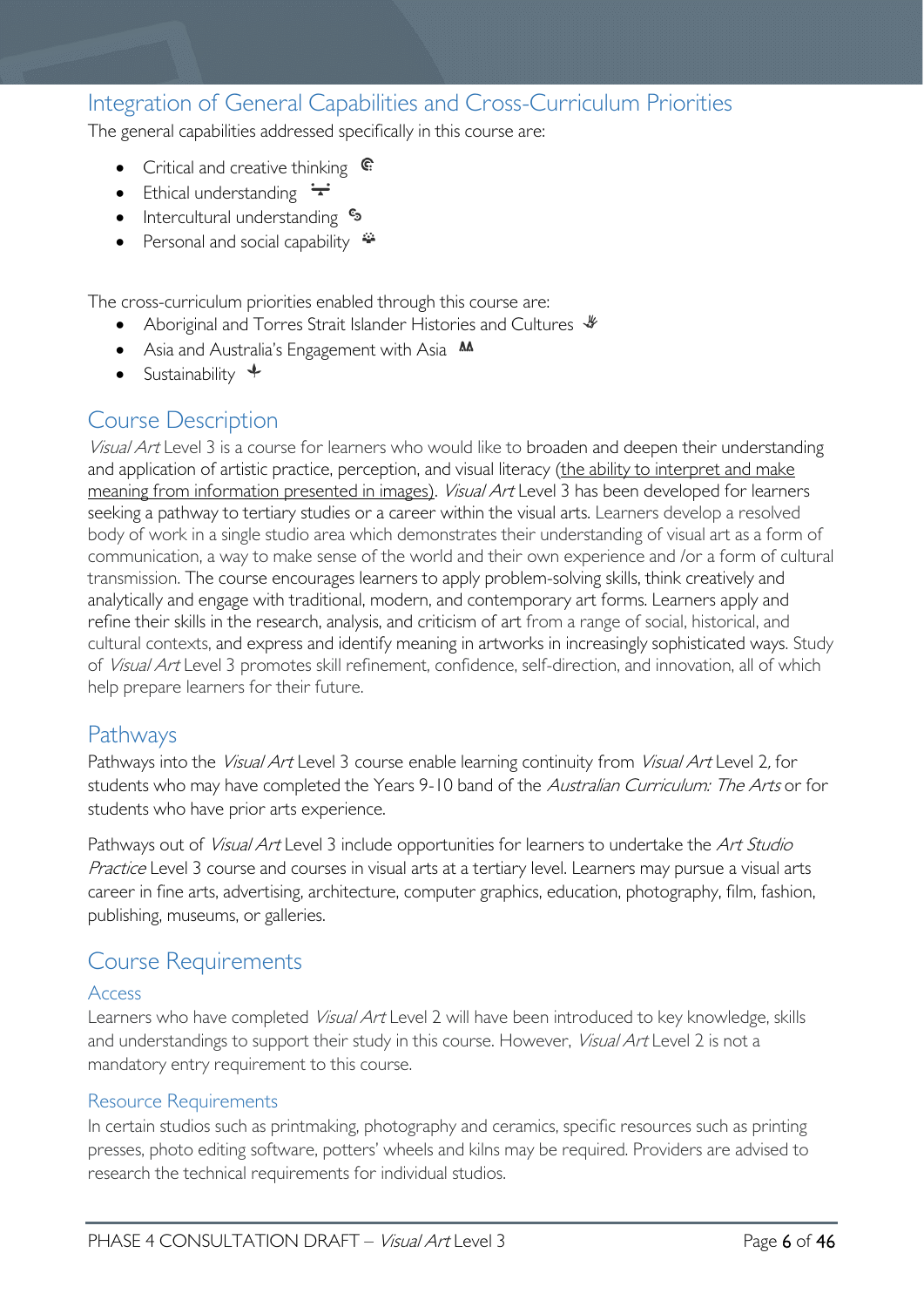# <span id="page-5-0"></span>Integration of General Capabilities and Cross-Curriculum Priorities

The general capabilities addressed specifically in this course are:

- Critical and creative thinking  $\epsilon$
- Ethical understanding  $\div$
- Intercultural understanding  $\frac{c_3}{ }$
- Personal and social capability  $\ddot{\bullet}$

The cross-curriculum priorities enabled through this course are:

- Aboriginal and Torres Strait Islander Histories and Cultures  $\mathcal$
- Asia and Australia's Engagement with Asia **M**
- Sustainability  $\triangleleft$

# <span id="page-5-1"></span>Course Description

Visual Art Level 3 is a course for learners who would like to broaden and deepen their understanding and application of artistic practice, perception, and visual literacy (the ability to interpret and make meaning from information presented in images). *Visual Art* Level 3 has been developed for learners seeking a pathway to tertiary studies or a career within the visual arts. Learners develop a resolved body of work in a single studio area which demonstrates their understanding of visual art as a form of communication, a way to make sense of the world and their own experience and /or a form of cultural transmission. The course encourages learners to apply problem-solving skills, think creatively and analytically and engage with traditional, modern, and contemporary art forms. Learners apply and refine their skills in the research, analysis, and criticism of art from a range of social, historical, and cultural contexts, and express and identify meaning in artworks in increasingly sophisticated ways. Study of Visual Art Level 3 promotes skill refinement, confidence, self-direction, and innovation, all of which help prepare learners for their future.

# <span id="page-5-2"></span>Pathways

Pathways into the Visual Art Level 3 course enable learning continuity from Visual Art Level 2, for students who may have completed the Years 9-10 band of the Australian Curriculum: The Arts or for students who have prior arts experience.

Pathways out of *Visual Art* Level 3 include opportunities for learners to undertake the *Art Studio* Practice Level 3 course and courses in visual arts at a tertiary level. Learners may pursue a visual arts career in fine arts, advertising, architecture, computer graphics, education, photography, film, fashion, publishing, museums, or galleries.

# <span id="page-5-3"></span>Course Requirements

#### <span id="page-5-4"></span>Access

Learners who have completed Visual Art Level 2 will have been introduced to key knowledge, skills and understandings to support their study in this course. However, *Visual Art* Level 2 is not a mandatory entry requirement to this course.

#### <span id="page-5-5"></span>Resource Requirements

In certain studios such as printmaking, photography and ceramics, specific resources such as printing presses, photo editing software, potters' wheels and kilns may be required. Providers are advised to research the technical requirements for individual studios.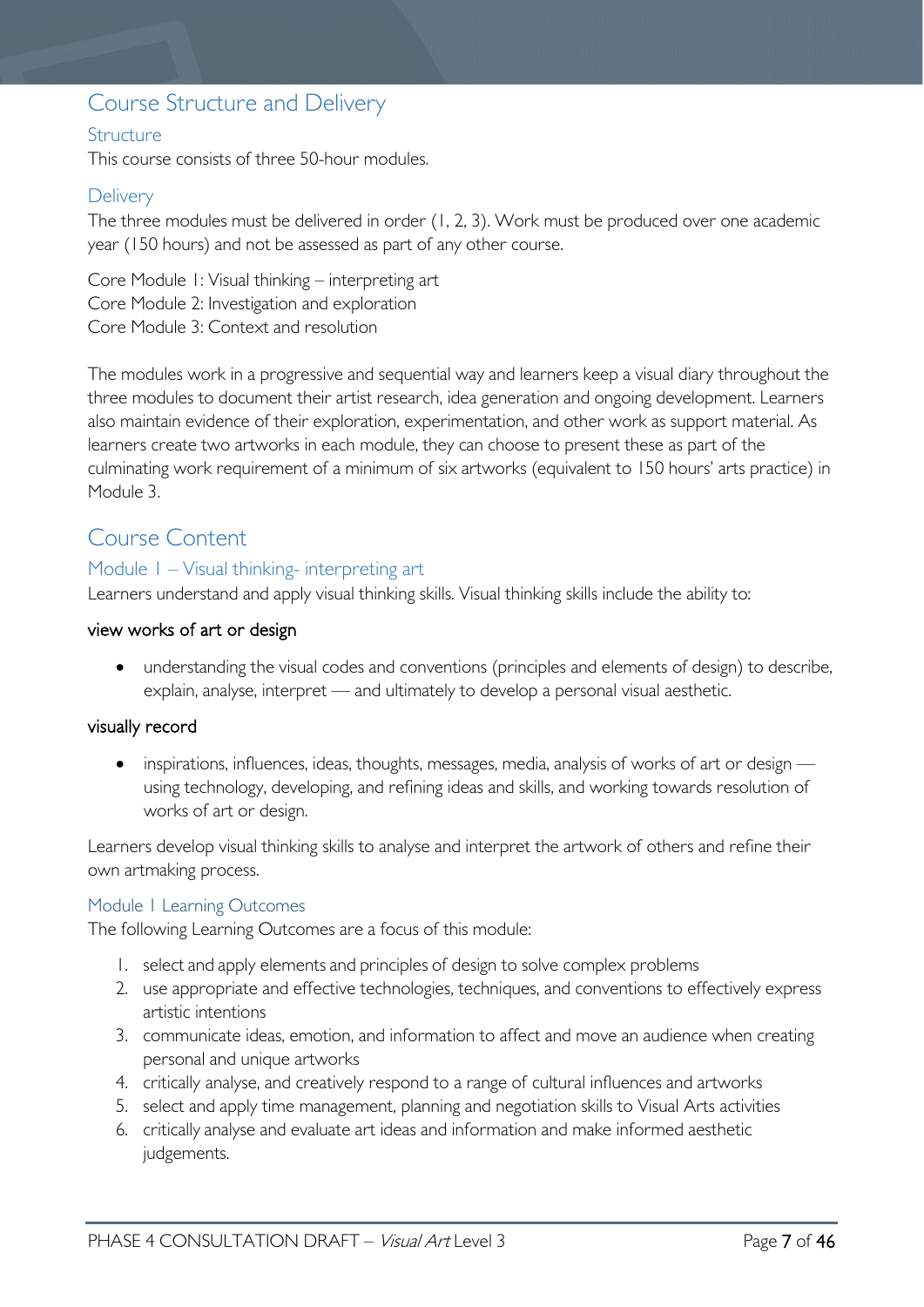# <span id="page-6-0"></span>Course Structure and Delivery

### <span id="page-6-1"></span>**Structure**

This course consists of three 50-hour modules.

### <span id="page-6-2"></span>**Delivery**

The three modules must be delivered in order (1, 2, 3). Work must be produced over one academic year (150 hours) and not be assessed as part of any other course.

Core Module 1: Visual thinking – interpreting art Core Module 2: Investigation and exploration Core Module 3: Context and resolution

The modules work in a progressive and sequential way and learners keep a visual diary throughout the three modules to document their artist research, idea generation and ongoing development. Learners also maintain evidence of their exploration, experimentation, and other work as support material. As learners create two artworks in each module, they can choose to present these as part of the culminating work requirement of a minimum of six artworks (equivalent to 150 hours' arts practice) in Module 3.

# <span id="page-6-3"></span>Course Content

#### <span id="page-6-4"></span>Module 1 – Visual thinking- interpreting art

Learners understand and apply visual thinking skills. Visual thinking skills include the ability to:

#### view works of art or design

• understanding the visual codes and conventions (principles and elements of design) to describe, explain, analyse, interpret — and ultimately to develop a personal visual aesthetic.

#### visually record

• inspirations, influences, ideas, thoughts, messages, media, analysis of works of art or design using technology, developing, and refining ideas and skills, and working towards resolution of works of art or design.

Learners develop visual thinking skills to analyse and interpret the artwork of others and refine their own artmaking process.

#### <span id="page-6-5"></span>Module 1 Learning Outcomes

The following Learning Outcomes are a focus of this module:

- 1. select and apply elements and principles of design to solve complex problems
- 2. use appropriate and effective technologies, techniques, and conventions to effectively express artistic intentions
- 3. communicate ideas, emotion, and information to affect and move an audience when creating personal and unique artworks
- 4. critically analyse, and creatively respond to a range of cultural influences and artworks
- 5. select and apply time management, planning and negotiation skills to Visual Arts activities
- 6. critically analyse and evaluate art ideas and information and make informed aesthetic judgements.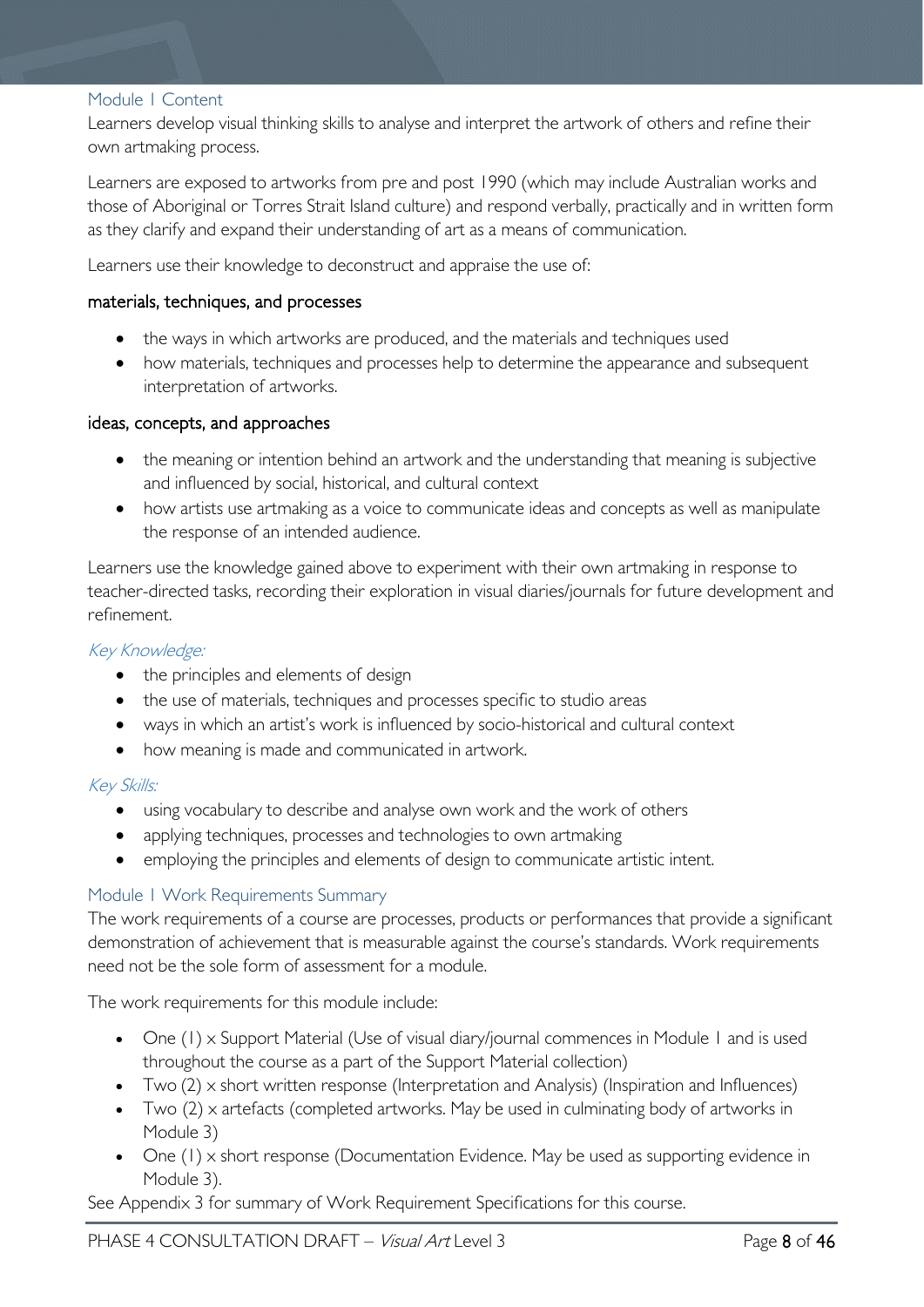#### <span id="page-7-0"></span>Module 1 Content

Learners develop visual thinking skills to analyse and interpret the artwork of others and refine their own artmaking process.

Learners are exposed to artworks from pre and post 1990 (which may include Australian works and those of Aboriginal or Torres Strait Island culture) and respond verbally, practically and in written form as they clarify and expand their understanding of art as a means of communication.

Learners use their knowledge to deconstruct and appraise the use of:

#### materials, techniques, and processes

- the ways in which artworks are produced, and the materials and techniques used
- how materials, techniques and processes help to determine the appearance and subsequent interpretation of artworks.

#### ideas, concepts, and approaches

- the meaning or intention behind an artwork and the understanding that meaning is subjective and influenced by social, historical, and cultural context
- how artists use artmaking as a voice to communicate ideas and concepts as well as manipulate the response of an intended audience.

Learners use the knowledge gained above to experiment with their own artmaking in response to teacher-directed tasks, recording their exploration in visual diaries/journals for future development and refinement.

#### Key Knowledge:

- the principles and elements of design
- the use of materials, techniques and processes specific to studio areas
- ways in which an artist's work is influenced by socio-historical and cultural context
- how meaning is made and communicated in artwork.

#### Key Skills:

- using vocabulary to describe and analyse own work and the work of others
- applying techniques, processes and technologies to own artmaking
- employing the principles and elements of design to communicate artistic intent.

#### <span id="page-7-1"></span>Module 1 Work Requirements Summary

The work requirements of a course are processes, products or performances that provide a significant demonstration of achievement that is measurable against the course's standards. Work requirements need not be the sole form of assessment for a module.

The work requirements for this module include:

- One (1) x Support Material (Use of visual diary/journal commences in Module 1 and is used throughout the course as a part of the Support Material collection)
- Two  $(2)$  x short written response (Interpretation and Analysis) (Inspiration and Influences)
- Two (2) x artefacts (completed artworks. May be used in culminating body of artworks in Module 3)
- One (1) x short response (Documentation Evidence. May be used as supporting evidence in Module 3).

See Appendix 3 for summary of Work Requirement Specifications for this course.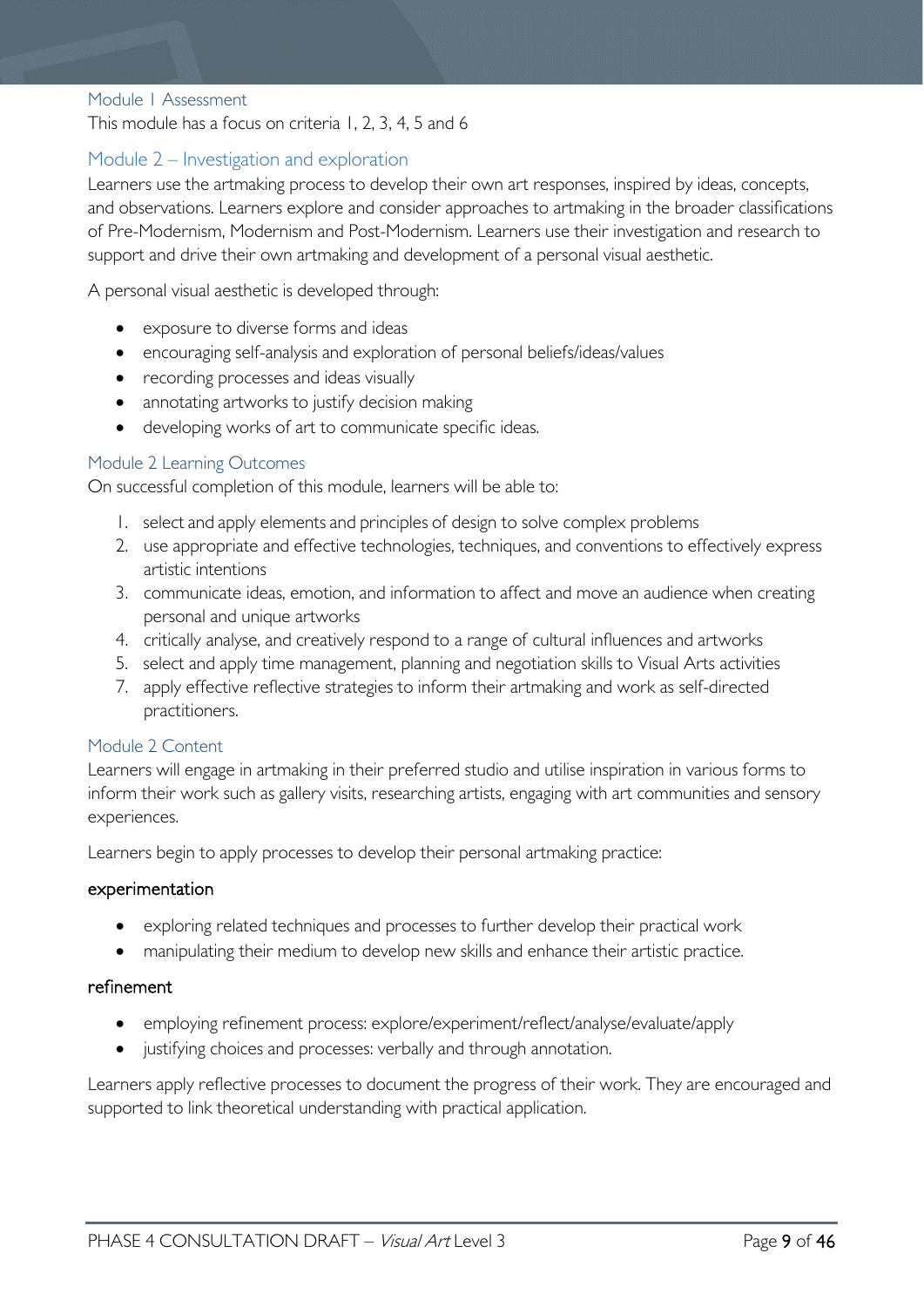#### <span id="page-8-0"></span>Module 1 Assessment

This module has a focus on criteria 1, 2, 3, 4, 5 and 6

### <span id="page-8-1"></span>Module 2 – Investigation and exploration

Learners use the artmaking process to develop their own art responses, inspired by ideas, concepts, and observations. Learners explore and consider approaches to artmaking in the broader classifications of Pre-Modernism, Modernism and Post-Modernism. Learners use their investigation and research to support and drive their own artmaking and development of a personal visual aesthetic.

A personal visual aesthetic is developed through:

- exposure to diverse forms and ideas
- encouraging self-analysis and exploration of personal beliefs/ideas/values
- recording processes and ideas visually
- annotating artworks to justify decision making
- developing works of art to communicate specific ideas.

#### <span id="page-8-2"></span>Module 2 Learning Outcomes

On successful completion of this module, learners will be able to:

- 1. select and apply elements and principles of design to solve complex problems
- 2. use appropriate and effective technologies, techniques, and conventions to effectively express artistic intentions
- 3. communicate ideas, emotion, and information to affect and move an audience when creating personal and unique artworks
- 4. critically analyse, and creatively respond to a range of cultural influences and artworks
- 5. select and apply time management, planning and negotiation skills to Visual Arts activities
- 7. apply effective reflective strategies to inform their artmaking and work as self-directed practitioners.

#### <span id="page-8-3"></span>Module 2 Content

Learners will engage in artmaking in their preferred studio and utilise inspiration in various forms to inform their work such as gallery visits, researching artists, engaging with art communities and sensory experiences.

Learners begin to apply processes to develop their personal artmaking practice:

#### experimentation

- exploring related techniques and processes to further develop their practical work
- manipulating their medium to develop new skills and enhance their artistic practice.

#### refinement

- employing refinement process: explore/experiment/reflect/analyse/evaluate/apply
- justifying choices and processes: verbally and through annotation.

Learners apply reflective processes to document the progress of their work. They are encouraged and supported to link theoretical understanding with practical application.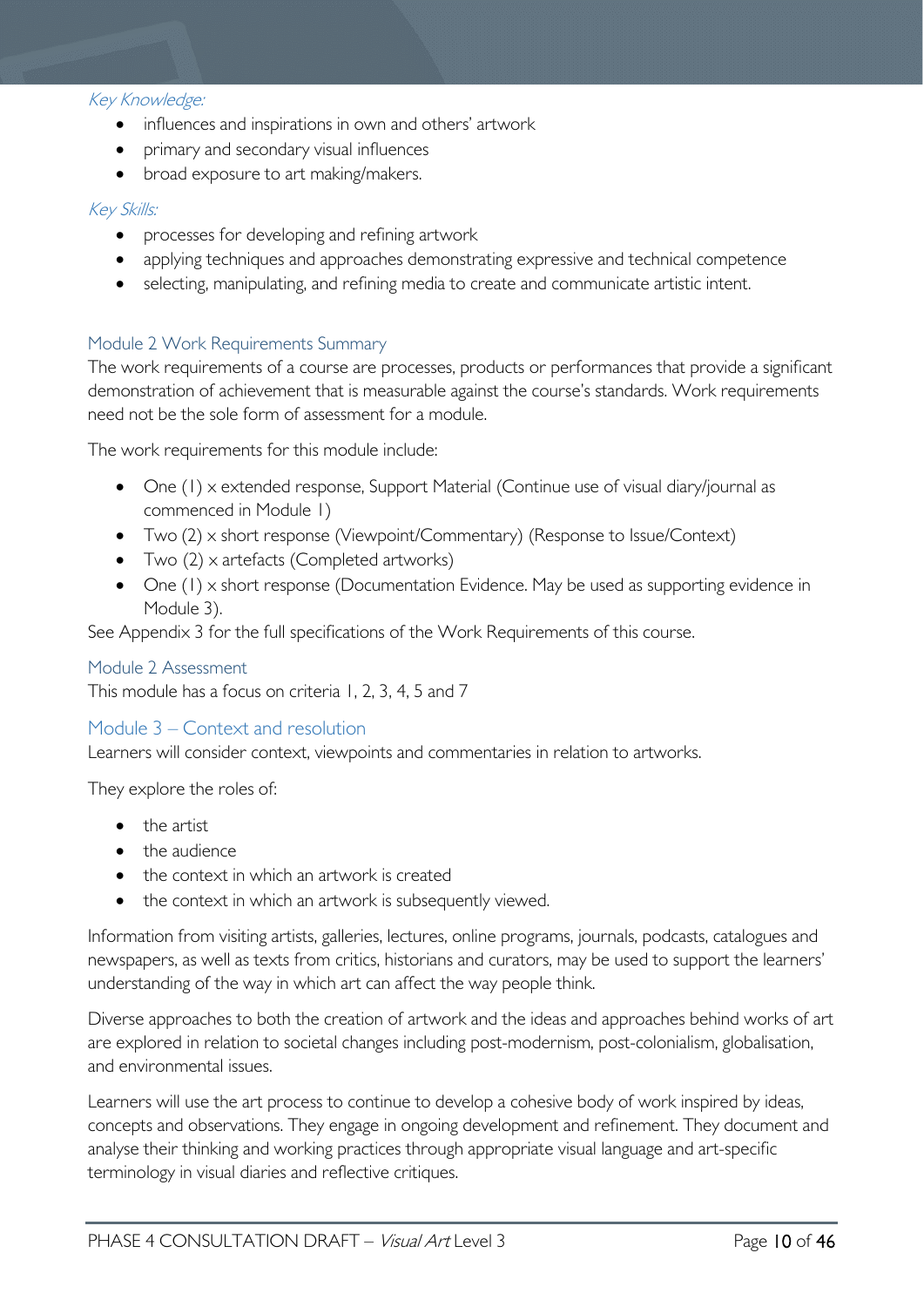#### Key Knowledge:

- influences and inspirations in own and others' artwork
- primary and secondary visual influences
- broad exposure to art making/makers.

#### Key Skills:

- processes for developing and refining artwork
- applying techniques and approaches demonstrating expressive and technical competence
- selecting, manipulating, and refining media to create and communicate artistic intent.

#### <span id="page-9-0"></span>Module 2 Work Requirements Summary

The work requirements of a course are processes, products or performances that provide a significant demonstration of achievement that is measurable against the course's standards. Work requirements need not be the sole form of assessment for a module.

The work requirements for this module include:

- One (1) x extended response, Support Material (Continue use of visual diary/journal as commenced in Module 1)
- Two (2) x short response (Viewpoint/Commentary) (Response to Issue/Context)
- Two (2) x artefacts (Completed artworks)
- One (1) x short response (Documentation Evidence. May be used as supporting evidence in Module 3).

See Appendix 3 for the full specifications of the Work Requirements of this course.

#### <span id="page-9-1"></span>Module 2 Assessment

This module has a focus on criteria 1, 2, 3, 4, 5 and 7

### <span id="page-9-2"></span>Module 3 – Context and resolution

Learners will consider context, viewpoints and commentaries in relation to artworks.

They explore the roles of:

- the artist
- the audience
- the context in which an artwork is created
- the context in which an artwork is subsequently viewed.

Information from visiting artists, galleries, lectures, online programs, journals, podcasts, catalogues and newspapers, as well as texts from critics, historians and curators, may be used to support the learners' understanding of the way in which art can affect the way people think.

Diverse approaches to both the creation of artwork and the ideas and approaches behind works of art are explored in relation to societal changes including post-modernism, post-colonialism, globalisation, and environmental issues.

Learners will use the art process to continue to develop a cohesive body of work inspired by ideas, concepts and observations. They engage in ongoing development and refinement. They document and analyse their thinking and working practices through appropriate visual language and art-specific terminology in visual diaries and reflective critiques.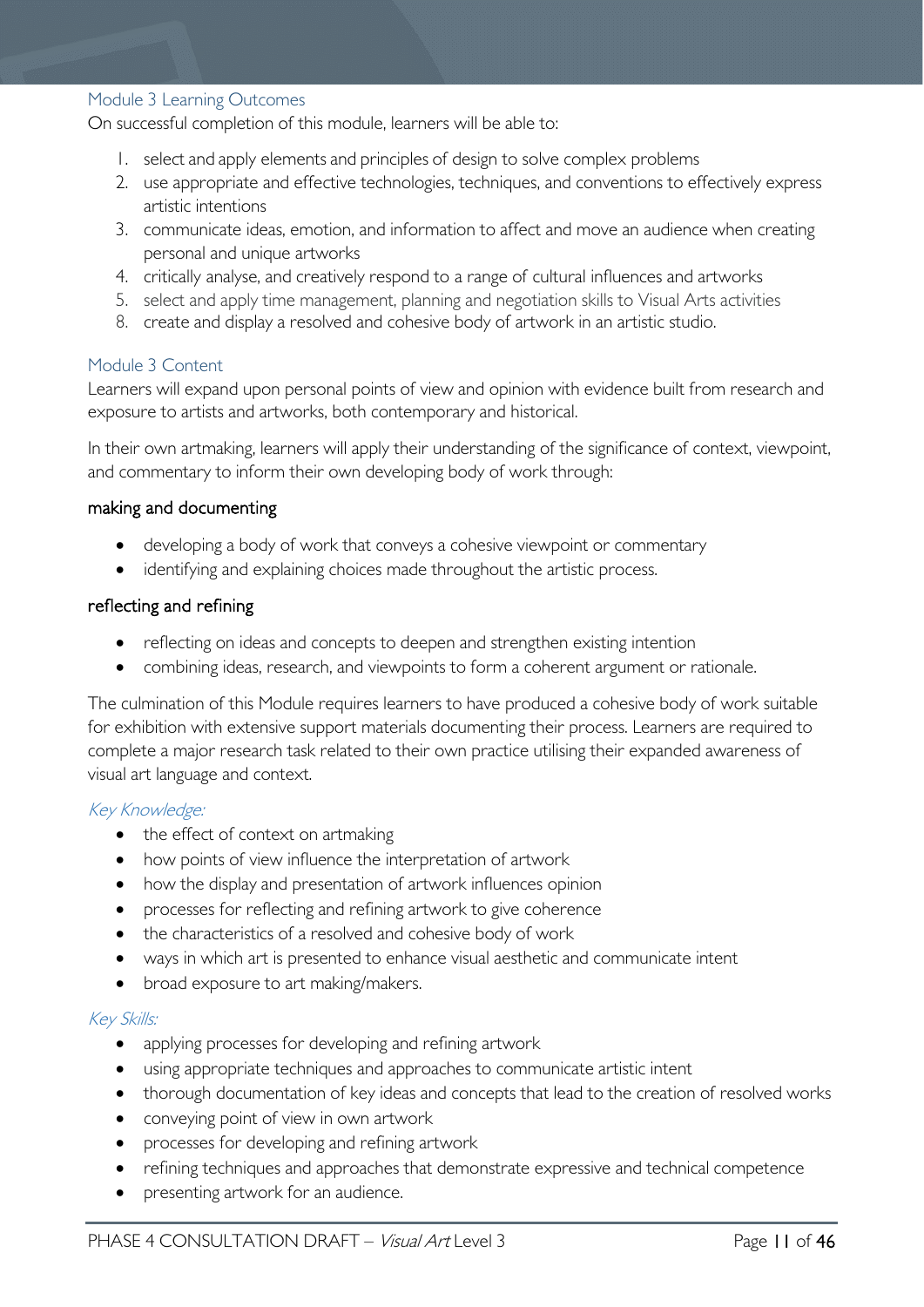#### <span id="page-10-0"></span>Module 3 Learning Outcomes

On successful completion of this module, learners will be able to:

- 1. select and apply elements and principles of design to solve complex problems
- 2. use appropriate and effective technologies, techniques, and conventions to effectively express artistic intentions
- 3. communicate ideas, emotion, and information to affect and move an audience when creating personal and unique artworks
- 4. critically analyse, and creatively respond to a range of cultural influences and artworks
- 5. select and apply time management, planning and negotiation skills to Visual Arts activities
- 8. create and display a resolved and cohesive body of artwork in an artistic studio.

#### <span id="page-10-1"></span>Module 3 Content

Learners will expand upon personal points of view and opinion with evidence built from research and exposure to artists and artworks, both contemporary and historical.

In their own artmaking, learners will apply their understanding of the significance of context, viewpoint, and commentary to inform their own developing body of work through:

#### making and documenting

- developing a body of work that conveys a cohesive viewpoint or commentary
- identifying and explaining choices made throughout the artistic process.

#### reflecting and refining

- reflecting on ideas and concepts to deepen and strengthen existing intention
- combining ideas, research, and viewpoints to form a coherent argument or rationale.

The culmination of this Module requires learners to have produced a cohesive body of work suitable for exhibition with extensive support materials documenting their process. Learners are required to complete a major research task related to their own practice utilising their expanded awareness of visual art language and context.

#### Key Knowledge:

- the effect of context on artmaking
- how points of view influence the interpretation of artwork
- how the display and presentation of artwork influences opinion
- processes for reflecting and refining artwork to give coherence
- the characteristics of a resolved and cohesive body of work
- ways in which art is presented to enhance visual aesthetic and communicate intent
- broad exposure to art making/makers.

#### Key Skills:

- applying processes for developing and refining artwork
- using appropriate techniques and approaches to communicate artistic intent
- thorough documentation of key ideas and concepts that lead to the creation of resolved works
- conveying point of view in own artwork
- processes for developing and refining artwork
- refining techniques and approaches that demonstrate expressive and technical competence
- presenting artwork for an audience.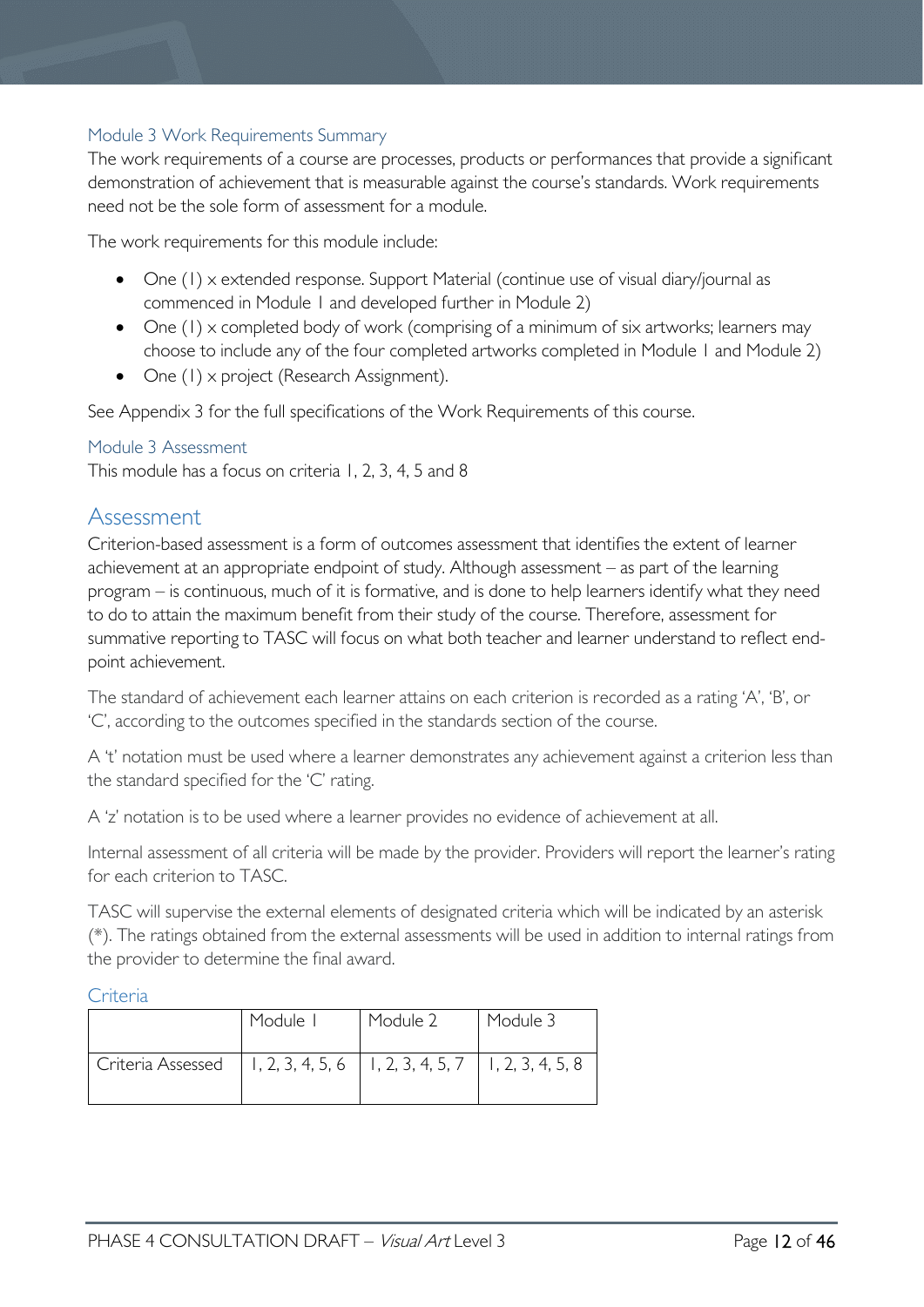### <span id="page-11-0"></span>Module 3 Work Requirements Summary

The work requirements of a course are processes, products or performances that provide a significant demonstration of achievement that is measurable against the course's standards. Work requirements need not be the sole form of assessment for a module.

The work requirements for this module include:

- One (1) x extended response. Support Material (continue use of visual diary/journal as commenced in Module 1 and developed further in Module 2)
- One (1) x completed body of work (comprising of a minimum of six artworks; learners may choose to include any of the four completed artworks completed in Module 1 and Module 2)
- One (1) x project (Research Assignment).

See Appendix 3 for the full specifications of the Work Requirements of this course.

#### <span id="page-11-1"></span>Module 3 Assessment

This module has a focus on criteria 1, 2, 3, 4, 5 and 8

### <span id="page-11-2"></span>Assessment

Criterion-based assessment is a form of outcomes assessment that identifies the extent of learner achievement at an appropriate endpoint of study. Although assessment – as part of the learning program – is continuous, much of it is formative, and is done to help learners identify what they need to do to attain the maximum benefit from their study of the course. Therefore, assessment for summative reporting to TASC will focus on what both teacher and learner understand to reflect endpoint achievement.

The standard of achievement each learner attains on each criterion is recorded as a rating 'A', 'B', or 'C', according to the outcomes specified in the standards section of the course.

A 't' notation must be used where a learner demonstrates any achievement against a criterion less than the standard specified for the 'C' rating.

A 'z' notation is to be used where a learner provides no evidence of achievement at all.

Internal assessment of all criteria will be made by the provider. Providers will report the learner's rating for each criterion to TASC.

TASC will supervise the external elements of designated criteria which will be indicated by an asterisk (\*). The ratings obtained from the external assessments will be used in addition to internal ratings from the provider to determine the final award.

#### <span id="page-11-3"></span>Criteria

|                                                                            | Module I | Module 2 | Module 3 |
|----------------------------------------------------------------------------|----------|----------|----------|
| Criteria Assessed   1, 2, 3, 4, 5, 6   1, 2, 3, 4, 5, 7   1, 2, 3, 4, 5, 8 |          |          |          |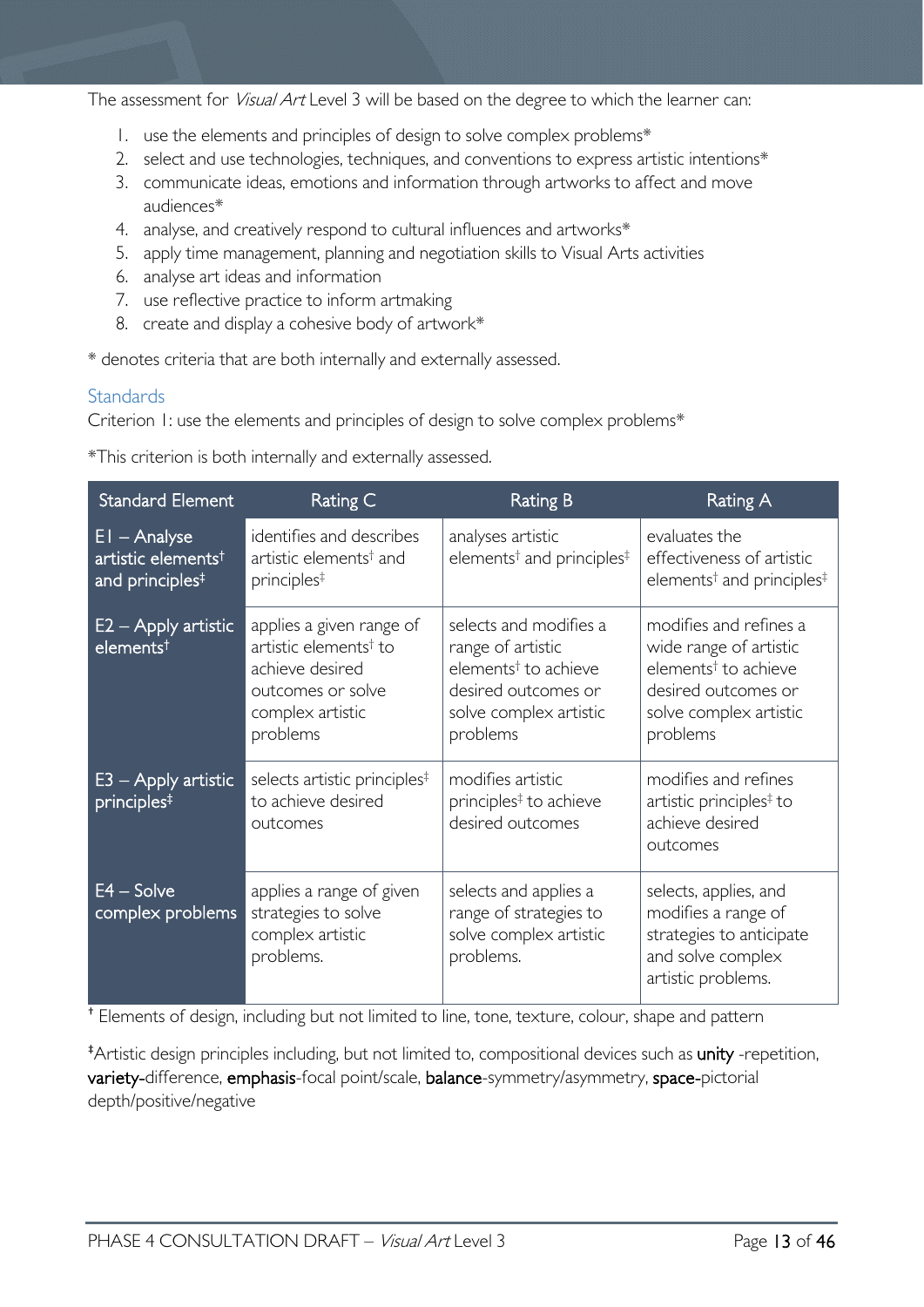The assessment for *Visual Art* Level 3 will be based on the degree to which the learner can:

- 1. use the elements and principles of design to solve complex problems\*
- 2. select and use technologies, techniques, and conventions to express artistic intentions\*
- 3. communicate ideas, emotions and information through artworks to affect and move audiences\*
- 4. analyse, and creatively respond to cultural influences and artworks\*
- 5. apply time management, planning and negotiation skills to Visual Arts activities
- 6. analyse art ideas and information
- 7. use reflective practice to inform artmaking
- 8. create and display a cohesive body of artwork\*

\* denotes criteria that are both internally and externally assessed.

### <span id="page-12-0"></span>**Standards**

Criterion 1: use the elements and principles of design to solve complex problems\*

\*This criterion is both internally and externally assessed.

| <b>Standard Element</b>                                                         | Rating C                                                                                                                              | <b>Rating B</b>                                                                                                                              | <b>Rating A</b>                                                                                                                                   |
|---------------------------------------------------------------------------------|---------------------------------------------------------------------------------------------------------------------------------------|----------------------------------------------------------------------------------------------------------------------------------------------|---------------------------------------------------------------------------------------------------------------------------------------------------|
| $EI - Analyse$<br>artistic elements <sup>†</sup><br>and principles <sup>‡</sup> | identifies and describes<br>artistic elements <sup>†</sup> and<br>principles <sup>‡</sup>                                             | analyses artistic<br>elements <sup>†</sup> and principles <sup>‡</sup>                                                                       | evaluates the<br>effectiveness of artistic<br>elements <sup>†</sup> and principles <sup>‡</sup>                                                   |
| $E2 -$ Apply artistic<br>elementst                                              | applies a given range of<br>artistic elements <sup>†</sup> to<br>achieve desired<br>outcomes or solve<br>complex artistic<br>problems | selects and modifies a<br>range of artistic<br>elements <sup>†</sup> to achieve<br>desired outcomes or<br>solve complex artistic<br>problems | modifies and refines a<br>wide range of artistic<br>elements <sup>†</sup> to achieve<br>desired outcomes or<br>solve complex artistic<br>problems |
| $E3 -$ Apply artistic<br>principles <sup>#</sup>                                | selects artistic principles <sup>‡</sup><br>to achieve desired<br>outcomes                                                            | modifies artistic<br>principles <sup>‡</sup> to achieve<br>desired outcomes                                                                  | modifies and refines<br>artistic principles <sup>‡</sup> to<br>achieve desired<br>outcomes                                                        |
| $E4 - Solve$<br>complex problems                                                | applies a range of given<br>strategies to solve<br>complex artistic<br>problems.                                                      | selects and applies a<br>range of strategies to<br>solve complex artistic<br>problems.                                                       | selects, applies, and<br>modifies a range of<br>strategies to anticipate<br>and solve complex<br>artistic problems.                               |

† Elements of design, including but not limited to line, tone, texture, colour, shape and pattern

\*Artistic design principles including, but not limited to, compositional devices such as unity -repetition, variety-difference, emphasis-focal point/scale, balance-symmetry/asymmetry, space-pictorial depth/positive/negative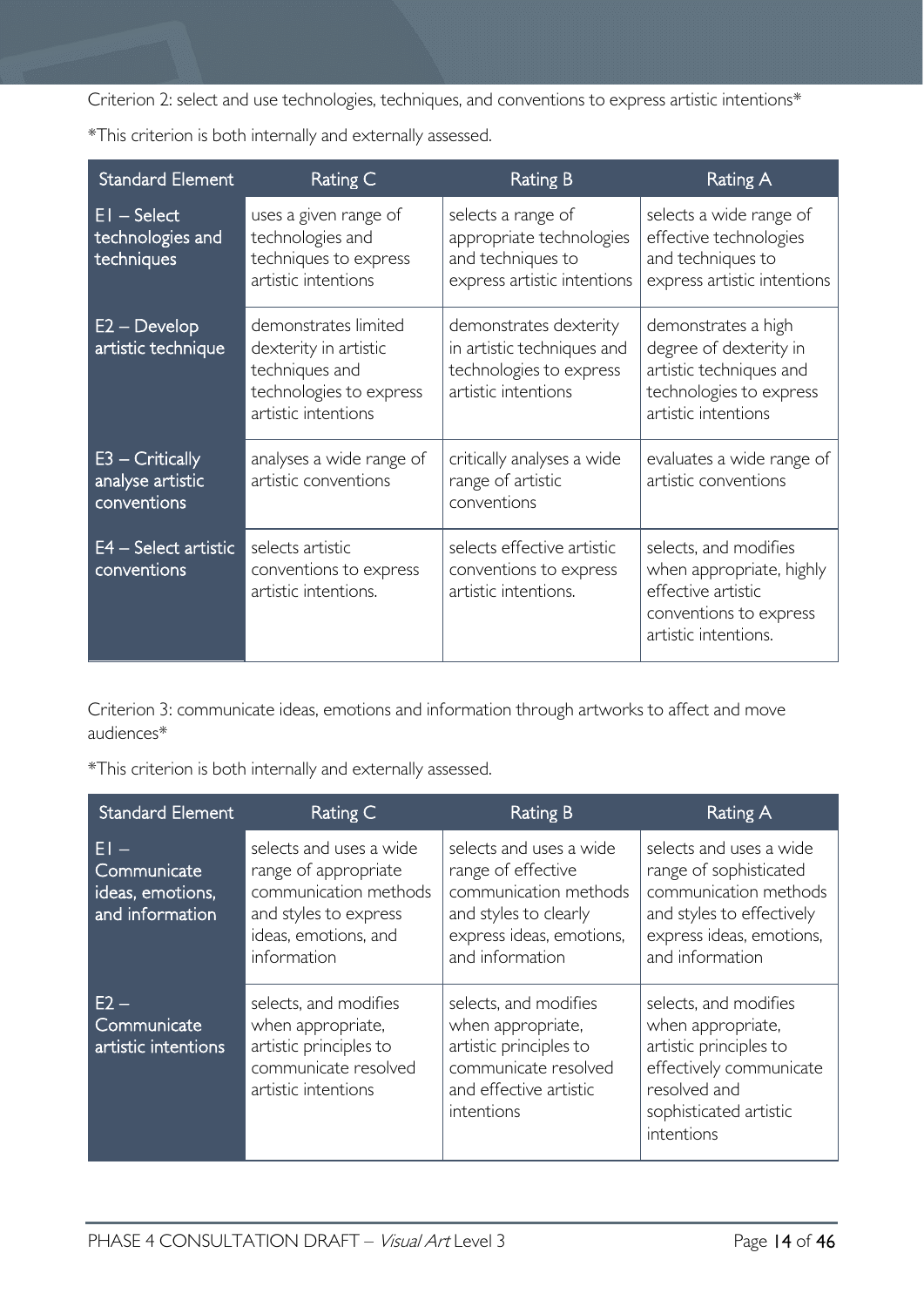Criterion 2: select and use technologies, techniques, and conventions to express artistic intentions\*

\*This criterion is both internally and externally assessed.

| <b>Standard Element</b>                              | Rating C                                                                                                          | <b>Rating B</b>                                                                                        | Rating A                                                                                                                   |
|------------------------------------------------------|-------------------------------------------------------------------------------------------------------------------|--------------------------------------------------------------------------------------------------------|----------------------------------------------------------------------------------------------------------------------------|
| $EI - Select$<br>technologies and<br>techniques      | uses a given range of<br>technologies and<br>techniques to express<br>artistic intentions                         | selects a range of<br>appropriate technologies<br>and techniques to<br>express artistic intentions     | selects a wide range of<br>effective technologies<br>and techniques to<br>express artistic intentions                      |
| $E2 - Develop$<br>artistic technique                 | demonstrates limited<br>dexterity in artistic<br>techniques and<br>technologies to express<br>artistic intentions | demonstrates dexterity<br>in artistic techniques and<br>technologies to express<br>artistic intentions | demonstrates a high<br>degree of dexterity in<br>artistic techniques and<br>technologies to express<br>artistic intentions |
| $E3 - Critically$<br>analyse artistic<br>conventions | analyses a wide range of<br>artistic conventions                                                                  | critically analyses a wide<br>range of artistic<br>conventions                                         | evaluates a wide range of<br>artistic conventions                                                                          |
| $E4 - Select$ artistic<br>conventions                | selects artistic<br>conventions to express<br>artistic intentions.                                                | selects effective artistic<br>conventions to express<br>artistic intentions.                           | selects, and modifies<br>when appropriate, highly<br>effective artistic<br>conventions to express<br>artistic intentions.  |

Criterion 3: communicate ideas, emotions and information through artworks to affect and move audiences\*

\*This criterion is both internally and externally assessed.

| <b>Standard Element</b>                                    | Rating C                                                                                                                                 | <b>Rating B</b>                                                                                                                                | Rating A                                                                                                                                                |
|------------------------------------------------------------|------------------------------------------------------------------------------------------------------------------------------------------|------------------------------------------------------------------------------------------------------------------------------------------------|---------------------------------------------------------------------------------------------------------------------------------------------------------|
| FI –<br>Communicate<br>ideas, emotions,<br>and information | selects and uses a wide<br>range of appropriate<br>communication methods<br>and styles to express<br>ideas, emotions, and<br>information | selects and uses a wide<br>range of effective<br>communication methods<br>and styles to clearly<br>express ideas, emotions,<br>and information | selects and uses a wide<br>range of sophisticated<br>communication methods<br>and styles to effectively<br>express ideas, emotions,<br>and information  |
| $E2 -$<br>Communicate<br>artistic intentions               | selects, and modifies<br>when appropriate,<br>artistic principles to<br>communicate resolved<br>artistic intentions                      | selects, and modifies<br>when appropriate,<br>artistic principles to<br>communicate resolved<br>and effective artistic<br>intentions           | selects, and modifies<br>when appropriate,<br>artistic principles to<br>effectively communicate<br>resolved and<br>sophisticated artistic<br>intentions |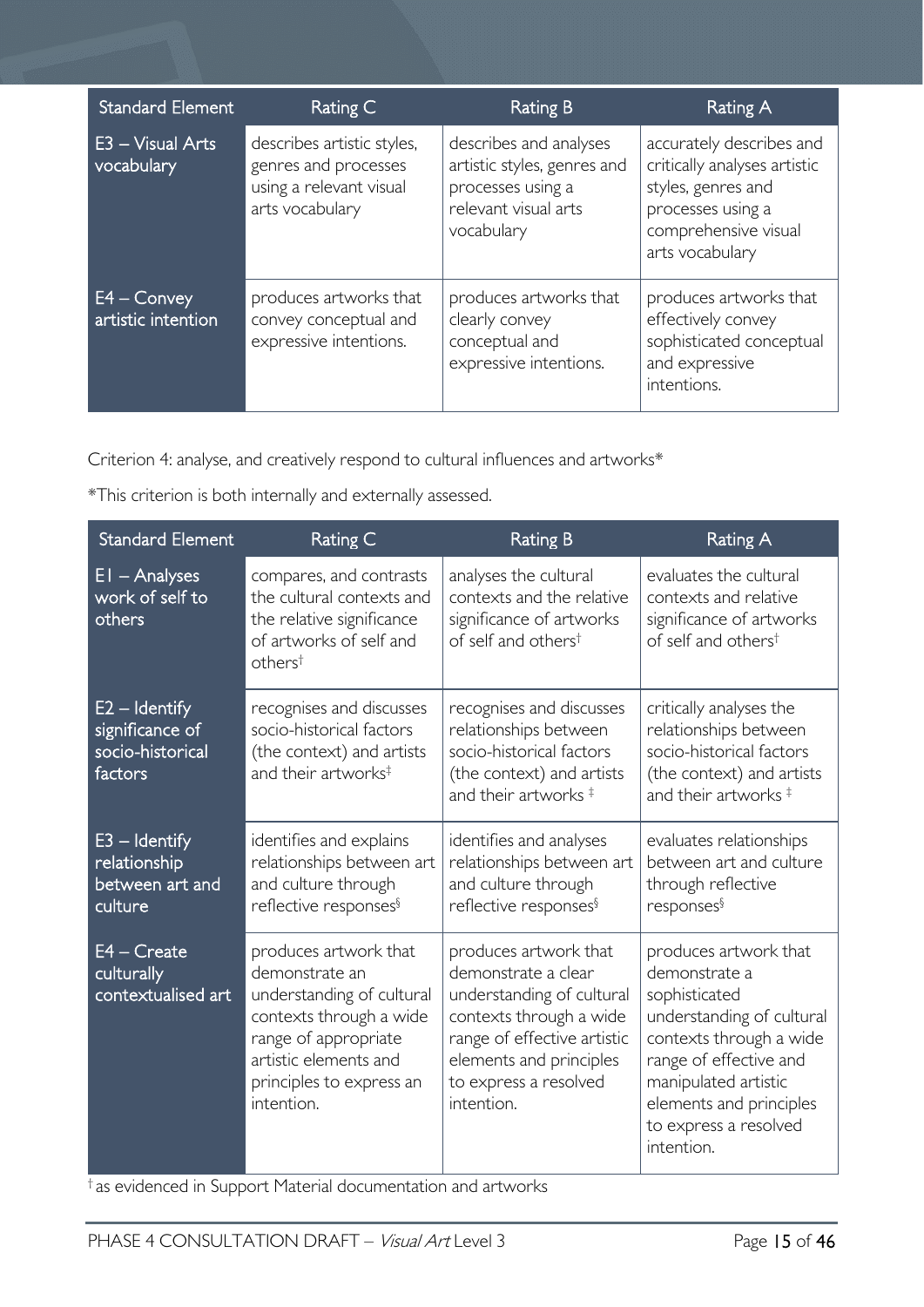| <b>Standard Element</b>                        | Rating C                                                                                         | <b>Rating B</b>                                                                                                  | Rating A                                                                                                                                       |
|------------------------------------------------|--------------------------------------------------------------------------------------------------|------------------------------------------------------------------------------------------------------------------|------------------------------------------------------------------------------------------------------------------------------------------------|
| $E3 - Visual Arts$<br>vocabulary               | describes artistic styles,<br>genres and processes<br>using a relevant visual<br>arts vocabulary | describes and analyses<br>artistic styles, genres and<br>processes using a<br>relevant visual arts<br>vocabulary | accurately describes and<br>critically analyses artistic<br>styles, genres and<br>processes using a<br>comprehensive visual<br>arts vocabulary |
| $E\overline{4}$ – Convey<br>artistic intention | produces artworks that<br>convey conceptual and<br>expressive intentions.                        | produces artworks that<br>clearly convey<br>conceptual and<br>expressive intentions.                             | produces artworks that<br>effectively convey<br>sophisticated conceptual<br>and expressive<br>intentions.                                      |

Criterion 4: analyse, and creatively respond to cultural influences and artworks\*

\*This criterion is both internally and externally assessed.

| <b>Standard Element</b>                                           | Rating C                                                                                                                                                                                   | <b>Rating B</b>                                                                                                                                                                                       | <b>Rating A</b>                                                                                                                                                                                                                     |
|-------------------------------------------------------------------|--------------------------------------------------------------------------------------------------------------------------------------------------------------------------------------------|-------------------------------------------------------------------------------------------------------------------------------------------------------------------------------------------------------|-------------------------------------------------------------------------------------------------------------------------------------------------------------------------------------------------------------------------------------|
| $EI - Analyses$<br>work of self to<br>others                      | compares, and contrasts<br>the cultural contexts and<br>the relative significance<br>of artworks of self and<br>$others^{\dagger}$                                                         | analyses the cultural<br>contexts and the relative<br>significance of artworks<br>of self and others <sup>t</sup>                                                                                     | evaluates the cultural<br>contexts and relative<br>significance of artworks<br>of self and others <sup>†</sup>                                                                                                                      |
| $E2 -$ Identify<br>significance of<br>socio-historical<br>factors | recognises and discusses<br>socio-historical factors<br>(the context) and artists<br>and their artworks <sup>‡</sup>                                                                       | recognises and discusses<br>relationships between<br>socio-historical factors<br>(the context) and artists<br>and their artworks $‡$                                                                  | critically analyses the<br>relationships between<br>socio-historical factors<br>(the context) and artists<br>and their artworks $‡$                                                                                                 |
| $E3 -$ Identify<br>relationship<br>between art and<br>culture     | identifies and explains<br>relationships between art<br>and culture through<br>reflective responses <sup>§</sup>                                                                           | identifies and analyses<br>relationships between art<br>and culture through<br>reflective responses <sup>§</sup>                                                                                      | evaluates relationships<br>between art and culture<br>through reflective<br>responses <sup>§</sup>                                                                                                                                  |
| $E4 - Create$<br>culturally<br>contextualised art                 | produces artwork that<br>demonstrate an<br>understanding of cultural<br>contexts through a wide<br>range of appropriate<br>artistic elements and<br>principles to express an<br>intention. | produces artwork that<br>demonstrate a clear<br>understanding of cultural<br>contexts through a wide<br>range of effective artistic<br>elements and principles<br>to express a resolved<br>intention. | produces artwork that<br>demonstrate a<br>sophisticated<br>understanding of cultural<br>contexts through a wide<br>range of effective and<br>manipulated artistic<br>elements and principles<br>to express a resolved<br>intention. |

† as evidenced in Support Material documentation and artworks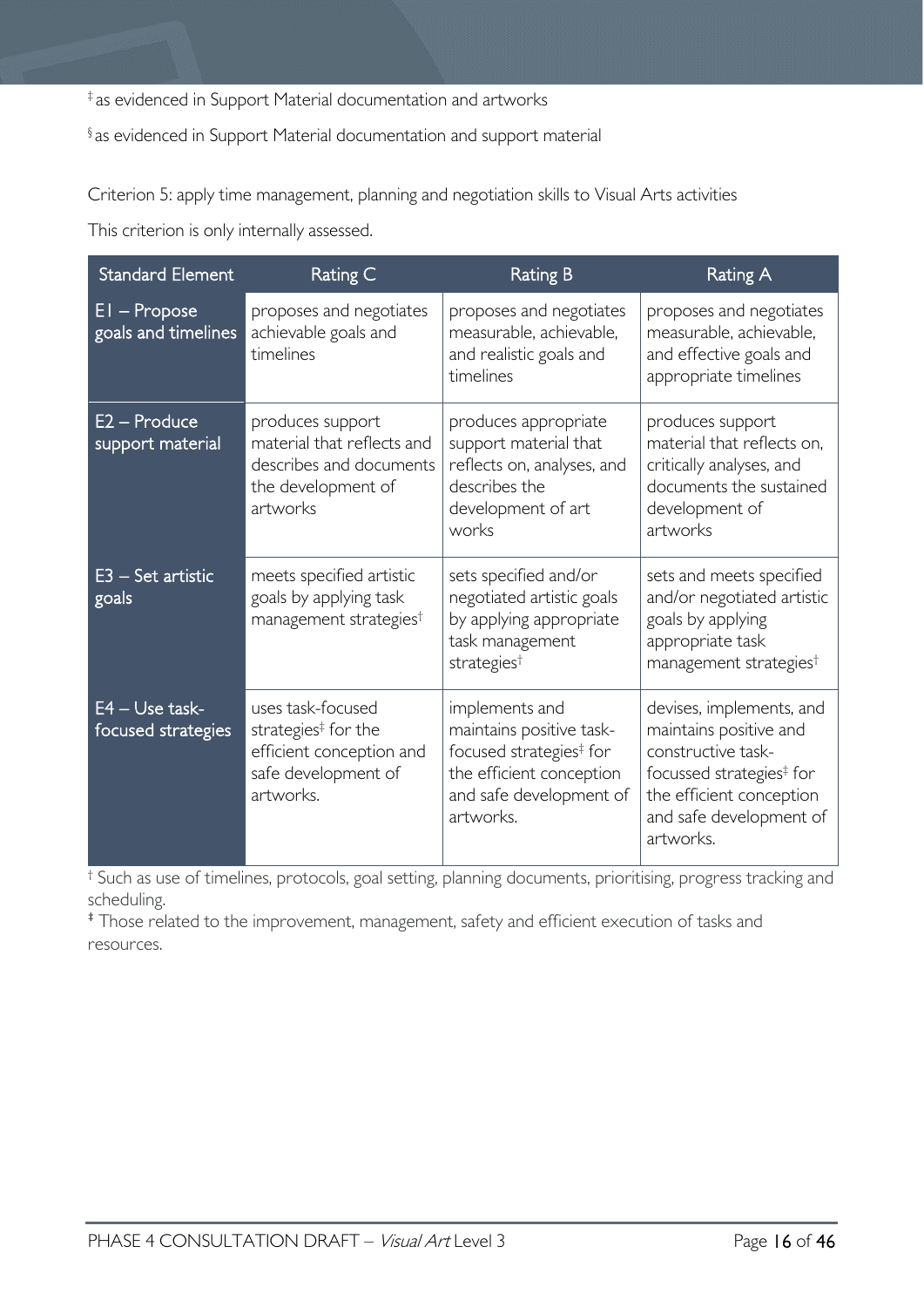‡ as evidenced in Support Material documentation and artworks

§ as evidenced in Support Material documentation and support material

Criterion 5: apply time management, planning and negotiation skills to Visual Arts activities

This criterion is only internally assessed.

| <b>Standard Element</b>                | Rating C                                                                                                             | <b>Rating B</b>                                                                                                                                       | <b>Rating A</b>                                                                                                                                                                      |
|----------------------------------------|----------------------------------------------------------------------------------------------------------------------|-------------------------------------------------------------------------------------------------------------------------------------------------------|--------------------------------------------------------------------------------------------------------------------------------------------------------------------------------------|
| $EI - Propose$<br>goals and timelines  | proposes and negotiates<br>achievable goals and<br>timelines                                                         | proposes and negotiates<br>measurable, achievable,<br>and realistic goals and<br>timelines                                                            | proposes and negotiates<br>measurable, achievable,<br>and effective goals and<br>appropriate timelines                                                                               |
| E2 - Produce<br>support material       | produces support<br>material that reflects and<br>describes and documents<br>the development of<br>artworks          | produces appropriate<br>support material that<br>reflects on, analyses, and<br>describes the<br>development of art<br>works                           | produces support<br>material that reflects on,<br>critically analyses, and<br>documents the sustained<br>development of<br>artworks                                                  |
| $E3 - Set$ artistic<br>goals           | meets specified artistic<br>goals by applying task<br>management strategies <sup>†</sup>                             | sets specified and/or<br>negotiated artistic goals<br>by applying appropriate<br>task management<br>strategies <sup>t</sup>                           | sets and meets specified<br>and/or negotiated artistic<br>goals by applying<br>appropriate task<br>management strategies <sup>†</sup>                                                |
| $E4 - Use task-$<br>focused strategies | uses task-focused<br>strategies <sup>‡</sup> for the<br>efficient conception and<br>safe development of<br>artworks. | implements and<br>maintains positive task-<br>focused strategies <sup>‡</sup> for<br>the efficient conception<br>and safe development of<br>artworks. | devises, implements, and<br>maintains positive and<br>constructive task-<br>focussed strategies <sup>‡</sup> for<br>the efficient conception<br>and safe development of<br>artworks. |

† Such as use of timelines, protocols, goal setting, planning documents, prioritising, progress tracking and scheduling.

‡ Those related to the improvement, management, safety and efficient execution of tasks and resources.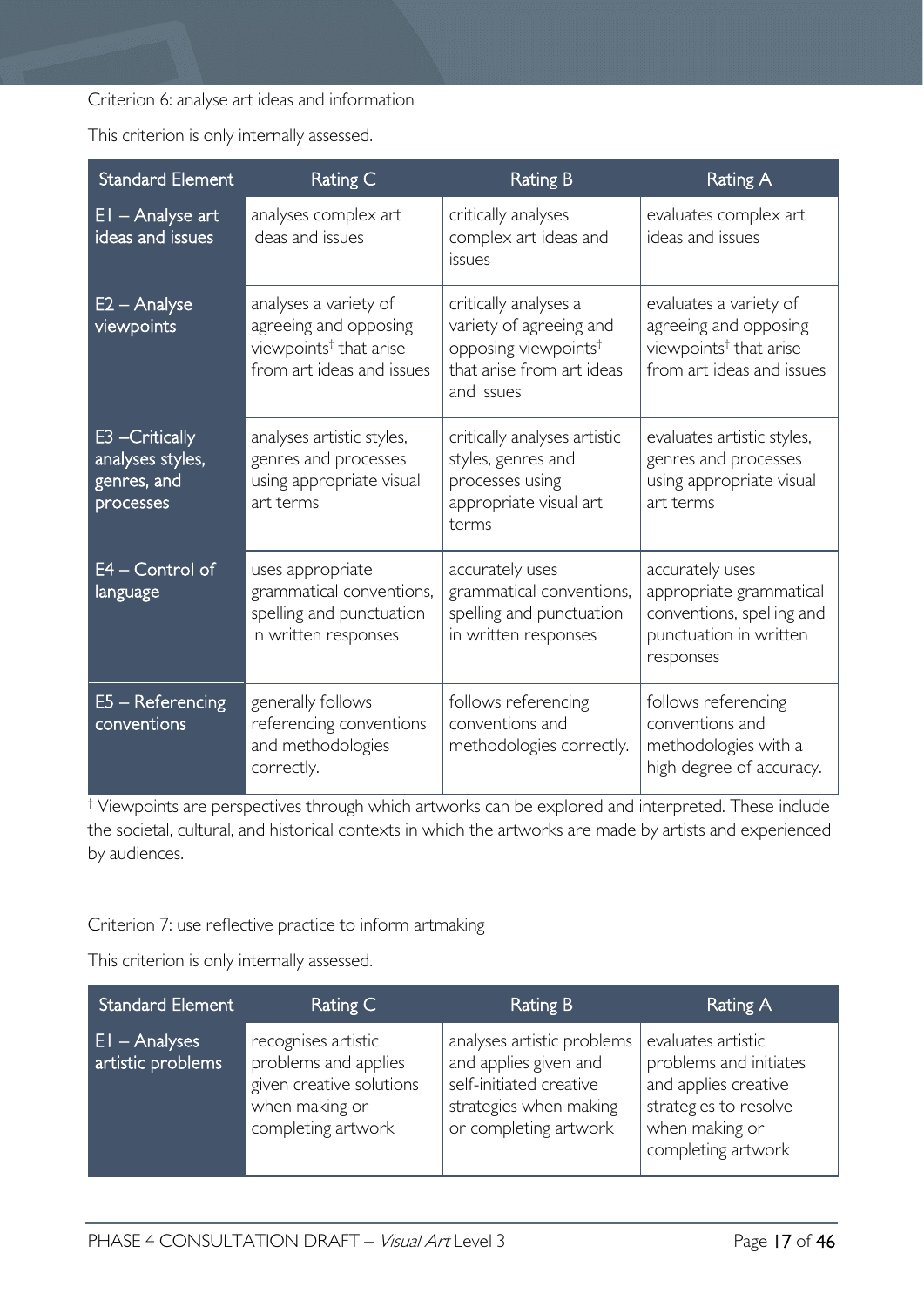Criterion 6: analyse art ideas and information

This criterion is only internally assessed.

| <b>Standard Element</b>                                         | Rating C                                                                                                          | <b>Rating B</b>                                                                                                                 | <b>Rating A</b>                                                                                                    |
|-----------------------------------------------------------------|-------------------------------------------------------------------------------------------------------------------|---------------------------------------------------------------------------------------------------------------------------------|--------------------------------------------------------------------------------------------------------------------|
| $EI - Analyse art$<br>ideas and issues                          | analyses complex art<br>ideas and issues                                                                          | critically analyses<br>complex art ideas and<br>issues                                                                          | evaluates complex art<br>ideas and issues                                                                          |
| $E2 -$ Analyse<br>viewpoints                                    | analyses a variety of<br>agreeing and opposing<br>viewpoints <sup>†</sup> that arise<br>from art ideas and issues | critically analyses a<br>variety of agreeing and<br>opposing viewpoints <sup>†</sup><br>that arise from art ideas<br>and issues | evaluates a variety of<br>agreeing and opposing<br>viewpoints <sup>†</sup> that arise<br>from art ideas and issues |
| E3 - Critically<br>analyses styles,<br>genres, and<br>processes | analyses artistic styles,<br>genres and processes<br>using appropriate visual<br>art terms                        | critically analyses artistic<br>styles, genres and<br>processes using<br>appropriate visual art<br>terms                        | evaluates artistic styles,<br>genres and processes<br>using appropriate visual<br>art terms                        |
| E4 - Control of<br>language                                     | uses appropriate<br>grammatical conventions,<br>spelling and punctuation<br>in written responses                  | accurately uses<br>grammatical conventions,<br>spelling and punctuation<br>in written responses                                 | accurately uses<br>appropriate grammatical<br>conventions, spelling and<br>punctuation in written<br>responses     |
| $E5 - Referencing$<br>conventions                               | generally follows<br>referencing conventions<br>and methodologies<br>correctly.                                   | follows referencing<br>conventions and<br>methodologies correctly.                                                              | follows referencing<br>conventions and<br>methodologies with a<br>high degree of accuracy.                         |

† Viewpoints are perspectives through which artworks can be explored and interpreted. These include the societal, cultural, and historical contexts in which the artworks are made by artists and experienced by audiences.

Criterion 7: use reflective practice to inform artmaking

This criterion is only internally assessed.

| <b>Standard Element</b>               | Rating C                                                                                                        | Rating B                                                                                                                          | Rating A                                                                                                                              |
|---------------------------------------|-----------------------------------------------------------------------------------------------------------------|-----------------------------------------------------------------------------------------------------------------------------------|---------------------------------------------------------------------------------------------------------------------------------------|
| $ E $ - Analyses<br>artistic problems | recognises artistic<br>problems and applies<br>given creative solutions<br>when making or<br>completing artwork | analyses artistic problems<br>and applies given and<br>self-initiated creative<br>strategies when making<br>or completing artwork | evaluates artistic<br>problems and initiates<br>and applies creative<br>strategies to resolve<br>when making or<br>completing artwork |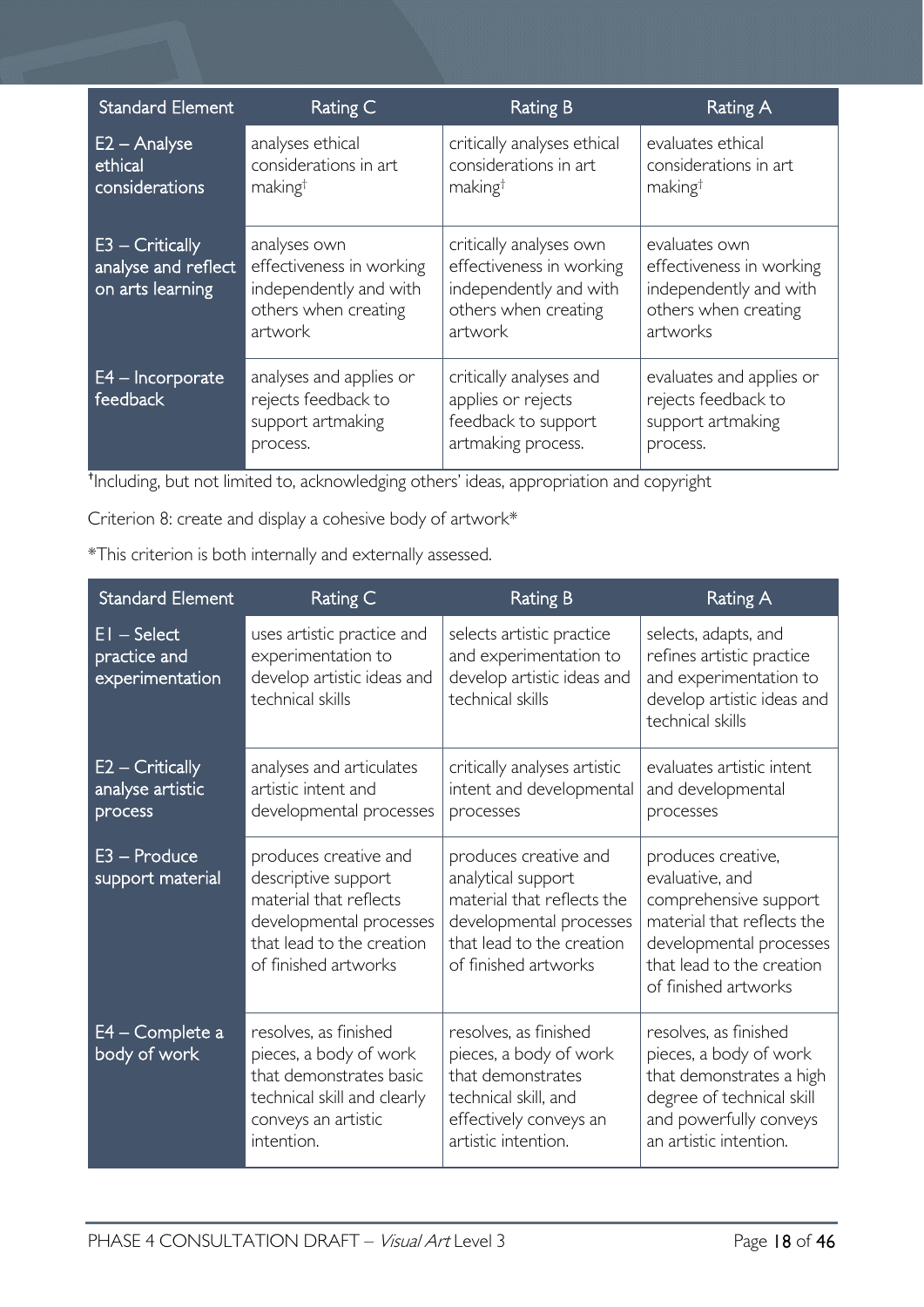| <b>Standard Element</b>                                    | Rating C                                                                                              | <b>Rating B</b>                                                                                                  | Rating A                                                                                                |
|------------------------------------------------------------|-------------------------------------------------------------------------------------------------------|------------------------------------------------------------------------------------------------------------------|---------------------------------------------------------------------------------------------------------|
| $E2 -$ Analyse<br>ethical<br>considerations                | analyses ethical<br>considerations in art<br>making <sup>†</sup>                                      | critically analyses ethical<br>considerations in art<br>making <sup>†</sup>                                      | evaluates ethical<br>considerations in art<br>making <sup>†</sup>                                       |
| E3 - Critically<br>analyse and reflect<br>on arts learning | analyses own<br>effectiveness in working<br>independently and with<br>others when creating<br>artwork | critically analyses own<br>effectiveness in working<br>independently and with<br>others when creating<br>artwork | evaluates own<br>effectiveness in working<br>independently and with<br>others when creating<br>artworks |
| E4 - Incorporate<br>feedback                               | analyses and applies or<br>rejects feedback to<br>support artmaking<br>process.                       | critically analyses and<br>applies or rejects<br>feedback to support<br>artmaking process.                       | evaluates and applies or<br>rejects feedback to<br>support artmaking<br>process.                        |

† Including, but not limited to, acknowledging others' ideas, appropriation and copyright

Criterion 8: create and display a cohesive body of artwork\*

\*This criterion is both internally and externally assessed.

| <b>Standard Element</b>                          | Rating C                                                                                                                                               | <b>Rating B</b>                                                                                                                                           | <b>Rating A</b>                                                                                                                                                              |
|--------------------------------------------------|--------------------------------------------------------------------------------------------------------------------------------------------------------|-----------------------------------------------------------------------------------------------------------------------------------------------------------|------------------------------------------------------------------------------------------------------------------------------------------------------------------------------|
| $EI - Select$<br>practice and<br>experimentation | uses artistic practice and<br>experimentation to<br>develop artistic ideas and<br>technical skills                                                     | selects artistic practice<br>and experimentation to<br>develop artistic ideas and<br>technical skills                                                     | selects, adapts, and<br>refines artistic practice<br>and experimentation to<br>develop artistic ideas and<br>technical skills                                                |
| E2 - Critically<br>analyse artistic<br>process   | analyses and articulates<br>artistic intent and<br>developmental processes                                                                             | critically analyses artistic<br>intent and developmental<br>processes                                                                                     | evaluates artistic intent<br>and developmental<br>processes                                                                                                                  |
| $E3 -$ Produce<br>support material               | produces creative and<br>descriptive support<br>material that reflects<br>developmental processes<br>that lead to the creation<br>of finished artworks | produces creative and<br>analytical support<br>material that reflects the<br>developmental processes<br>that lead to the creation<br>of finished artworks | produces creative,<br>evaluative, and<br>comprehensive support<br>material that reflects the<br>developmental processes<br>that lead to the creation<br>of finished artworks |
| E4 – Complete a<br>body of work                  | resolves, as finished<br>pieces, a body of work<br>that demonstrates basic<br>technical skill and clearly<br>conveys an artistic<br>intention.         | resolves, as finished<br>pieces, a body of work<br>that demonstrates<br>technical skill, and<br>effectively conveys an<br>artistic intention.             | resolves, as finished<br>pieces, a body of work<br>that demonstrates a high<br>degree of technical skill<br>and powerfully conveys<br>an artistic intention.                 |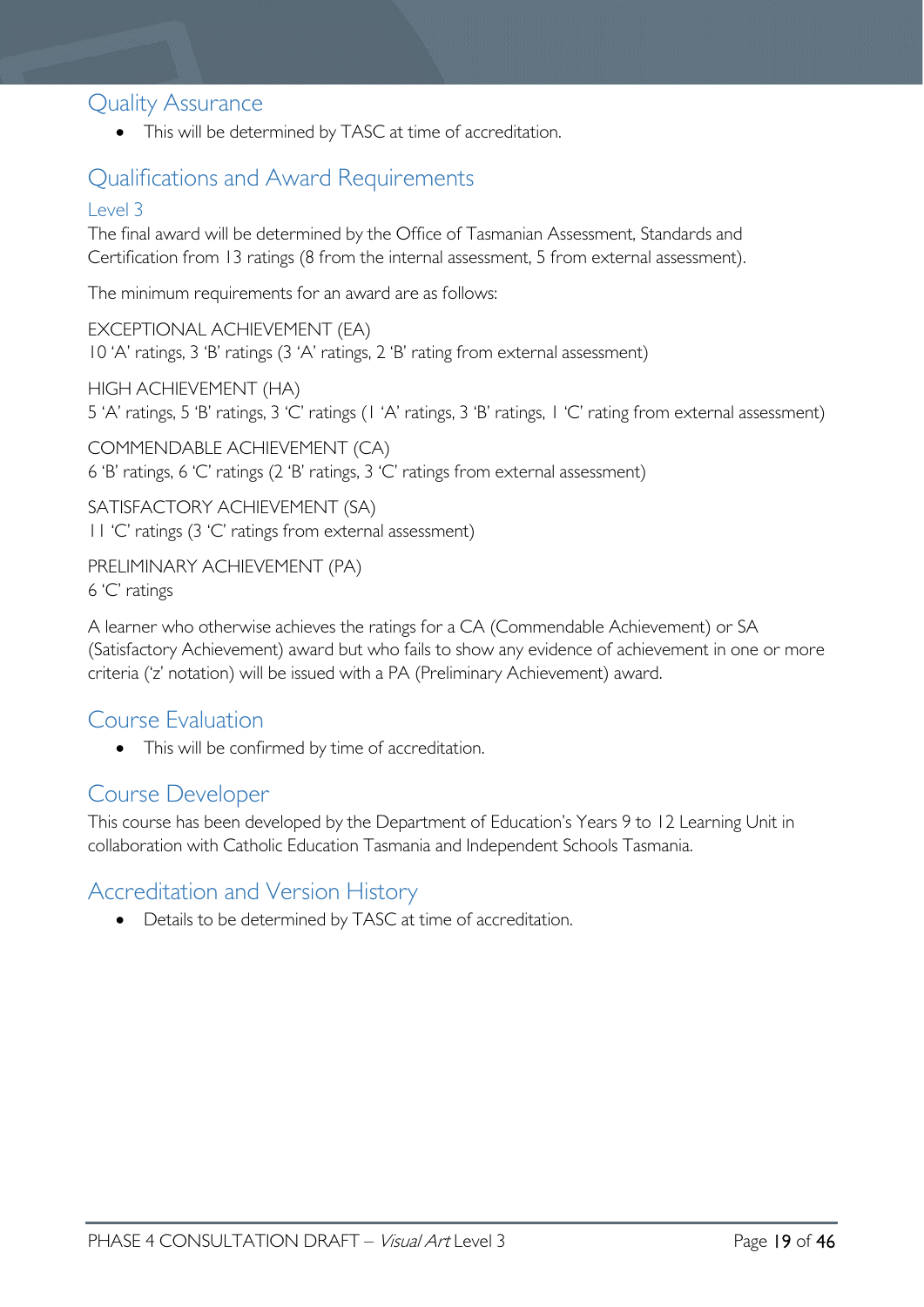# <span id="page-18-0"></span>Quality Assurance

• This will be determined by TASC at time of accreditation.

# <span id="page-18-1"></span>Qualifications and Award Requirements

### <span id="page-18-2"></span>Level 3

The final award will be determined by the Office of Tasmanian Assessment, Standards and Certification from 13 ratings (8 from the internal assessment, 5 from external assessment).

The minimum requirements for an award are as follows:

EXCEPTIONAL ACHIEVEMENT (EA) 10 'A' ratings, 3 'B' ratings (3 'A' ratings, 2 'B' rating from external assessment)

HIGH ACHIEVEMENT (HA) 5 'A' ratings, 5 'B' ratings, 3 'C' ratings (1 'A' ratings, 3 'B' ratings, 1 'C' rating from external assessment)

COMMENDABLE ACHIEVEMENT (CA) 6 'B' ratings, 6 'C' ratings (2 'B' ratings, 3 'C' ratings from external assessment)

SATISFACTORY ACHIEVEMENT (SA) 11 'C' ratings (3 'C' ratings from external assessment)

PRELIMINARY ACHIEVEMENT (PA) 6 'C' ratings

A learner who otherwise achieves the ratings for a CA (Commendable Achievement) or SA (Satisfactory Achievement) award but who fails to show any evidence of achievement in one or more criteria ('z' notation) will be issued with a PA (Preliminary Achievement) award.

# <span id="page-18-3"></span>Course Evaluation

• This will be confirmed by time of accreditation.

## <span id="page-18-4"></span>Course Developer

This course has been developed by the Department of Education's Years 9 to 12 Learning Unit in collaboration with Catholic Education Tasmania and Independent Schools Tasmania.

# <span id="page-18-5"></span>Accreditation and Version History

• Details to be determined by TASC at time of accreditation.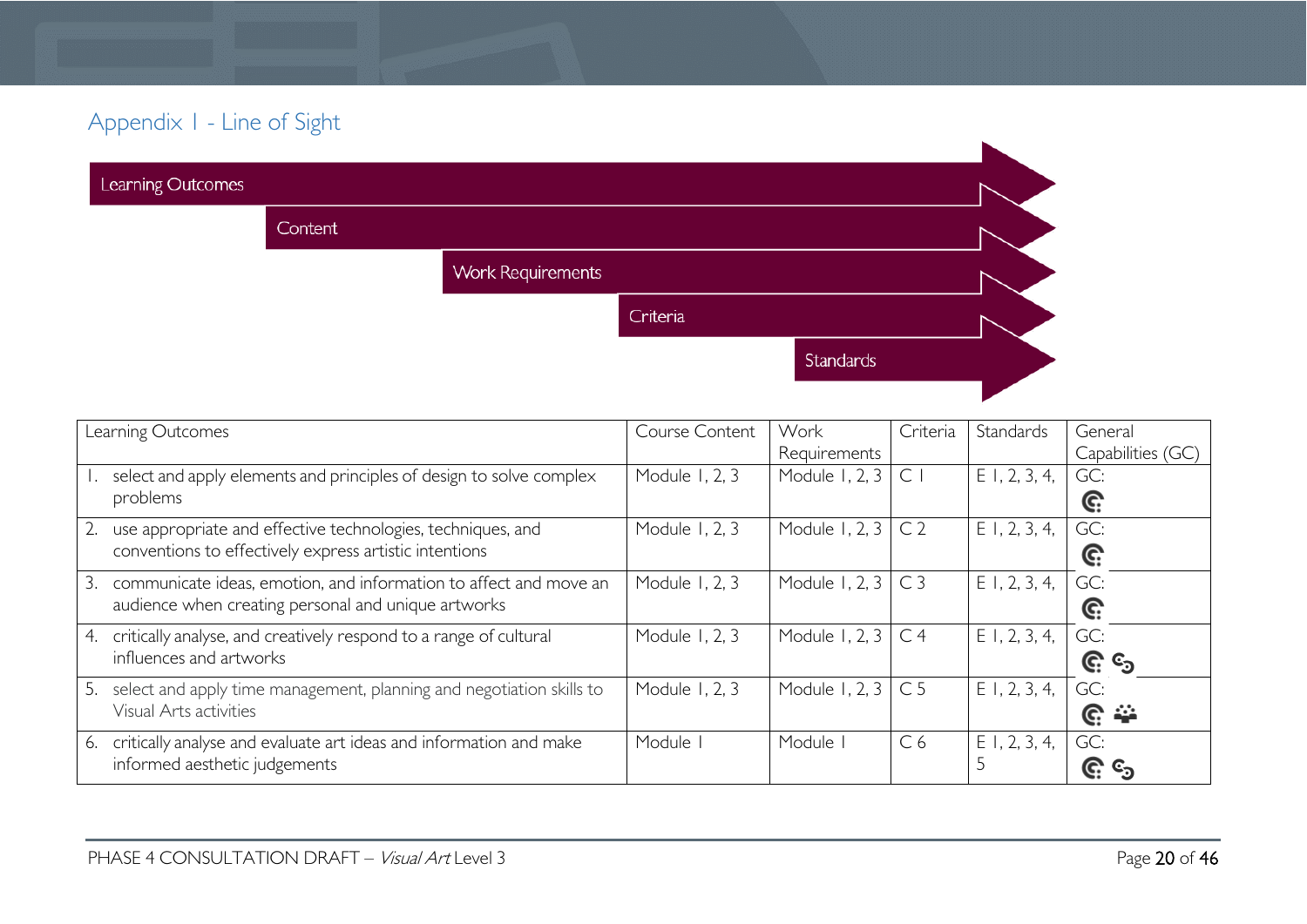# Appendix 1 - Line of Sight

| Learning Outcomes |         |                          |          |           |  |
|-------------------|---------|--------------------------|----------|-----------|--|
|                   | Content |                          |          |           |  |
|                   |         | <b>Work Requirements</b> |          |           |  |
|                   |         |                          | Criteria |           |  |
|                   |         |                          |          | Standards |  |
|                   |         |                          |          |           |  |

<span id="page-19-0"></span>

| Learning Outcomes                                                          | Course Content | Work           | Criteria       | Standards       | General           |
|----------------------------------------------------------------------------|----------------|----------------|----------------|-----------------|-------------------|
|                                                                            |                | Requirements   |                |                 | Capabilities (GC) |
| select and apply elements and principles of design to solve complex        | Module 1, 2, 3 | Module 1, 2, 3 | $\mathsf{C}$   | $E$ 1, 2, 3, 4, | GC:               |
| problems                                                                   |                |                |                |                 | C:                |
| use appropriate and effective technologies, techniques, and                | Module 1, 2, 3 | Module 1, 2, 3 | C <sub>2</sub> | $E$ 1, 2, 3, 4, | GC:               |
| conventions to effectively express artistic intentions                     |                |                |                |                 | G:                |
| 3.<br>communicate ideas, emotion, and information to affect and move an    | Module 1, 2, 3 | Module 1, 2, 3 | C <sub>3</sub> | $E$ 1, 2, 3, 4, | GC:               |
| audience when creating personal and unique artworks                        |                |                |                |                 | C:                |
| critically analyse, and creatively respond to a range of cultural<br>4.    | Module 1, 2, 3 | Module 1, 2, 3 | C <sub>4</sub> | $E$ 1, 2, 3, 4, | GC:               |
| influences and artworks                                                    |                |                |                |                 | <b>G.</b> &       |
| select and apply time management, planning and negotiation skills to<br>5. | Module 1, 2, 3 | Module 1, 2, 3 | C <sub>5</sub> | $E$ I, 2, 3, 4, | GC:               |
| Visual Arts activities                                                     |                |                |                |                 | ၉ ≏               |
| critically analyse and evaluate art ideas and information and make<br>6.   | Module         | Module         | C <sub>6</sub> | $E$ 1, 2, 3, 4, | GC:               |
| informed aesthetic judgements                                              |                |                |                |                 | C.                |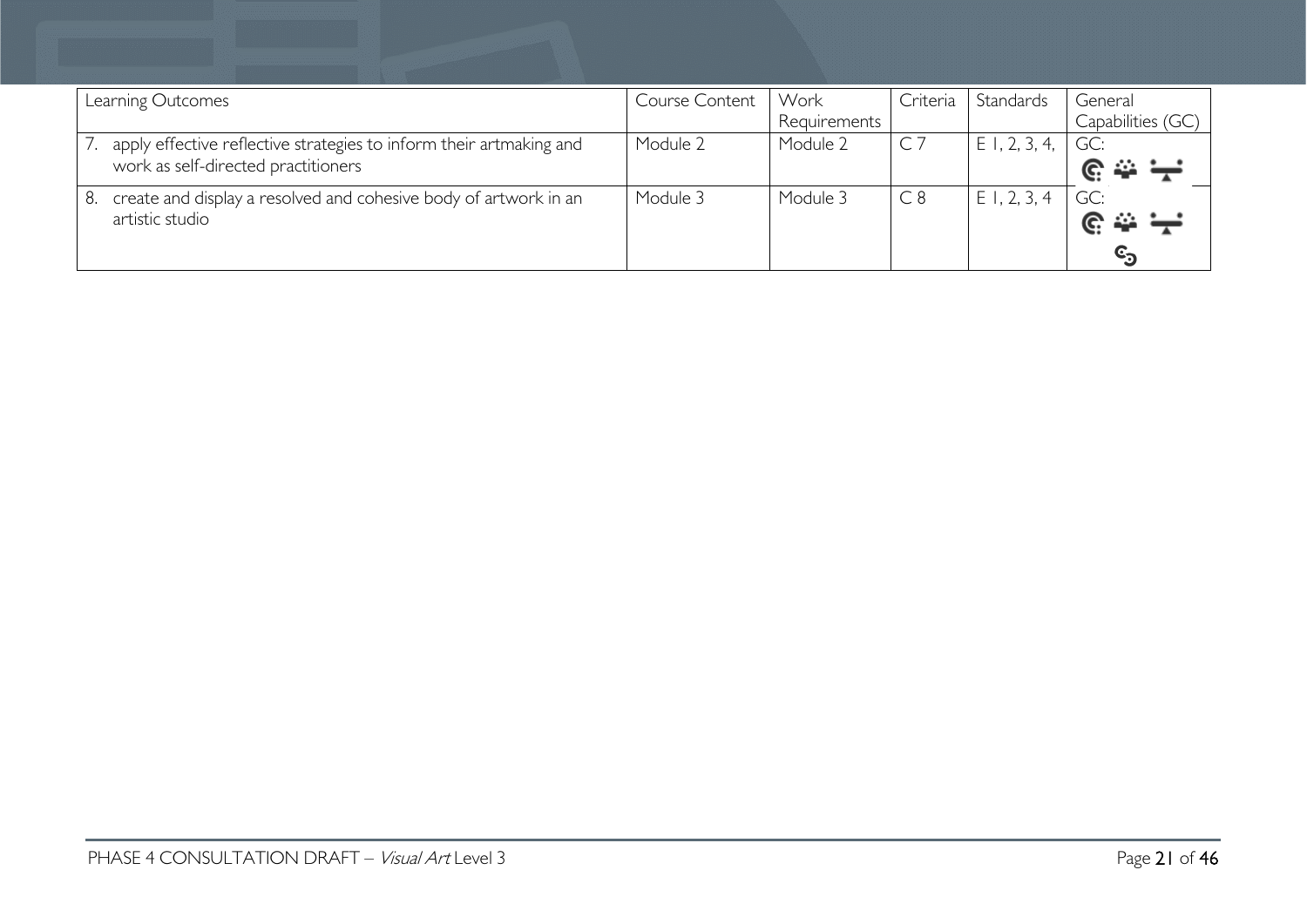| Learning Outcomes                                                      | Course Content | Work         | Criteria | Standards       | General           |
|------------------------------------------------------------------------|----------------|--------------|----------|-----------------|-------------------|
|                                                                        |                | Requirements |          |                 | Capabilities (GC) |
| apply effective reflective strategies to inform their artmaking and    | Module 2       | Module 2     |          | $E$ 1, 2, 3, 4, | GC:               |
| work as self-directed practitioners                                    |                |              |          |                 |                   |
| create and display a resolved and cohesive body of artwork in an<br>8. | Module 3       | Module 3     | C8       | ΕI<br>, 2, 3, 4 | GC:               |
| artistic studio                                                        |                |              |          |                 |                   |
|                                                                        |                |              |          |                 |                   |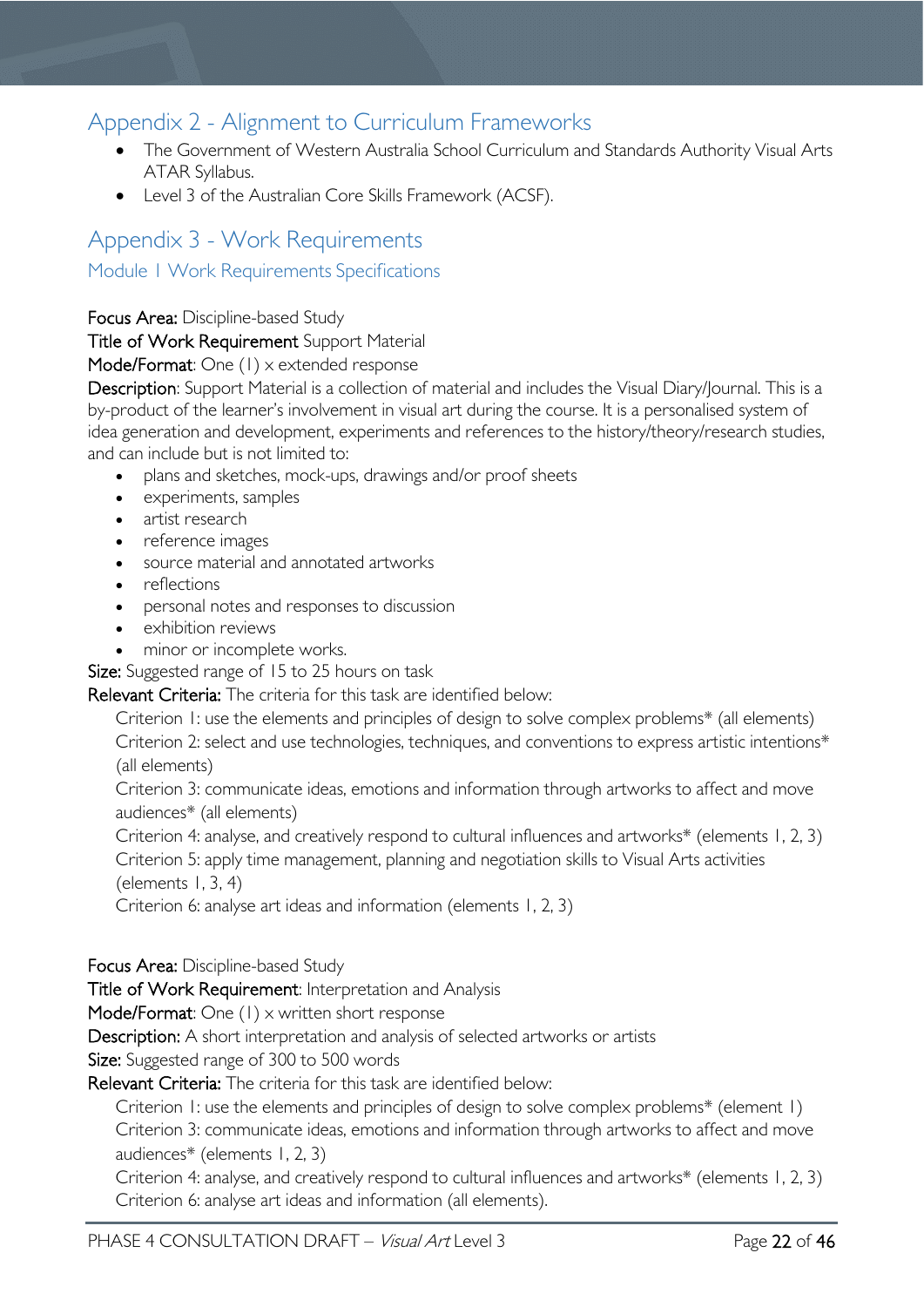# <span id="page-21-0"></span>Appendix 2 - Alignment to Curriculum Frameworks

- The Government of Western Australia School Curriculum and Standards Authority Visual Arts ATAR Syllabus.
- Level 3 of the Australian Core Skills Framework (ACSF).

# <span id="page-21-2"></span><span id="page-21-1"></span>Appendix 3 - Work Requirements Module 1 Work Requirements Specifications

### Focus Area: Discipline-based Study

### Title of Work Requirement Support Material

### Mode/Format: One (1) x extended response

Description: Support Material is a collection of material and includes the Visual Diary/Journal. This is a by-product of the learner's involvement in visual art during the course. It is a personalised system of idea generation and development, experiments and references to the history/theory/research studies, and can include but is not limited to:

- plans and sketches, mock-ups, drawings and/or proof sheets
- experiments, samples
- artist research
- reference images
- source material and annotated artworks
- reflections
- personal notes and responses to discussion
- exhibition reviews
- minor or incomplete works.

Size: Suggested range of 15 to 25 hours on task

Relevant Criteria: The criteria for this task are identified below:

Criterion 1: use the elements and principles of design to solve complex problems\* (all elements) Criterion 2: select and use technologies, techniques, and conventions to express artistic intentions\* (all elements)

Criterion 3: communicate ideas, emotions and information through artworks to affect and move audiences\* (all elements)

Criterion 4: analyse, and creatively respond to cultural influences and artworks\* (elements 1, 2, 3) Criterion 5: apply time management, planning and negotiation skills to Visual Arts activities

(elements  $1, 3, 4$ )

Criterion 6: analyse art ideas and information (elements 1, 2, 3)

#### Focus Area: Discipline-based Study

Title of Work Requirement: Interpretation and Analysis  

Mode/Format: One (1) x written short response

Description: A short interpretation and analysis of selected artworks or artists

Size: Suggested range of 300 to 500 words

Relevant Criteria: The criteria for this task are identified below:

Criterion 1: use the elements and principles of design to solve complex problems\* (element 1) Criterion 3: communicate ideas, emotions and information through artworks to affect and move audiences\* (elements 1, 2, 3)

Criterion 4: analyse, and creatively respond to cultural influences and artworks\* (elements 1, 2, 3) Criterion 6: analyse art ideas and information (all elements).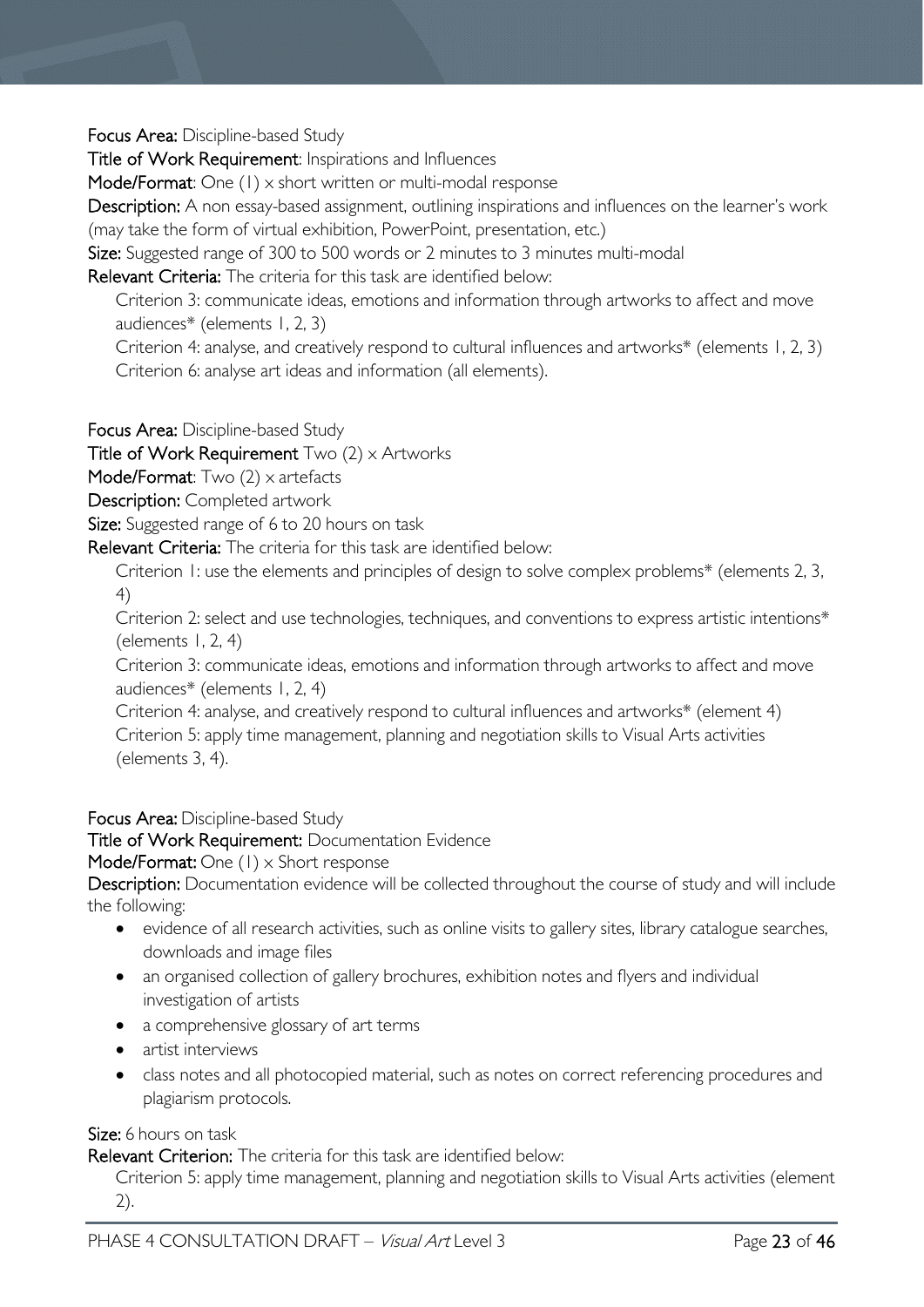Focus Area: Discipline-based Study

Title of Work Requirement: Inspirations and Influences  

Mode/Format: One (1) x short written or multi-modal response

Description: A non essay-based assignment, outlining inspirations and influences on the learner's work (may take the form of virtual exhibition, PowerPoint, presentation, etc.)

Size: Suggested range of 300 to 500 words or 2 minutes to 3 minutes multi-modal

Relevant Criteria: The criteria for this task are identified below:

Criterion 3: communicate ideas, emotions and information through artworks to affect and move audiences\* (elements 1, 2, 3)

Criterion 4: analyse, and creatively respond to cultural influences and artworks\* (elements 1, 2, 3) Criterion 6: analyse art ideas and information (all elements).

Focus Area: Discipline-based Study

Title of Work Requirement  $Two (2) \times$  Artworks

Mode/Format: Two  $(2)$  x artefacts

Description: Completed artwork

Size: Suggested range of 6 to 20 hours on task

Relevant Criteria: The criteria for this task are identified below:

Criterion 1: use the elements and principles of design to solve complex problems\* (elements 2, 3, 4)

Criterion 2: select and use technologies, techniques, and conventions to express artistic intentions\* (elements 1, 2, 4)

Criterion 3: communicate ideas, emotions and information through artworks to affect and move audiences\* (elements 1, 2, 4)

Criterion 4: analyse, and creatively respond to cultural influences and artworks\* (element 4) Criterion 5: apply time management, planning and negotiation skills to Visual Arts activities (elements 3, 4).

#### Focus Area: Discipline-based Study

Title of Work Requirement: Documentation Evidence

Mode/Format: One (1) x Short response

Description: Documentation evidence will be collected throughout the course of study and will include the following:

- evidence of all research activities, such as online visits to gallery sites, library catalogue searches, downloads and image files
- an organised collection of gallery brochures, exhibition notes and flyers and individual investigation of artists
- a comprehensive glossary of art terms
- artist interviews
- class notes and all photocopied material, such as notes on correct referencing procedures and plagiarism protocols.

#### Size: 6 hours on task

Relevant Criterion: The criteria for this task are identified below:

Criterion 5: apply time management, planning and negotiation skills to Visual Arts activities (element 2).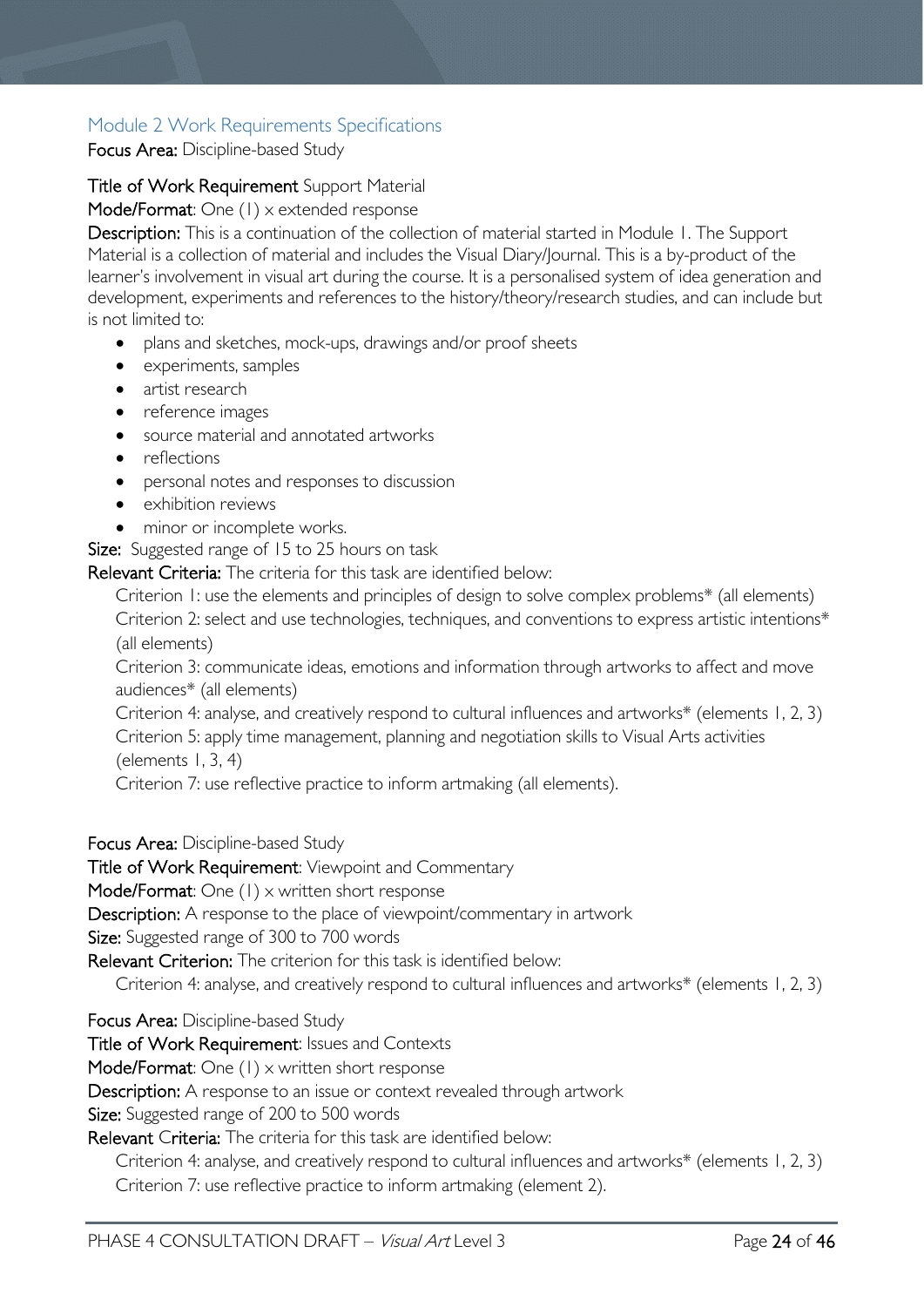## <span id="page-23-0"></span>Module 2 Work Requirements Specifications

Focus Area: Discipline-based Study

### Title of Work Requirement Support Material

Mode/Format: One (1) x extended response

Description: This is a continuation of the collection of material started in Module 1. The Support Material is a collection of material and includes the Visual Diary/Journal. This is a by-product of the learner's involvement in visual art during the course. It is a personalised system of idea generation and development, experiments and references to the history/theory/research studies, and can include but is not limited to:

- plans and sketches, mock-ups, drawings and/or proof sheets
- experiments, samples
- artist research
- reference images
- source material and annotated artworks
- reflections
- personal notes and responses to discussion
- exhibition reviews
- minor or incomplete works.

**Size:** Suggested range of 15 to 25 hours on task

Relevant Criteria: The criteria for this task are identified below:

Criterion 1: use the elements and principles of design to solve complex problems\* (all elements) Criterion 2: select and use technologies, techniques, and conventions to express artistic intentions\* (all elements)

Criterion 3: communicate ideas, emotions and information through artworks to affect and move audiences\* (all elements)

Criterion 4: analyse, and creatively respond to cultural influences and artworks\* (elements 1, 2, 3) Criterion 5: apply time management, planning and negotiation skills to Visual Arts activities (elements  $1, 3, 4$ )

Criterion 7: use reflective practice to inform artmaking (all elements).

Focus Area: Discipline-based Study

Title of Work Requirement: Viewpoint and Commentary  

Mode/Format: One (1) x written short response

Description: A response to the place of viewpoint/commentary in artwork

Size: Suggested range of 300 to 700 words

Relevant Criterion: The criterion for this task is identified below:

Criterion 4: analyse, and creatively respond to cultural influences and artworks\* (elements 1, 2, 3)

Focus Area: Discipline-based Study

Title of Work Requirement: Issues and Contexts

Mode/Format: One (1) x written short response

Description: A response to an issue or context revealed through artwork

Size: Suggested range of 200 to 500 words

Relevant Criteria: The criteria for this task are identified below:

Criterion 4: analyse, and creatively respond to cultural influences and artworks\* (elements 1, 2, 3) Criterion 7: use reflective practice to inform artmaking (element 2).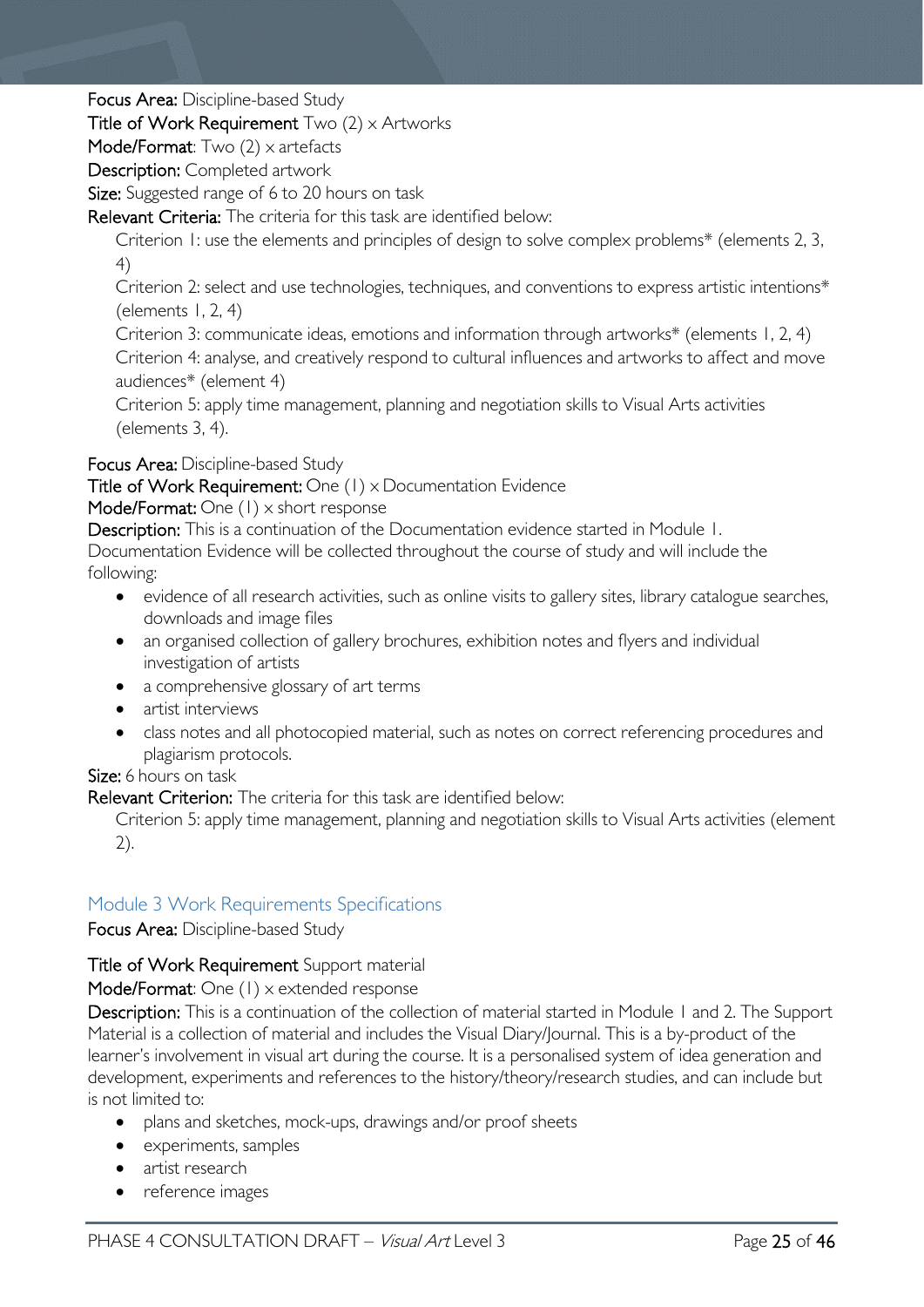Focus Area: Discipline-based Study

### Title of Work Requirement  $Two (2) \times$  Artworks

Mode/Format: Two (2) x artefacts

Description: Completed artwork

Size: Suggested range of 6 to 20 hours on task

Relevant Criteria: The criteria for this task are identified below:

Criterion 1: use the elements and principles of design to solve complex problems\* (elements 2, 3, 4)

Criterion 2: select and use technologies, techniques, and conventions to express artistic intentions\* (elements  $1, 2, 4$ )

Criterion 3: communicate ideas, emotions and information through artworks\* (elements 1, 2, 4)

Criterion 4: analyse, and creatively respond to cultural influences and artworks to affect and move audiences\* (element 4)

Criterion 5: apply time management, planning and negotiation skills to Visual Arts activities (elements 3, 4).

Focus Area: Discipline-based Study  

Title of Work Requirement: One (1) x Documentation Evidence  

Mode/Format: One (1) x short response

Description: This is a continuation of the Documentation evidence started in Module 1.

Documentation Evidence will be collected throughout the course of study and will include the following:

- evidence of all research activities, such as online visits to gallery sites, library catalogue searches, downloads and image files
- an organised collection of gallery brochures, exhibition notes and flyers and individual investigation of artists
- a comprehensive glossary of art terms
- artist interviews
- class notes and all photocopied material, such as notes on correct referencing procedures and plagiarism protocols.

### Size: 6 hours on task

Relevant Criterion: The criteria for this task are identified below:

Criterion 5: apply time management, planning and negotiation skills to Visual Arts activities (element 2).

### <span id="page-24-0"></span>Module 3 Work Requirements Specifications

Focus Area: Discipline-based Study

### Title of Work Requirement Support material

Mode/Format: One (1) x extended response

Description: This is a continuation of the collection of material started in Module 1 and 2. The Support Material is a collection of material and includes the Visual Diary/Journal. This is a by-product of the learner's involvement in visual art during the course. It is a personalised system of idea generation and development, experiments and references to the history/theory/research studies, and can include but is not limited to:

- plans and sketches, mock-ups, drawings and/or proof sheets
- experiments, samples
- artist research
- reference images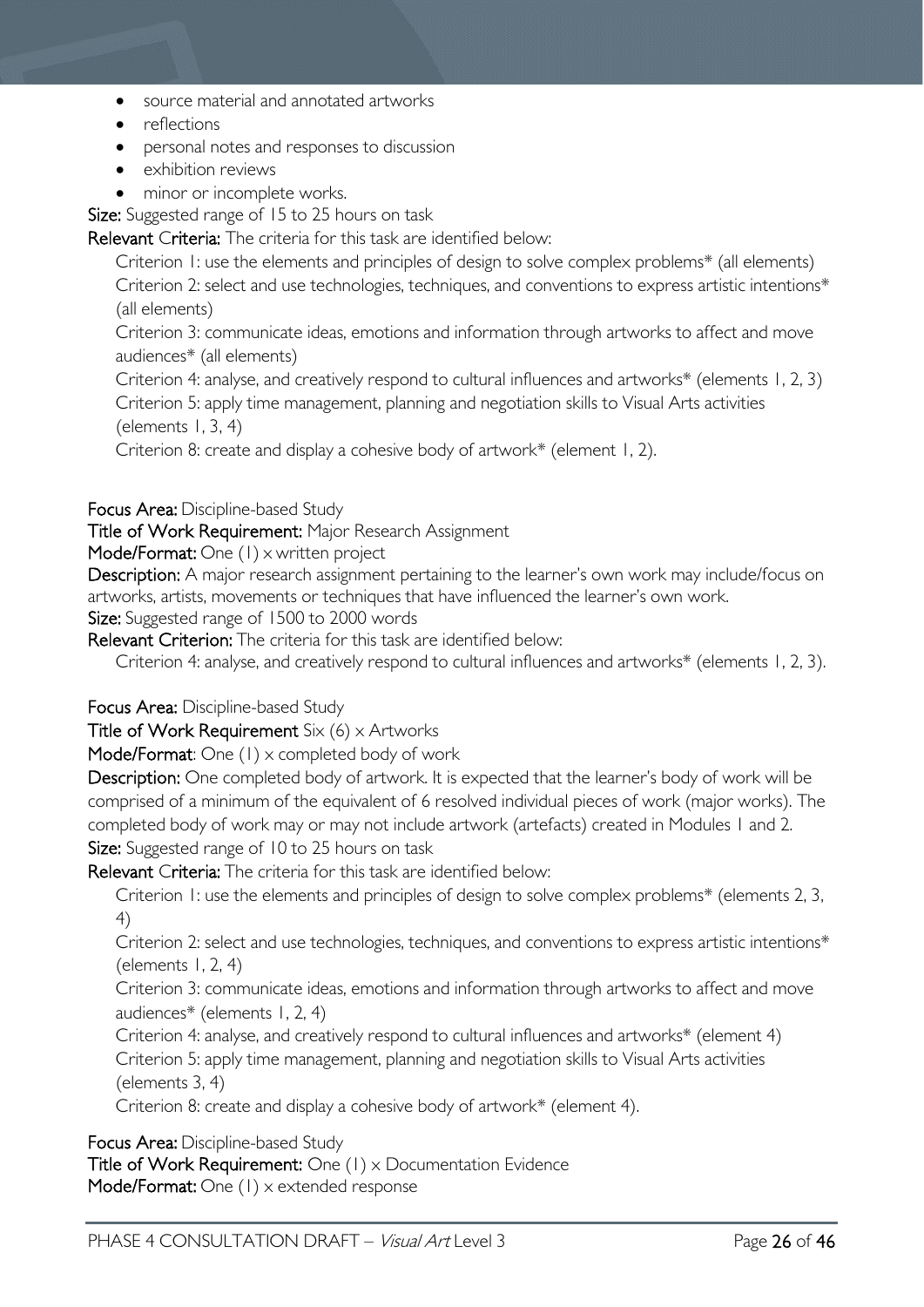- source material and annotated artworks
- reflections
- personal notes and responses to discussion
- exhibition reviews
- minor or incomplete works.

Size: Suggested range of 15 to 25 hours on task

Relevant Criteria: The criteria for this task are identified below:

Criterion 1: use the elements and principles of design to solve complex problems\* (all elements) Criterion 2: select and use technologies, techniques, and conventions to express artistic intentions\* (all elements)

Criterion 3: communicate ideas, emotions and information through artworks to affect and move audiences\* (all elements)

Criterion 4: analyse, and creatively respond to cultural influences and artworks\* (elements 1, 2, 3)

Criterion 5: apply time management, planning and negotiation skills to Visual Arts activities (elements  $1, 3, 4$ )

Criterion 8: create and display a cohesive body of artwork\* (element 1, 2).

### Focus Area: Discipline-based Study

Title of Work Requirement: Major Research Assignment

Mode/Format: One (1) x written project

Description: A major research assignment pertaining to the learner's own work may include/focus on artworks, artists, movements or techniques that have influenced the learner's own work. Size: Suggested range of 1500 to 2000 words

Relevant Criterion: The criteria for this task are identified below:

Criterion 4: analyse, and creatively respond to cultural influences and artworks\* (elements 1, 2, 3).

Focus Area: Discipline-based Study

Title of Work Requirement  $Six (6) \times$  Artworks

Mode/Format: One (1) x completed body of work

Description: One completed body of artwork. It is expected that the learner's body of work will be comprised of a minimum of the equivalent of 6 resolved individual pieces of work (major works). The completed body of work may or may not include artwork (artefacts) created in Modules 1 and 2. Size: Suggested range of 10 to 25 hours on task

Relevant Criteria: The criteria for this task are identified below:

Criterion 1: use the elements and principles of design to solve complex problems\* (elements 2, 3, 4)

Criterion 2: select and use technologies, techniques, and conventions to express artistic intentions\* (elements  $1, 2, 4$ )

Criterion 3: communicate ideas, emotions and information through artworks to affect and move audiences\* (elements 1, 2, 4)

Criterion 4: analyse, and creatively respond to cultural influences and artworks\* (element 4) Criterion 5: apply time management, planning and negotiation skills to Visual Arts activities (elements 3, 4)

Criterion 8: create and display a cohesive body of artwork\* (element 4).

Focus Area: Discipline-based Study  

Title of Work Requirement: One (1) x Documentation Evidence Mode/Format: One (1) x extended response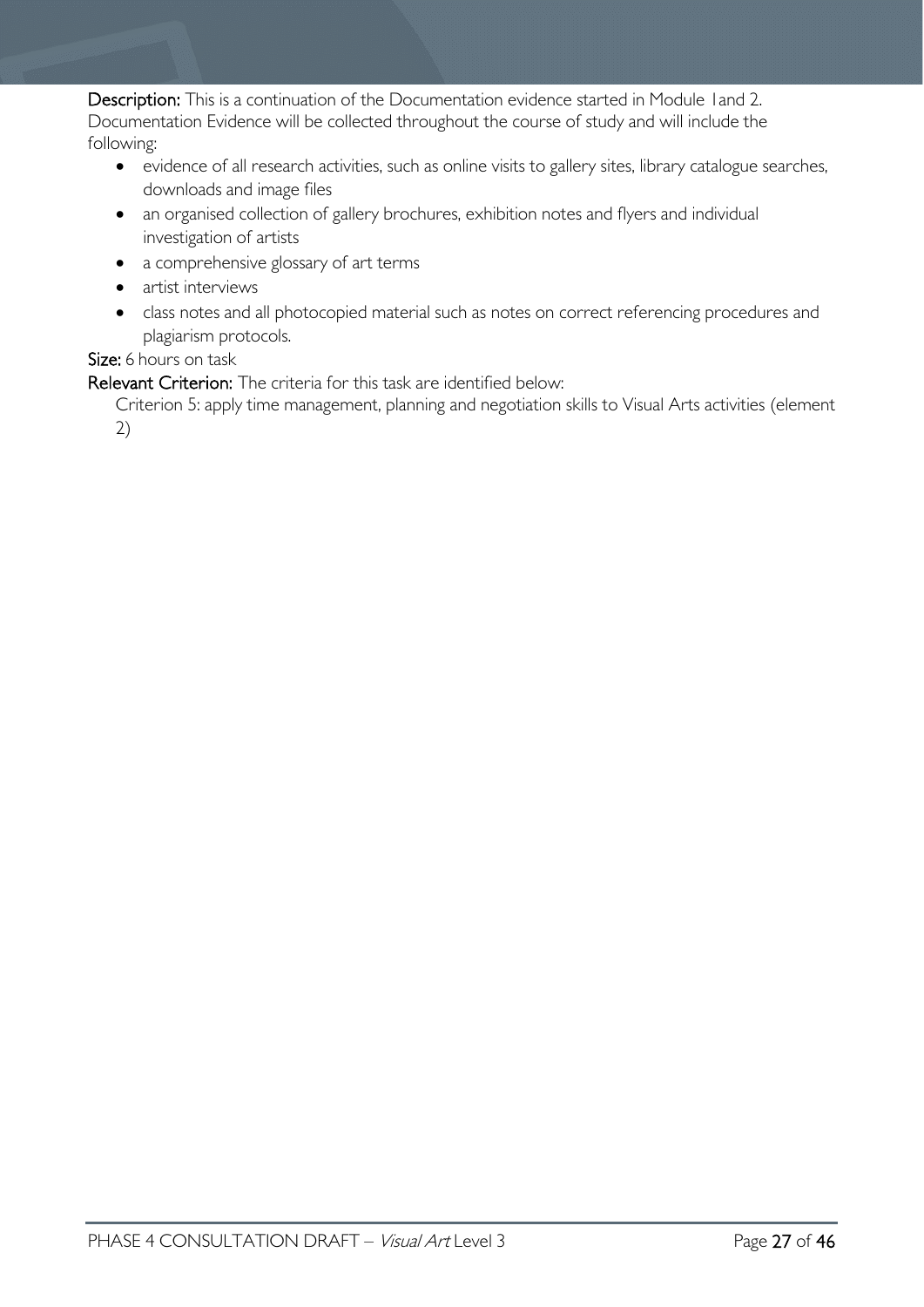Description: This is a continuation of the Documentation evidence started in Module 1 and 2. Documentation Evidence will be collected throughout the course of study and will include the following:

- evidence of all research activities, such as online visits to gallery sites, library catalogue searches, downloads and image files
- an organised collection of gallery brochures, exhibition notes and flyers and individual investigation of artists
- a comprehensive glossary of art terms
- artist interviews
- class notes and all photocopied material such as notes on correct referencing procedures and plagiarism protocols.

### Size: 6 hours on task

Relevant Criterion: The criteria for this task are identified below:

Criterion 5: apply time management, planning and negotiation skills to Visual Arts activities (element 2)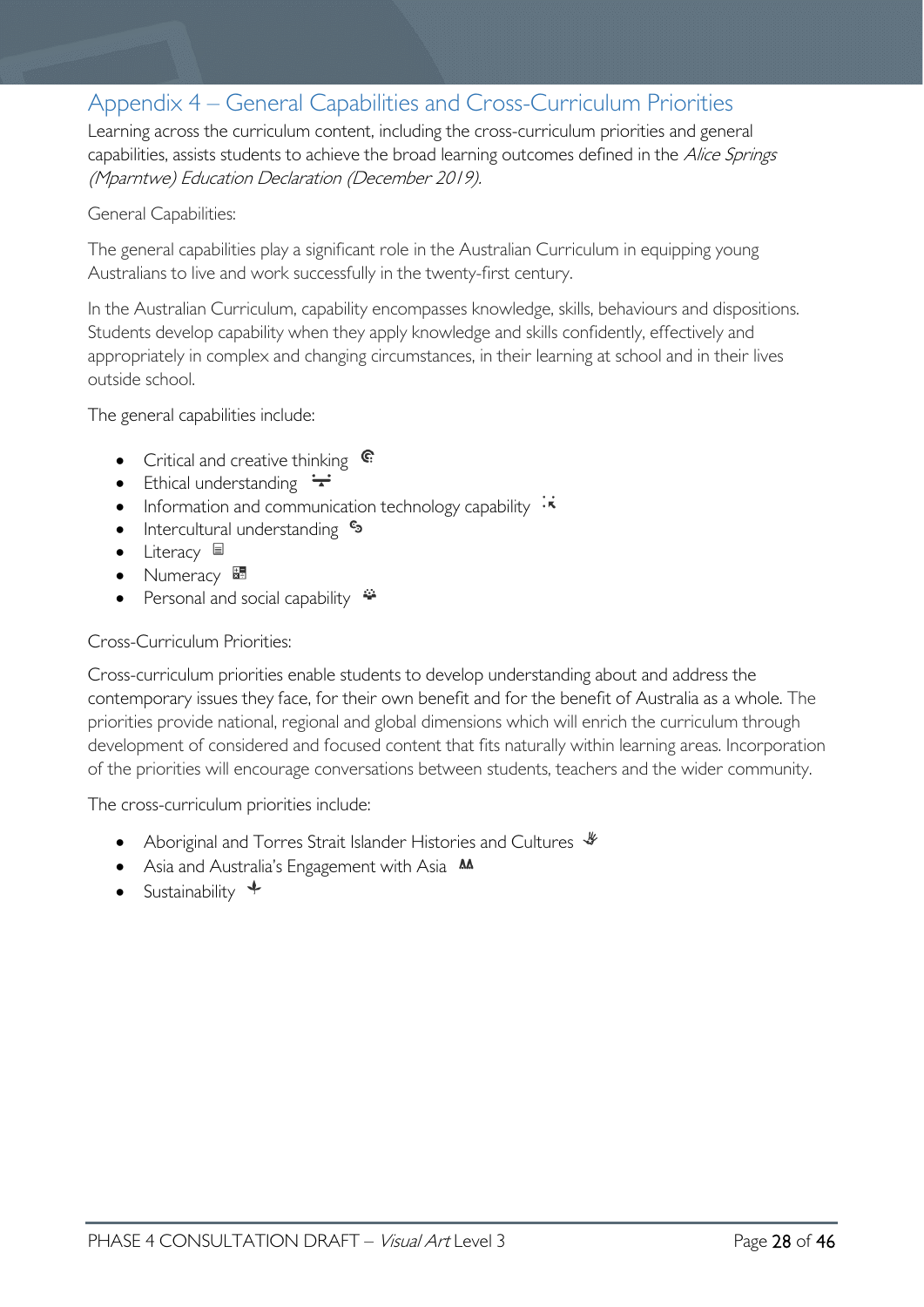# <span id="page-27-0"></span>Appendix 4 – General Capabilities and Cross-Curriculum Priorities

Learning across the curriculum content, including the cross-curriculum priorities and general capabilities, assists students to achieve the broad learning outcomes defined in the Alice Springs (Mparntwe) Education Declaration (December 2019).

#### General Capabilities:

The general capabilities play a significant role in the Australian Curriculum in equipping young Australians to live and work successfully in the twenty-first century.

In the Australian Curriculum, capability encompasses knowledge, skills, behaviours and dispositions. Students develop capability when they apply knowledge and skills confidently, effectively and appropriately in complex and changing circumstances, in their learning at school and in their lives outside school.

The general capabilities include:

- Critical and creative thinking  $\mathbb{C}$
- Ethical understanding  $\div$
- Information and communication technology capability  $\cdot \star$
- Intercultural understanding •
- Literacy  $\blacksquare$
- Numeracy
- Personal and social capability  $\ddot{\ddot{\bullet}}$

#### Cross-Curriculum Priorities:

Cross-curriculum priorities enable students to develop understanding about and address the contemporary issues they face, for their own benefit and for the benefit of Australia as a whole. The priorities provide national, regional and global dimensions which will enrich the curriculum through development of considered and focused content that fits naturally within learning areas. Incorporation of the priorities will encourage conversations between students, teachers and the wider community.

The cross-curriculum priorities include:

- Aboriginal and Torres Strait Islander Histories and Cultures  $\mathcal$
- Asia and Australia's Engagement with Asia **AA**
- Sustainability  $\triangleleft$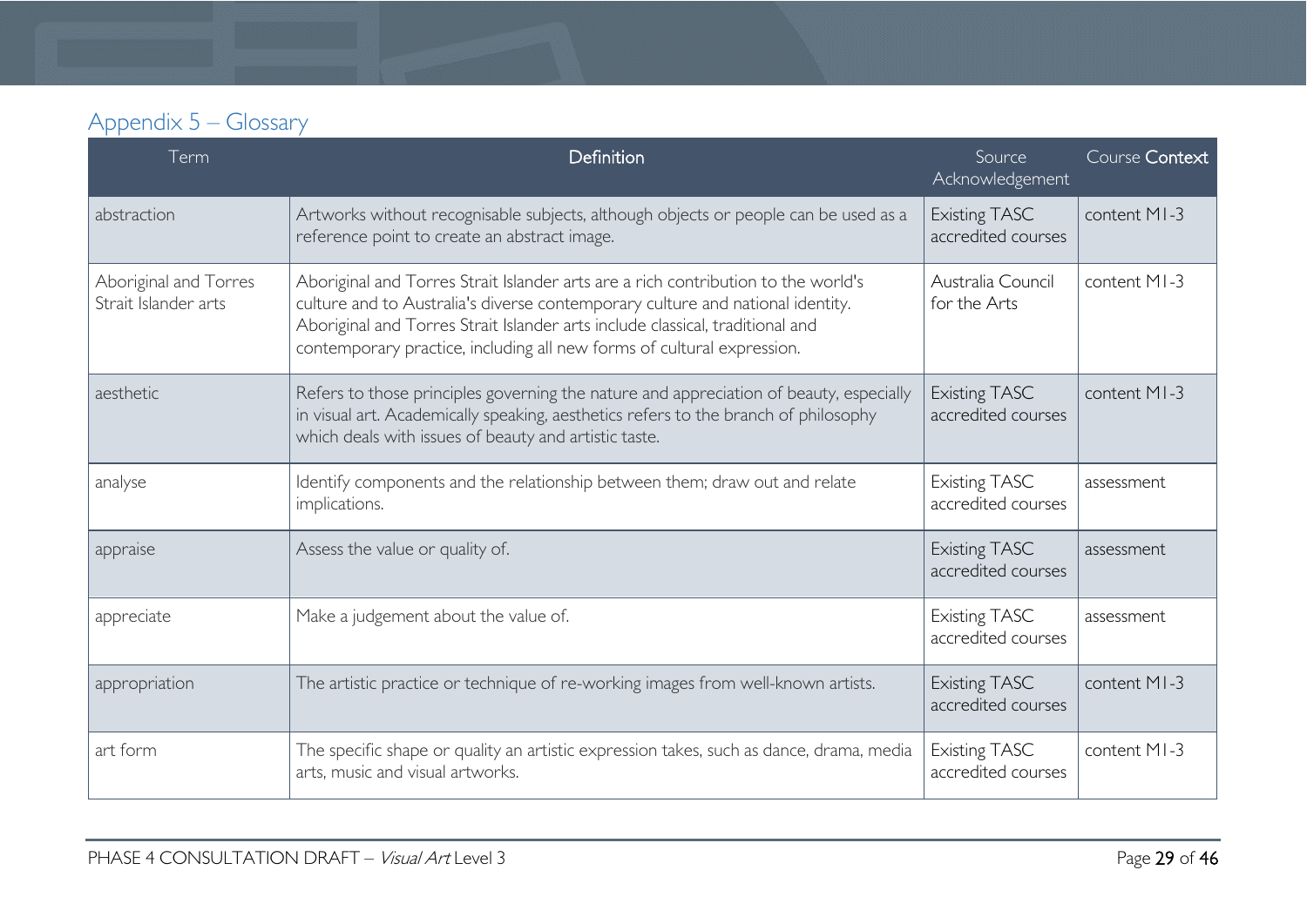| Appendix 5 – Glossary |  |
|-----------------------|--|
|-----------------------|--|

<span id="page-28-0"></span>

| Term                                          | Definition                                                                                                                                                                                                                                                                                                                     | Source<br>Acknowledgement                  | Course Context |
|-----------------------------------------------|--------------------------------------------------------------------------------------------------------------------------------------------------------------------------------------------------------------------------------------------------------------------------------------------------------------------------------|--------------------------------------------|----------------|
| abstraction                                   | Artworks without recognisable subjects, although objects or people can be used as a<br>reference point to create an abstract image.                                                                                                                                                                                            | <b>Existing TASC</b><br>accredited courses | content MI-3   |
| Aboriginal and Torres<br>Strait Islander arts | Aboriginal and Torres Strait Islander arts are a rich contribution to the world's<br>culture and to Australia's diverse contemporary culture and national identity.<br>Aboriginal and Torres Strait Islander arts include classical, traditional and<br>contemporary practice, including all new forms of cultural expression. | Australia Council<br>for the Arts          | content MI-3   |
| aesthetic                                     | Refers to those principles governing the nature and appreciation of beauty, especially<br>in visual art. Academically speaking, aesthetics refers to the branch of philosophy<br>which deals with issues of beauty and artistic taste.                                                                                         | <b>Existing TASC</b><br>accredited courses | content MI-3   |
| analyse                                       | Identify components and the relationship between them; draw out and relate<br>implications.                                                                                                                                                                                                                                    | <b>Existing TASC</b><br>accredited courses | assessment     |
| appraise                                      | Assess the value or quality of.                                                                                                                                                                                                                                                                                                | <b>Existing TASC</b><br>accredited courses | assessment     |
| appreciate                                    | Make a judgement about the value of.                                                                                                                                                                                                                                                                                           | <b>Existing TASC</b><br>accredited courses | assessment     |
| appropriation                                 | The artistic practice or technique of re-working images from well-known artists.                                                                                                                                                                                                                                               | <b>Existing TASC</b><br>accredited courses | content MI-3   |
| art form                                      | The specific shape or quality an artistic expression takes, such as dance, drama, media<br>arts, music and visual artworks.                                                                                                                                                                                                    | <b>Existing TASC</b><br>accredited courses | content MI-3   |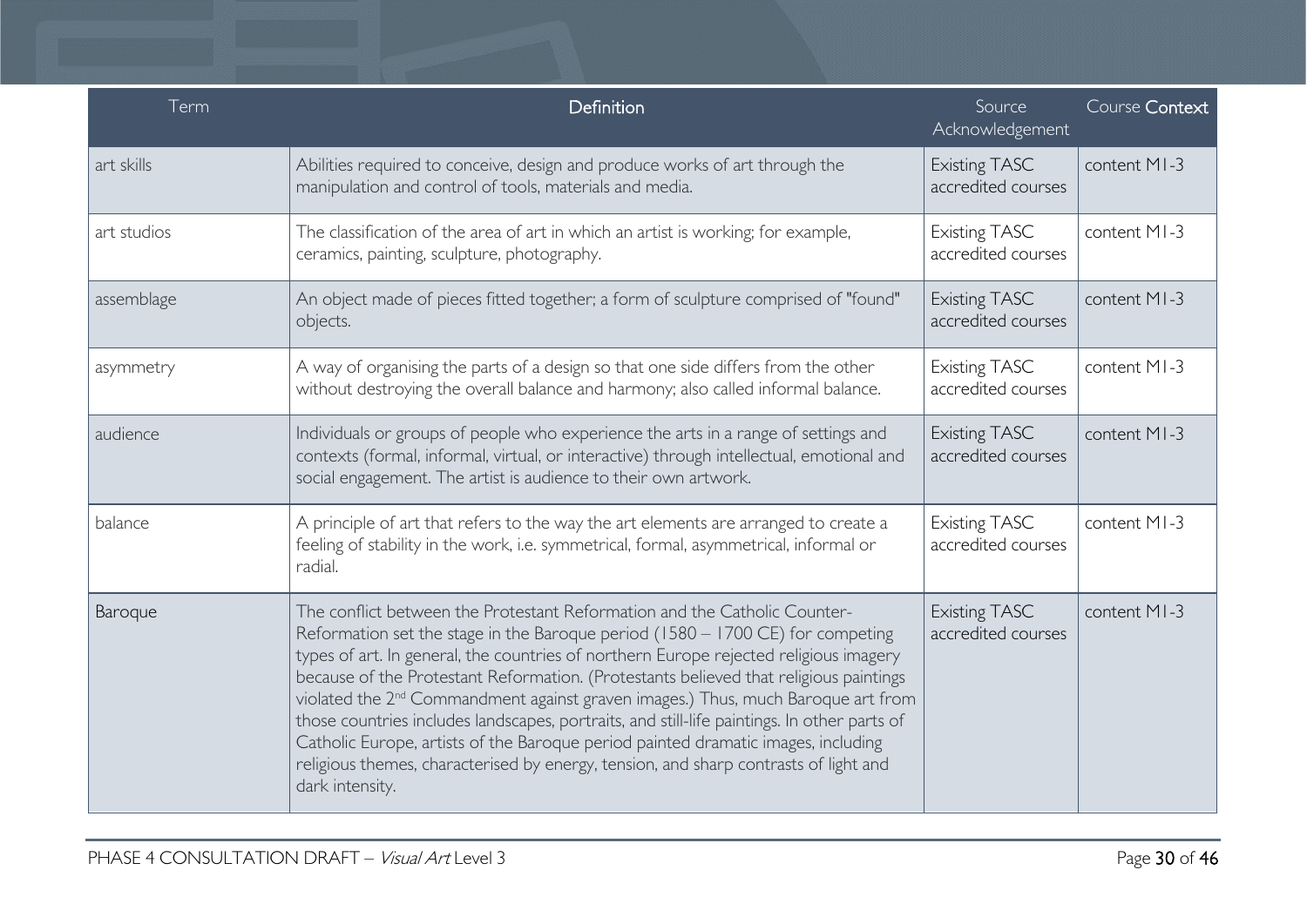| Term        | Definition                                                                                                                                                                                                                                                                                                                                                                                                                                                                                                                                                                                                                                                                                                                                   | Source<br>Acknowledgement                  | Course Context |
|-------------|----------------------------------------------------------------------------------------------------------------------------------------------------------------------------------------------------------------------------------------------------------------------------------------------------------------------------------------------------------------------------------------------------------------------------------------------------------------------------------------------------------------------------------------------------------------------------------------------------------------------------------------------------------------------------------------------------------------------------------------------|--------------------------------------------|----------------|
| art skills  | Abilities required to conceive, design and produce works of art through the<br>manipulation and control of tools, materials and media.                                                                                                                                                                                                                                                                                                                                                                                                                                                                                                                                                                                                       | <b>Existing TASC</b><br>accredited courses | content MI-3   |
| art studios | The classification of the area of art in which an artist is working; for example,<br>ceramics, painting, sculpture, photography.                                                                                                                                                                                                                                                                                                                                                                                                                                                                                                                                                                                                             | <b>Existing TASC</b><br>accredited courses | content MI-3   |
| assemblage  | An object made of pieces fitted together; a form of sculpture comprised of "found"<br>objects.                                                                                                                                                                                                                                                                                                                                                                                                                                                                                                                                                                                                                                               | <b>Existing TASC</b><br>accredited courses | content MI-3   |
| asymmetry   | A way of organising the parts of a design so that one side differs from the other<br>without destroying the overall balance and harmony; also called informal balance.                                                                                                                                                                                                                                                                                                                                                                                                                                                                                                                                                                       | <b>Existing TASC</b><br>accredited courses | content MI-3   |
| audience    | Individuals or groups of people who experience the arts in a range of settings and<br>contexts (formal, informal, virtual, or interactive) through intellectual, emotional and<br>social engagement. The artist is audience to their own artwork.                                                                                                                                                                                                                                                                                                                                                                                                                                                                                            | <b>Existing TASC</b><br>accredited courses | content MI-3   |
| balance     | A principle of art that refers to the way the art elements are arranged to create a<br>feeling of stability in the work, i.e. symmetrical, formal, asymmetrical, informal or<br>radial.                                                                                                                                                                                                                                                                                                                                                                                                                                                                                                                                                      | <b>Existing TASC</b><br>accredited courses | content MI-3   |
| Baroque     | The conflict between the Protestant Reformation and the Catholic Counter-<br>Reformation set the stage in the Baroque period (1580 - 1700 CE) for competing<br>types of art. In general, the countries of northern Europe rejected religious imagery<br>because of the Protestant Reformation. (Protestants believed that religious paintings<br>violated the 2 <sup>nd</sup> Commandment against graven images.) Thus, much Baroque art from<br>those countries includes landscapes, portraits, and still-life paintings. In other parts of<br>Catholic Europe, artists of the Baroque period painted dramatic images, including<br>religious themes, characterised by energy, tension, and sharp contrasts of light and<br>dark intensity. | <b>Existing TASC</b><br>accredited courses | content MI-3   |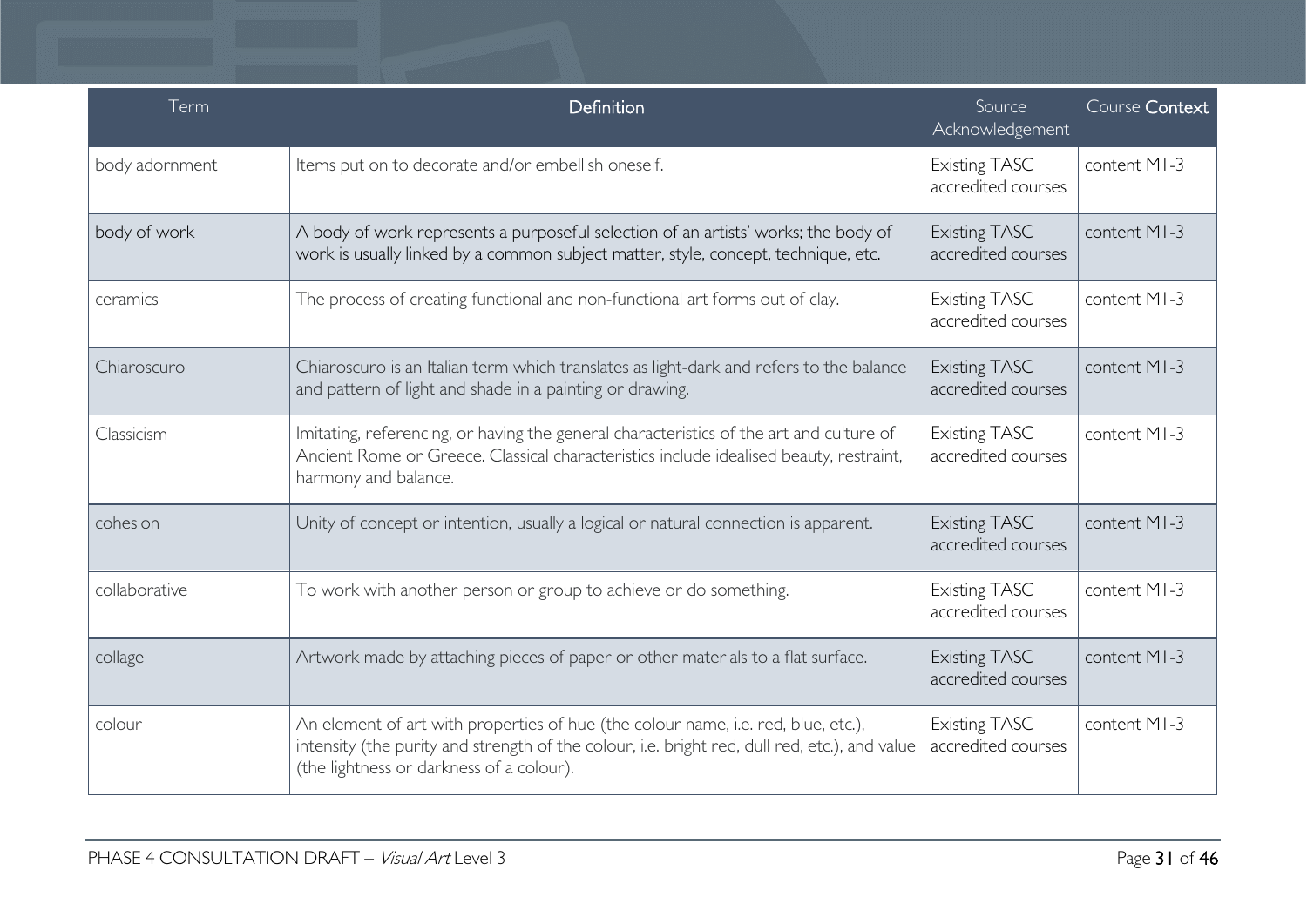| Term           | Definition                                                                                                                                                                                                                     | Source<br>Acknowledgement                  | Course Context |
|----------------|--------------------------------------------------------------------------------------------------------------------------------------------------------------------------------------------------------------------------------|--------------------------------------------|----------------|
| body adornment | Items put on to decorate and/or embellish oneself.                                                                                                                                                                             | <b>Existing TASC</b><br>accredited courses | content MI-3   |
| body of work   | A body of work represents a purposeful selection of an artists' works; the body of<br>work is usually linked by a common subject matter, style, concept, technique, etc.                                                       | <b>Existing TASC</b><br>accredited courses | content MI-3   |
| ceramics       | The process of creating functional and non-functional art forms out of clay.                                                                                                                                                   | <b>Existing TASC</b><br>accredited courses | content MI-3   |
| Chiaroscuro    | Chiaroscuro is an Italian term which translates as light-dark and refers to the balance<br>and pattern of light and shade in a painting or drawing.                                                                            | <b>Existing TASC</b><br>accredited courses | content MI-3   |
| Classicism     | Imitating, referencing, or having the general characteristics of the art and culture of<br>Ancient Rome or Greece. Classical characteristics include idealised beauty, restraint,<br>harmony and balance.                      | <b>Existing TASC</b><br>accredited courses | content MI-3   |
| cohesion       | Unity of concept or intention, usually a logical or natural connection is apparent.                                                                                                                                            | <b>Existing TASC</b><br>accredited courses | content MI-3   |
| collaborative  | To work with another person or group to achieve or do something.                                                                                                                                                               | <b>Existing TASC</b><br>accredited courses | content MI-3   |
| collage        | Artwork made by attaching pieces of paper or other materials to a flat surface.                                                                                                                                                | <b>Existing TASC</b><br>accredited courses | content MI-3   |
| colour         | An element of art with properties of hue (the colour name, i.e. red, blue, etc.),<br>intensity (the purity and strength of the colour, i.e. bright red, dull red, etc.), and value<br>(the lightness or darkness of a colour). | <b>Existing TASC</b><br>accredited courses | content MI-3   |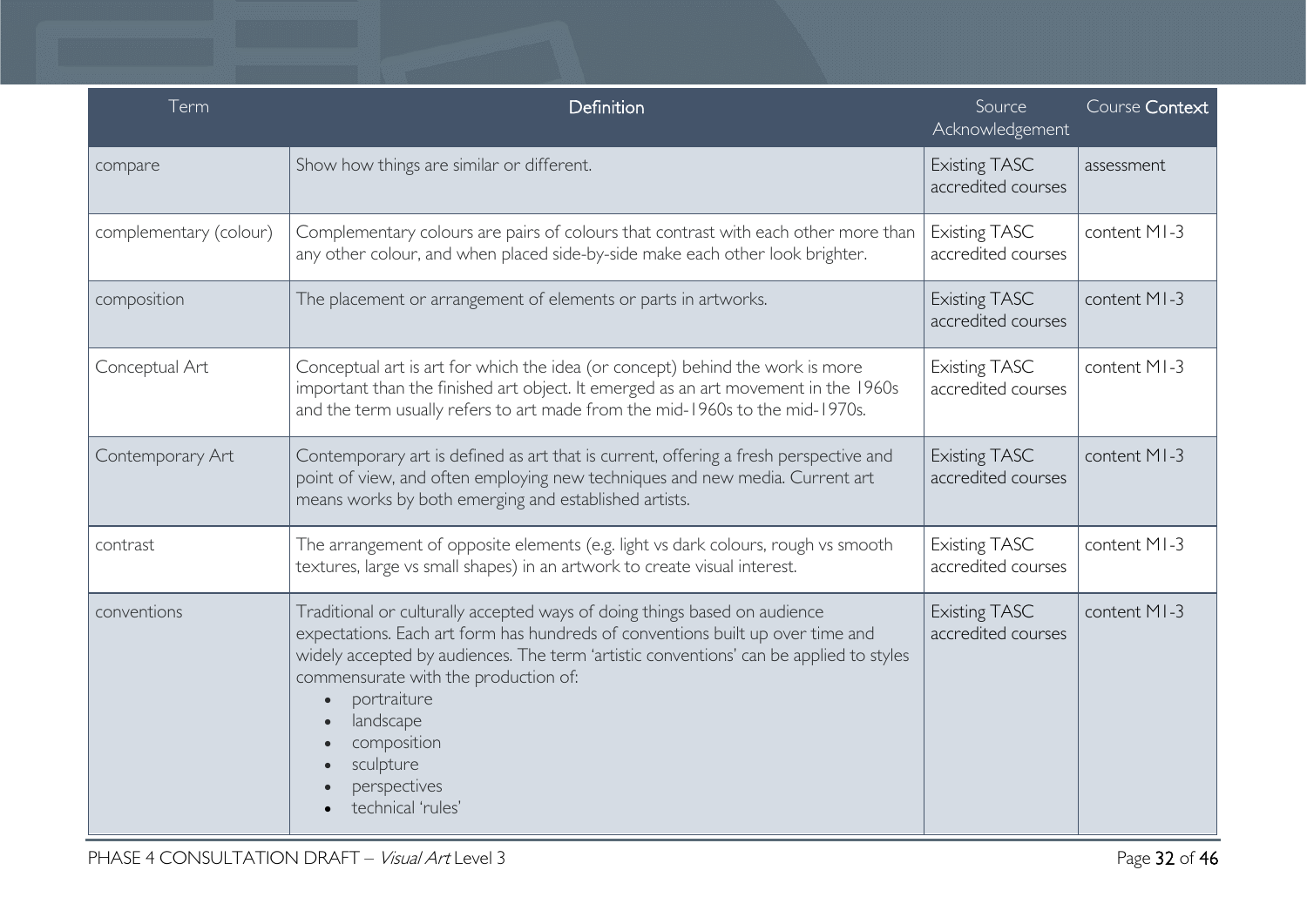| Term                   | Definition                                                                                                                                                                                                                                                                                                                                                                                 | Source<br>Acknowledgement                  | Course Context |
|------------------------|--------------------------------------------------------------------------------------------------------------------------------------------------------------------------------------------------------------------------------------------------------------------------------------------------------------------------------------------------------------------------------------------|--------------------------------------------|----------------|
| compare                | Show how things are similar or different.                                                                                                                                                                                                                                                                                                                                                  | <b>Existing TASC</b><br>accredited courses | assessment     |
| complementary (colour) | Complementary colours are pairs of colours that contrast with each other more than<br>any other colour, and when placed side-by-side make each other look brighter.                                                                                                                                                                                                                        | <b>Existing TASC</b><br>accredited courses | content MI-3   |
| composition            | The placement or arrangement of elements or parts in artworks.                                                                                                                                                                                                                                                                                                                             | <b>Existing TASC</b><br>accredited courses | content MI-3   |
| Conceptual Art         | Conceptual art is art for which the idea (or concept) behind the work is more<br>important than the finished art object. It emerged as an art movement in the 1960s<br>and the term usually refers to art made from the mid-1960s to the mid-1970s.                                                                                                                                        | <b>Existing TASC</b><br>accredited courses | content MI-3   |
| Contemporary Art       | Contemporary art is defined as art that is current, offering a fresh perspective and<br>point of view, and often employing new techniques and new media. Current art<br>means works by both emerging and established artists.                                                                                                                                                              | <b>Existing TASC</b><br>accredited courses | content MI-3   |
| contrast               | The arrangement of opposite elements (e.g. light vs dark colours, rough vs smooth<br>textures, large vs small shapes) in an artwork to create visual interest.                                                                                                                                                                                                                             | <b>Existing TASC</b><br>accredited courses | content MI-3   |
| conventions            | Traditional or culturally accepted ways of doing things based on audience<br>expectations. Each art form has hundreds of conventions built up over time and<br>widely accepted by audiences. The term 'artistic conventions' can be applied to styles<br>commensurate with the production of:<br>portraiture<br>landscape<br>composition<br>sculpture<br>perspectives<br>technical 'rules' | <b>Existing TASC</b><br>accredited courses | content MI-3   |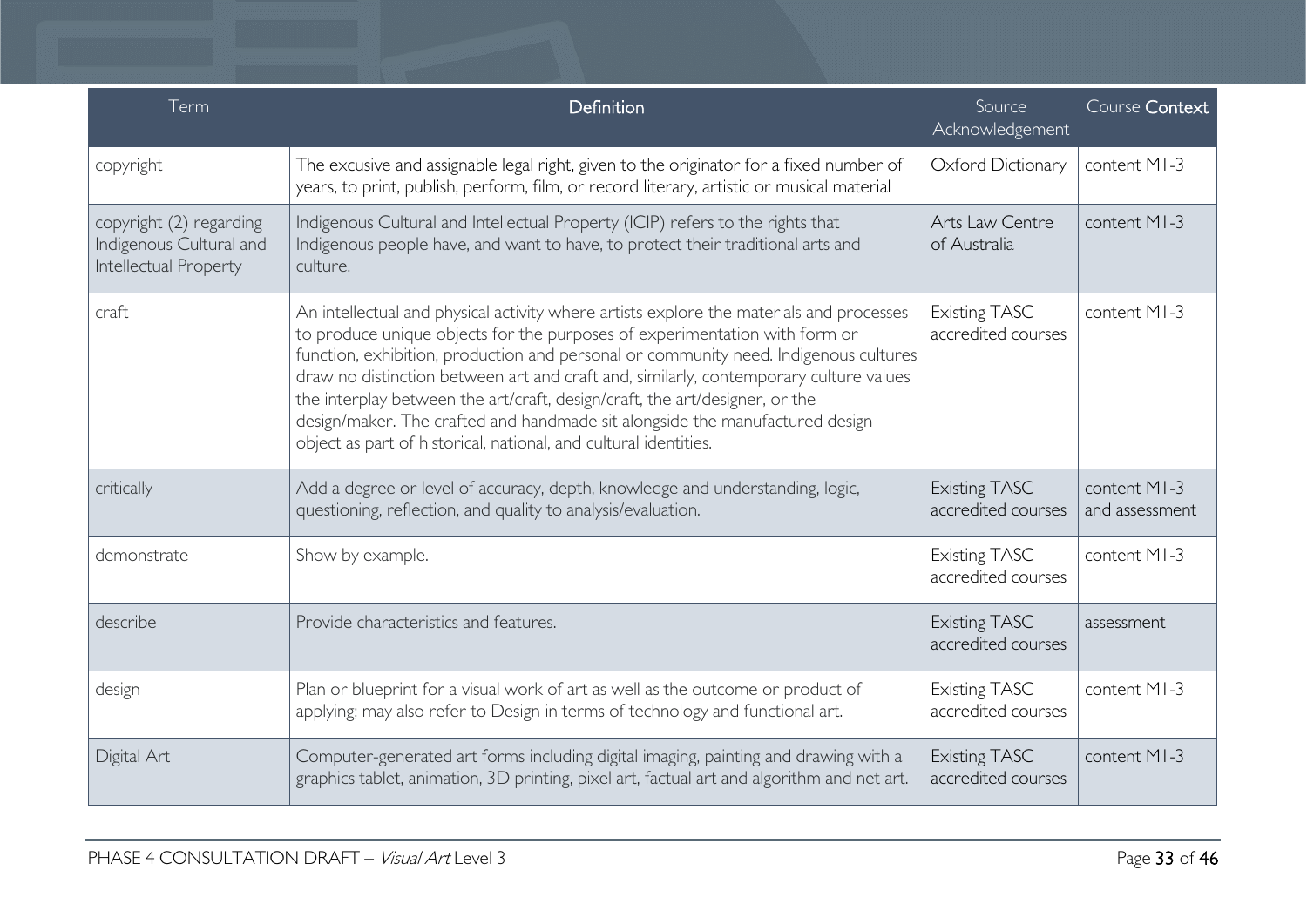| Term                                                                        | Definition                                                                                                                                                                                                                                                                                                                                                                                                                                                                                                                                                                                | Source<br>Acknowledgement                  | Course Context                 |
|-----------------------------------------------------------------------------|-------------------------------------------------------------------------------------------------------------------------------------------------------------------------------------------------------------------------------------------------------------------------------------------------------------------------------------------------------------------------------------------------------------------------------------------------------------------------------------------------------------------------------------------------------------------------------------------|--------------------------------------------|--------------------------------|
| copyright                                                                   | The excusive and assignable legal right, given to the originator for a fixed number of<br>years, to print, publish, perform, film, or record literary, artistic or musical material                                                                                                                                                                                                                                                                                                                                                                                                       | Oxford Dictionary                          | content MI-3                   |
| copyright (2) regarding<br>Indigenous Cultural and<br>Intellectual Property | Indigenous Cultural and Intellectual Property (ICIP) refers to the rights that<br>Indigenous people have, and want to have, to protect their traditional arts and<br>culture.                                                                                                                                                                                                                                                                                                                                                                                                             | Arts Law Centre<br>of Australia            | content MI-3                   |
| craft                                                                       | An intellectual and physical activity where artists explore the materials and processes<br>to produce unique objects for the purposes of experimentation with form or<br>function, exhibition, production and personal or community need. Indigenous cultures<br>draw no distinction between art and craft and, similarly, contemporary culture values<br>the interplay between the art/craft, design/craft, the art/designer, or the<br>design/maker. The crafted and handmade sit alongside the manufactured design<br>object as part of historical, national, and cultural identities. | <b>Existing TASC</b><br>accredited courses | content MI-3                   |
| critically                                                                  | Add a degree or level of accuracy, depth, knowledge and understanding, logic,<br>questioning, reflection, and quality to analysis/evaluation.                                                                                                                                                                                                                                                                                                                                                                                                                                             | <b>Existing TASC</b><br>accredited courses | content MI-3<br>and assessment |
| demonstrate                                                                 | Show by example.                                                                                                                                                                                                                                                                                                                                                                                                                                                                                                                                                                          | <b>Existing TASC</b><br>accredited courses | content MI-3                   |
| describe                                                                    | Provide characteristics and features.                                                                                                                                                                                                                                                                                                                                                                                                                                                                                                                                                     | <b>Existing TASC</b><br>accredited courses | assessment                     |
| design                                                                      | Plan or blueprint for a visual work of art as well as the outcome or product of<br>applying; may also refer to Design in terms of technology and functional art.                                                                                                                                                                                                                                                                                                                                                                                                                          | <b>Existing TASC</b><br>accredited courses | content MI-3                   |
| Digital Art                                                                 | Computer-generated art forms including digital imaging, painting and drawing with a<br>graphics tablet, animation, 3D printing, pixel art, factual art and algorithm and net art.                                                                                                                                                                                                                                                                                                                                                                                                         | <b>Existing TASC</b><br>accredited courses | content MI-3                   |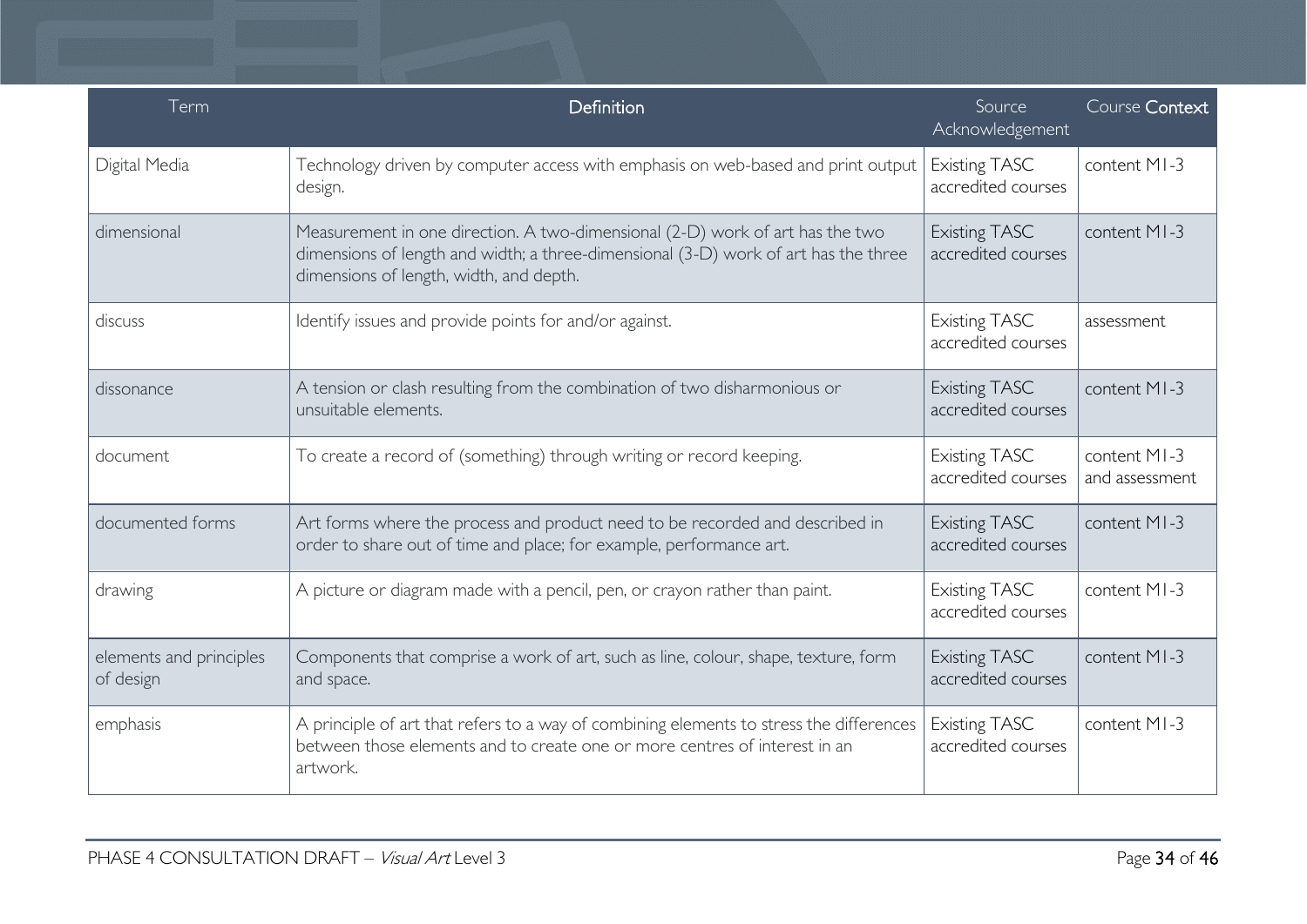| Term                                 | Definition                                                                                                                                                                                                      | Source<br>Acknowledgement                  | Course Context                 |
|--------------------------------------|-----------------------------------------------------------------------------------------------------------------------------------------------------------------------------------------------------------------|--------------------------------------------|--------------------------------|
| Digital Media                        | Technology driven by computer access with emphasis on web-based and print output<br>design.                                                                                                                     | <b>Existing TASC</b><br>accredited courses | content MI-3                   |
| dimensional                          | Measurement in one direction. A two-dimensional (2-D) work of art has the two<br>dimensions of length and width; a three-dimensional (3-D) work of art has the three<br>dimensions of length, width, and depth. | <b>Existing TASC</b><br>accredited courses | content MI-3                   |
| discuss                              | Identify issues and provide points for and/or against.                                                                                                                                                          | <b>Existing TASC</b><br>accredited courses | assessment                     |
| dissonance                           | A tension or clash resulting from the combination of two disharmonious or<br>unsuitable elements.                                                                                                               | <b>Existing TASC</b><br>accredited courses | content MI-3                   |
| document                             | To create a record of (something) through writing or record keeping.                                                                                                                                            | <b>Existing TASC</b><br>accredited courses | content MI-3<br>and assessment |
| documented forms                     | Art forms where the process and product need to be recorded and described in<br>order to share out of time and place; for example, performance art.                                                             | <b>Existing TASC</b><br>accredited courses | content MI-3                   |
| drawing                              | A picture or diagram made with a pencil, pen, or crayon rather than paint.                                                                                                                                      | <b>Existing TASC</b><br>accredited courses | content MI-3                   |
| elements and principles<br>of design | Components that comprise a work of art, such as line, colour, shape, texture, form<br>and space.                                                                                                                | <b>Existing TASC</b><br>accredited courses | content MI-3                   |
| emphasis                             | A principle of art that refers to a way of combining elements to stress the differences<br>between those elements and to create one or more centres of interest in an<br>artwork.                               | <b>Existing TASC</b><br>accredited courses | content MI-3                   |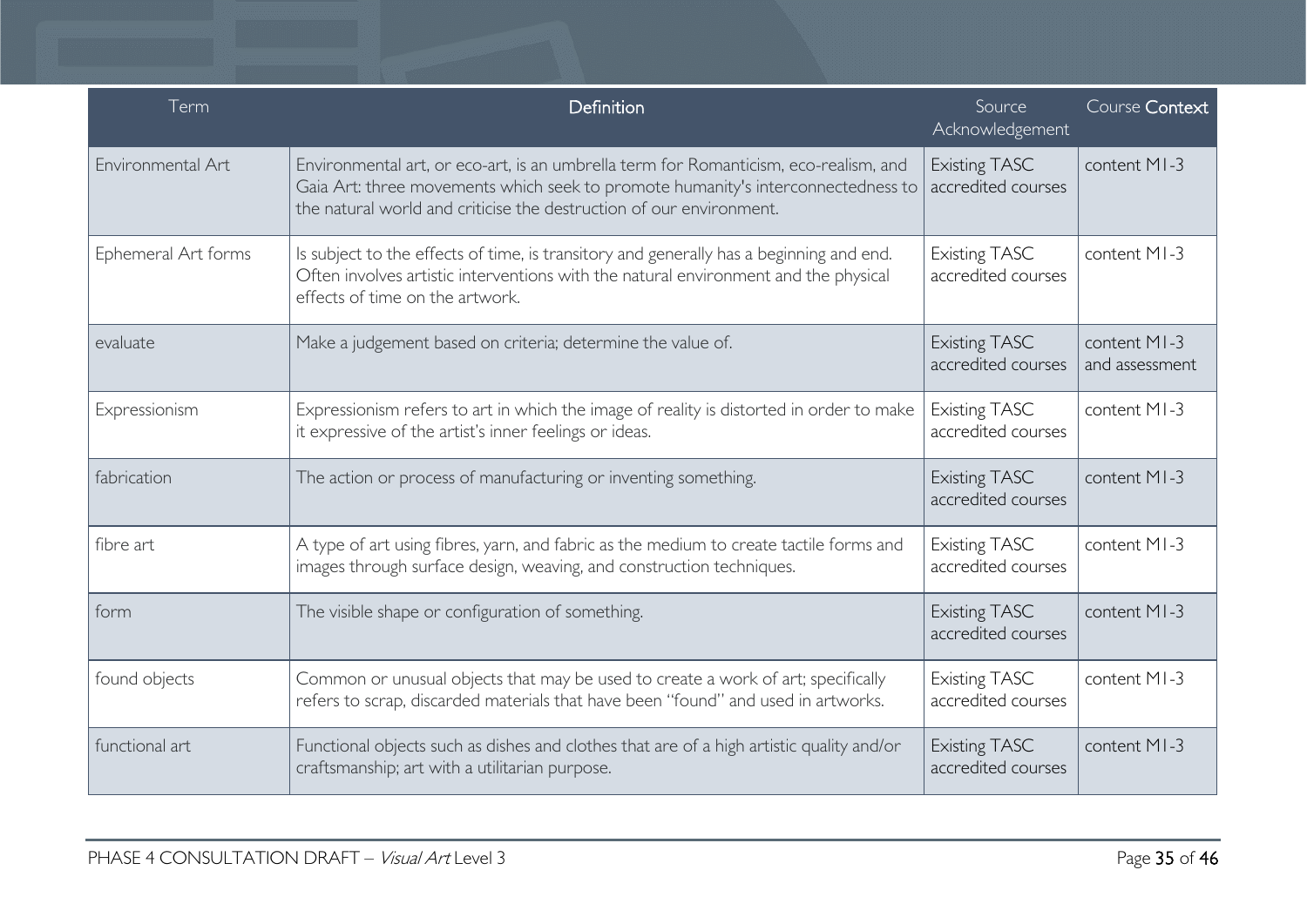| Term                | Definition                                                                                                                                                                                                                                      | Source<br>Acknowledgement                  | Course Context                 |
|---------------------|-------------------------------------------------------------------------------------------------------------------------------------------------------------------------------------------------------------------------------------------------|--------------------------------------------|--------------------------------|
| Environmental Art   | Environmental art, or eco-art, is an umbrella term for Romanticism, eco-realism, and<br>Gaia Art: three movements which seek to promote humanity's interconnectedness to<br>the natural world and criticise the destruction of our environment. | Existing TASC<br>accredited courses        | content MI-3                   |
| Ephemeral Art forms | Is subject to the effects of time, is transitory and generally has a beginning and end.<br>Often involves artistic interventions with the natural environment and the physical<br>effects of time on the artwork.                               | <b>Existing TASC</b><br>accredited courses | content MI-3                   |
| evaluate            | Make a judgement based on criteria; determine the value of.                                                                                                                                                                                     | <b>Existing TASC</b><br>accredited courses | content MI-3<br>and assessment |
| Expressionism       | Expressionism refers to art in which the image of reality is distorted in order to make<br>it expressive of the artist's inner feelings or ideas.                                                                                               | <b>Existing TASC</b><br>accredited courses | content MI-3                   |
| fabrication         | The action or process of manufacturing or inventing something.                                                                                                                                                                                  | <b>Existing TASC</b><br>accredited courses | content MI-3                   |
| fibre art           | A type of art using fibres, yarn, and fabric as the medium to create tactile forms and<br>images through surface design, weaving, and construction techniques.                                                                                  | <b>Existing TASC</b><br>accredited courses | content MI-3                   |
| form                | The visible shape or configuration of something.                                                                                                                                                                                                | <b>Existing TASC</b><br>accredited courses | content MI-3                   |
| found objects       | Common or unusual objects that may be used to create a work of art; specifically<br>refers to scrap, discarded materials that have been "found" and used in artworks.                                                                           | <b>Existing TASC</b><br>accredited courses | content MI-3                   |
| functional art      | Functional objects such as dishes and clothes that are of a high artistic quality and/or<br>craftsmanship; art with a utilitarian purpose.                                                                                                      | <b>Existing TASC</b><br>accredited courses | content MI-3                   |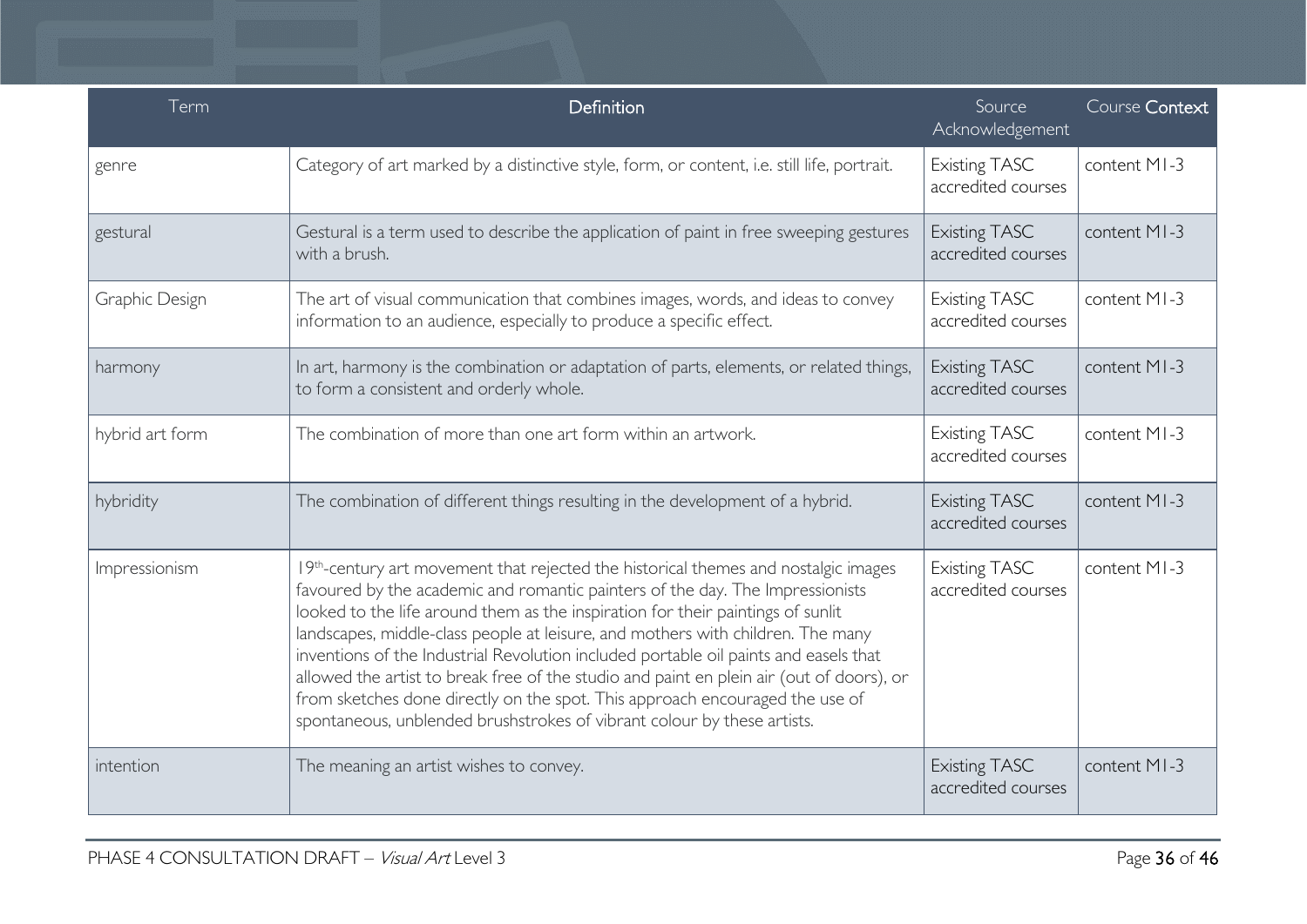| Term            | Definition                                                                                                                                                                                                                                                                                                                                                                                                                                                                                                                                                                                                                                                                               | Source<br>Acknowledgement                  | Course Context |
|-----------------|------------------------------------------------------------------------------------------------------------------------------------------------------------------------------------------------------------------------------------------------------------------------------------------------------------------------------------------------------------------------------------------------------------------------------------------------------------------------------------------------------------------------------------------------------------------------------------------------------------------------------------------------------------------------------------------|--------------------------------------------|----------------|
| genre           | Category of art marked by a distinctive style, form, or content, i.e. still life, portrait.                                                                                                                                                                                                                                                                                                                                                                                                                                                                                                                                                                                              | <b>Existing TASC</b><br>accredited courses | content MI-3   |
| gestural        | Gestural is a term used to describe the application of paint in free sweeping gestures<br>with a brush.                                                                                                                                                                                                                                                                                                                                                                                                                                                                                                                                                                                  | <b>Existing TASC</b><br>accredited courses | content MI-3   |
| Graphic Design  | The art of visual communication that combines images, words, and ideas to convey<br>information to an audience, especially to produce a specific effect.                                                                                                                                                                                                                                                                                                                                                                                                                                                                                                                                 | <b>Existing TASC</b><br>accredited courses | content MI-3   |
| harmony         | In art, harmony is the combination or adaptation of parts, elements, or related things,<br>to form a consistent and orderly whole.                                                                                                                                                                                                                                                                                                                                                                                                                                                                                                                                                       | <b>Existing TASC</b><br>accredited courses | content MI-3   |
| hybrid art form | The combination of more than one art form within an artwork.                                                                                                                                                                                                                                                                                                                                                                                                                                                                                                                                                                                                                             | <b>Existing TASC</b><br>accredited courses | content MI-3   |
| hybridity       | The combination of different things resulting in the development of a hybrid.                                                                                                                                                                                                                                                                                                                                                                                                                                                                                                                                                                                                            | <b>Existing TASC</b><br>accredited courses | content MI-3   |
| Impressionism   | 19th-century art movement that rejected the historical themes and nostalgic images<br>favoured by the academic and romantic painters of the day. The Impressionists<br>looked to the life around them as the inspiration for their paintings of sunlit<br>landscapes, middle-class people at leisure, and mothers with children. The many<br>inventions of the Industrial Revolution included portable oil paints and easels that<br>allowed the artist to break free of the studio and paint en plein air (out of doors), or<br>from sketches done directly on the spot. This approach encouraged the use of<br>spontaneous, unblended brushstrokes of vibrant colour by these artists. | <b>Existing TASC</b><br>accredited courses | content MI-3   |
| intention       | The meaning an artist wishes to convey.                                                                                                                                                                                                                                                                                                                                                                                                                                                                                                                                                                                                                                                  | <b>Existing TASC</b><br>accredited courses | content MI-3   |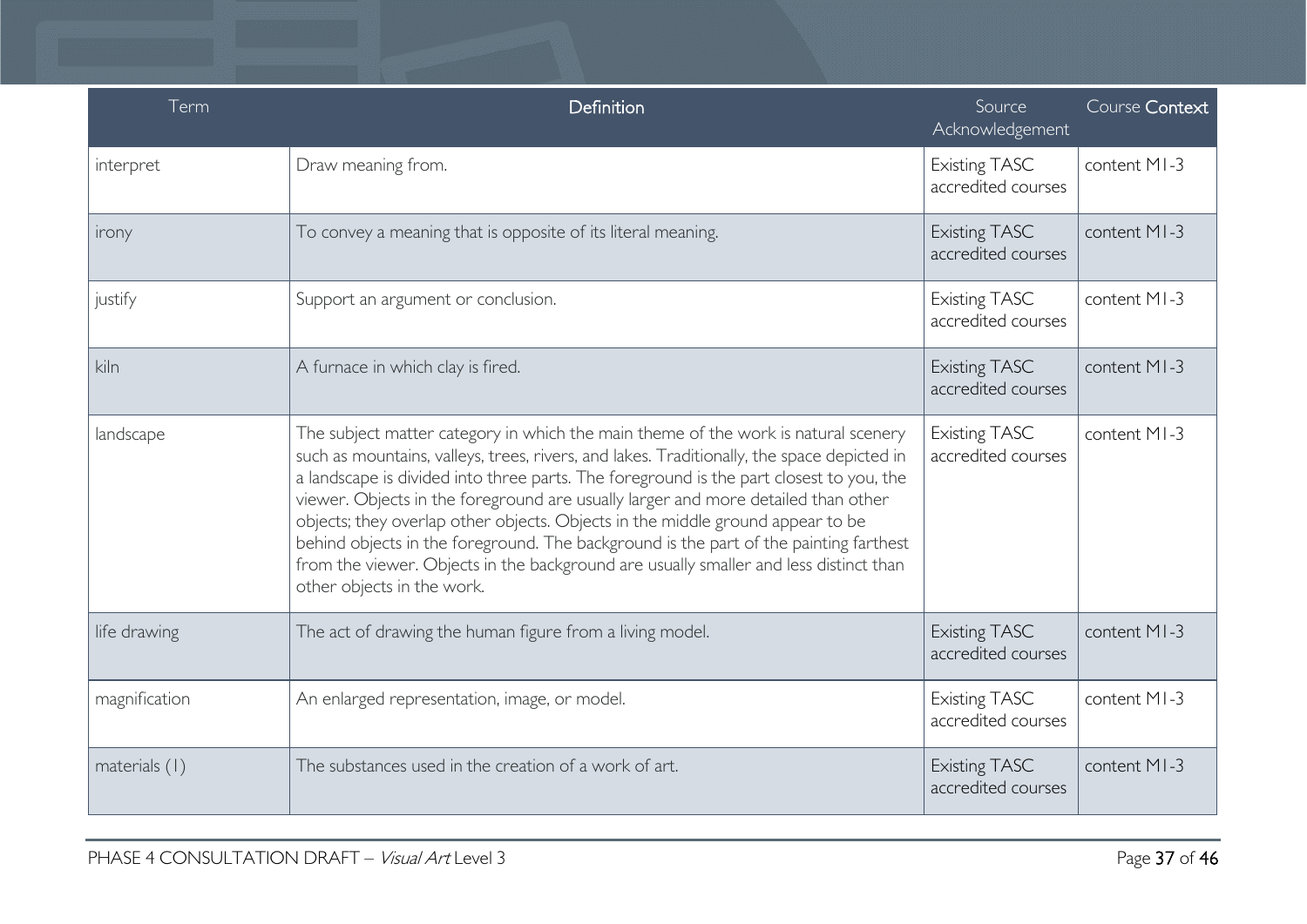| Term          | Definition                                                                                                                                                                                                                                                                                                                                                                                                                                                                                                                                                                                                                                                         | Source<br>Acknowledgement                  | Course Context |
|---------------|--------------------------------------------------------------------------------------------------------------------------------------------------------------------------------------------------------------------------------------------------------------------------------------------------------------------------------------------------------------------------------------------------------------------------------------------------------------------------------------------------------------------------------------------------------------------------------------------------------------------------------------------------------------------|--------------------------------------------|----------------|
| interpret     | Draw meaning from.                                                                                                                                                                                                                                                                                                                                                                                                                                                                                                                                                                                                                                                 | <b>Existing TASC</b><br>accredited courses | content MI-3   |
| irony         | To convey a meaning that is opposite of its literal meaning.                                                                                                                                                                                                                                                                                                                                                                                                                                                                                                                                                                                                       | <b>Existing TASC</b><br>accredited courses | content MI-3   |
| justify       | Support an argument or conclusion.                                                                                                                                                                                                                                                                                                                                                                                                                                                                                                                                                                                                                                 | <b>Existing TASC</b><br>accredited courses | content MI-3   |
| kiln          | A furnace in which clay is fired.                                                                                                                                                                                                                                                                                                                                                                                                                                                                                                                                                                                                                                  | <b>Existing TASC</b><br>accredited courses | content MI-3   |
| landscape     | The subject matter category in which the main theme of the work is natural scenery<br>such as mountains, valleys, trees, rivers, and lakes. Traditionally, the space depicted in<br>a landscape is divided into three parts. The foreground is the part closest to you, the<br>viewer. Objects in the foreground are usually larger and more detailed than other<br>objects; they overlap other objects. Objects in the middle ground appear to be<br>behind objects in the foreground. The background is the part of the painting farthest<br>from the viewer. Objects in the background are usually smaller and less distinct than<br>other objects in the work. | <b>Existing TASC</b><br>accredited courses | content MI-3   |
| life drawing  | The act of drawing the human figure from a living model.                                                                                                                                                                                                                                                                                                                                                                                                                                                                                                                                                                                                           | <b>Existing TASC</b><br>accredited courses | content MI-3   |
| magnification | An enlarged representation, image, or model.                                                                                                                                                                                                                                                                                                                                                                                                                                                                                                                                                                                                                       | <b>Existing TASC</b><br>accredited courses | content MI-3   |
| materials (1) | The substances used in the creation of a work of art.                                                                                                                                                                                                                                                                                                                                                                                                                                                                                                                                                                                                              | <b>Existing TASC</b><br>accredited courses | content MI-3   |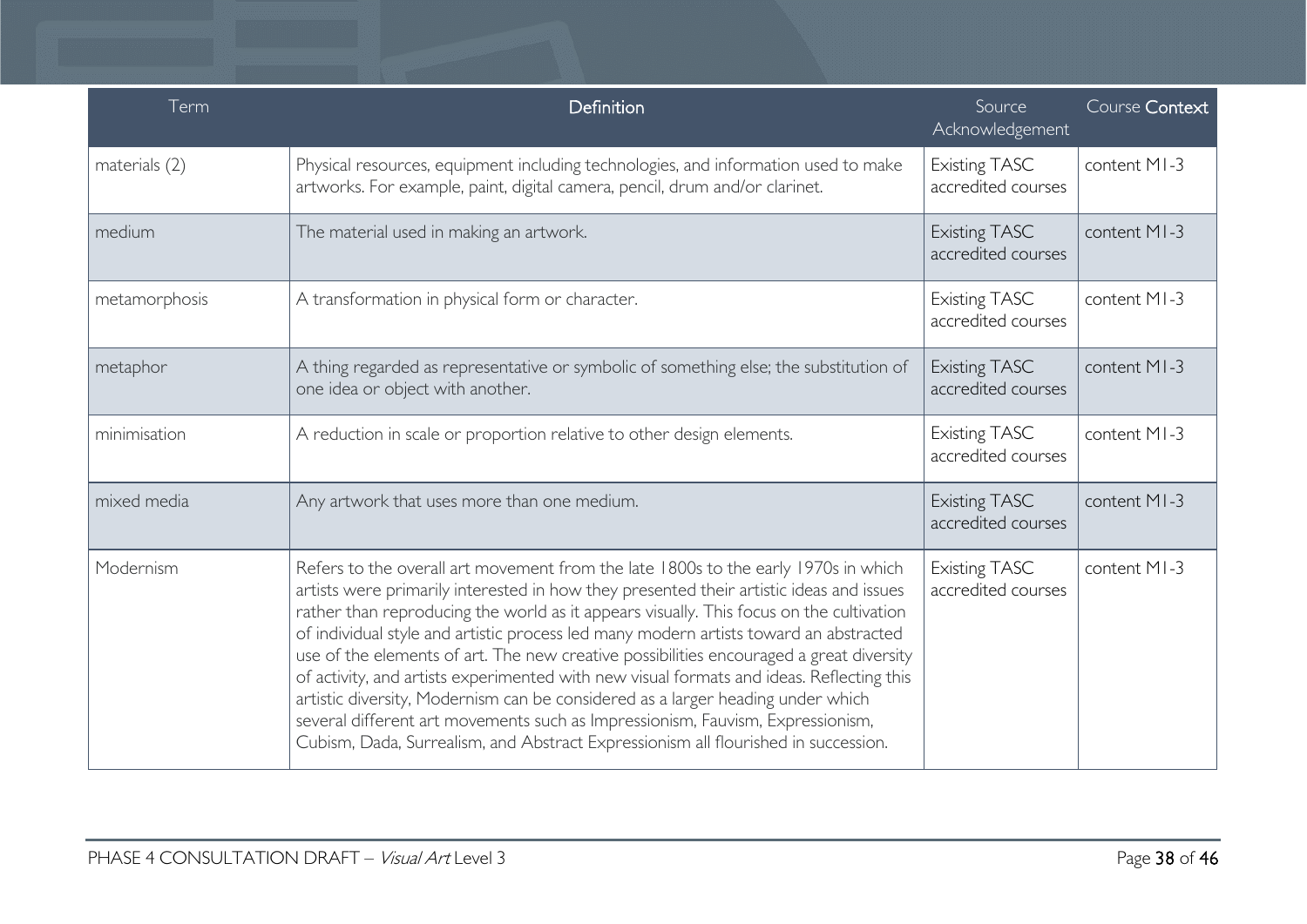| Term          | Definition                                                                                                                                                                                                                                                                                                                                                                                                                                                                                                                                                                                                                                                                                                                                                                                                          | Source<br>Acknowledgement                  | Course Context |
|---------------|---------------------------------------------------------------------------------------------------------------------------------------------------------------------------------------------------------------------------------------------------------------------------------------------------------------------------------------------------------------------------------------------------------------------------------------------------------------------------------------------------------------------------------------------------------------------------------------------------------------------------------------------------------------------------------------------------------------------------------------------------------------------------------------------------------------------|--------------------------------------------|----------------|
| materials (2) | Physical resources, equipment including technologies, and information used to make<br>artworks. For example, paint, digital camera, pencil, drum and/or clarinet.                                                                                                                                                                                                                                                                                                                                                                                                                                                                                                                                                                                                                                                   | <b>Existing TASC</b><br>accredited courses | content MI-3   |
| medium        | The material used in making an artwork.                                                                                                                                                                                                                                                                                                                                                                                                                                                                                                                                                                                                                                                                                                                                                                             | <b>Existing TASC</b><br>accredited courses | content MI-3   |
| metamorphosis | A transformation in physical form or character.                                                                                                                                                                                                                                                                                                                                                                                                                                                                                                                                                                                                                                                                                                                                                                     | <b>Existing TASC</b><br>accredited courses | content MI-3   |
| metaphor      | A thing regarded as representative or symbolic of something else; the substitution of<br>one idea or object with another.                                                                                                                                                                                                                                                                                                                                                                                                                                                                                                                                                                                                                                                                                           | <b>Existing TASC</b><br>accredited courses | content MI-3   |
| minimisation  | A reduction in scale or proportion relative to other design elements.                                                                                                                                                                                                                                                                                                                                                                                                                                                                                                                                                                                                                                                                                                                                               | <b>Existing TASC</b><br>accredited courses | content MI-3   |
| mixed media   | Any artwork that uses more than one medium.                                                                                                                                                                                                                                                                                                                                                                                                                                                                                                                                                                                                                                                                                                                                                                         | <b>Existing TASC</b><br>accredited courses | content MI-3   |
| Modernism     | Refers to the overall art movement from the late 1800s to the early 1970s in which<br>artists were primarily interested in how they presented their artistic ideas and issues<br>rather than reproducing the world as it appears visually. This focus on the cultivation<br>of individual style and artistic process led many modern artists toward an abstracted<br>use of the elements of art. The new creative possibilities encouraged a great diversity<br>of activity, and artists experimented with new visual formats and ideas. Reflecting this<br>artistic diversity, Modernism can be considered as a larger heading under which<br>several different art movements such as Impressionism, Fauvism, Expressionism,<br>Cubism, Dada, Surrealism, and Abstract Expressionism all flourished in succession. | <b>Existing TASC</b><br>accredited courses | content MI-3   |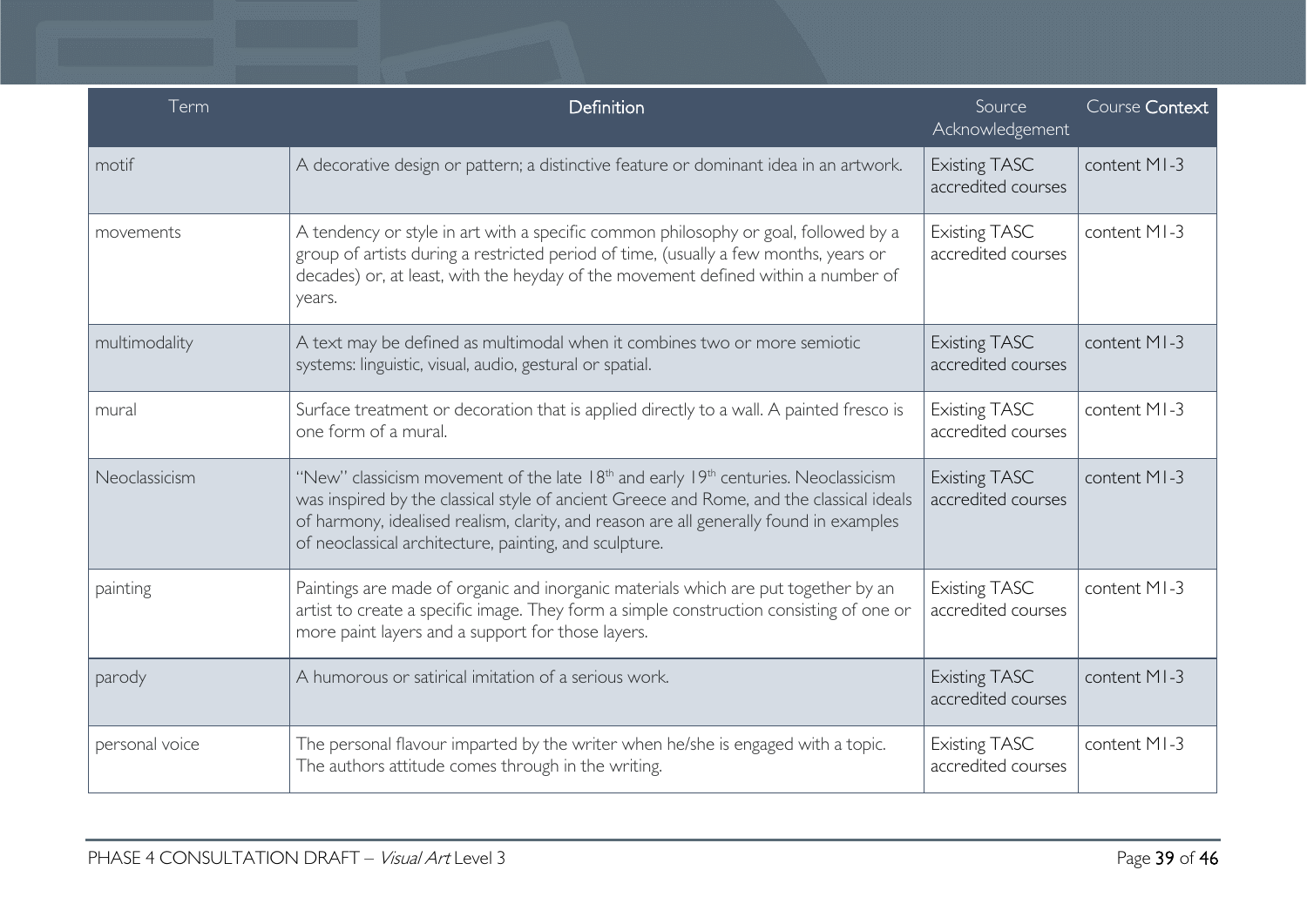| Term           | Definition                                                                                                                                                                                                                                                                                                                                                 | Source<br>Acknowledgement                  | Course Context |
|----------------|------------------------------------------------------------------------------------------------------------------------------------------------------------------------------------------------------------------------------------------------------------------------------------------------------------------------------------------------------------|--------------------------------------------|----------------|
| motif          | A decorative design or pattern; a distinctive feature or dominant idea in an artwork.                                                                                                                                                                                                                                                                      | <b>Existing TASC</b><br>accredited courses | content MI-3   |
| movements      | A tendency or style in art with a specific common philosophy or goal, followed by a<br>group of artists during a restricted period of time, (usually a few months, years or<br>decades) or, at least, with the heyday of the movement defined within a number of<br>years.                                                                                 | <b>Existing TASC</b><br>accredited courses | content MI-3   |
| multimodality  | A text may be defined as multimodal when it combines two or more semiotic<br>systems: linguistic, visual, audio, gestural or spatial.                                                                                                                                                                                                                      | <b>Existing TASC</b><br>accredited courses | content MI-3   |
| mural          | Surface treatment or decoration that is applied directly to a wall. A painted fresco is<br>one form of a mural.                                                                                                                                                                                                                                            | <b>Existing TASC</b><br>accredited courses | content MI-3   |
| Neoclassicism  | "New" classicism movement of the late 18 <sup>th</sup> and early 19 <sup>th</sup> centuries. Neoclassicism<br>was inspired by the classical style of ancient Greece and Rome, and the classical ideals<br>of harmony, idealised realism, clarity, and reason are all generally found in examples<br>of neoclassical architecture, painting, and sculpture. | <b>Existing TASC</b><br>accredited courses | content MI-3   |
| painting       | Paintings are made of organic and inorganic materials which are put together by an<br>artist to create a specific image. They form a simple construction consisting of one or<br>more paint layers and a support for those layers.                                                                                                                         | <b>Existing TASC</b><br>accredited courses | content MI-3   |
| parody         | A humorous or satirical imitation of a serious work.                                                                                                                                                                                                                                                                                                       | <b>Existing TASC</b><br>accredited courses | content MI-3   |
| personal voice | The personal flavour imparted by the writer when he/she is engaged with a topic.<br>The authors attitude comes through in the writing.                                                                                                                                                                                                                     | <b>Existing TASC</b><br>accredited courses | content MI-3   |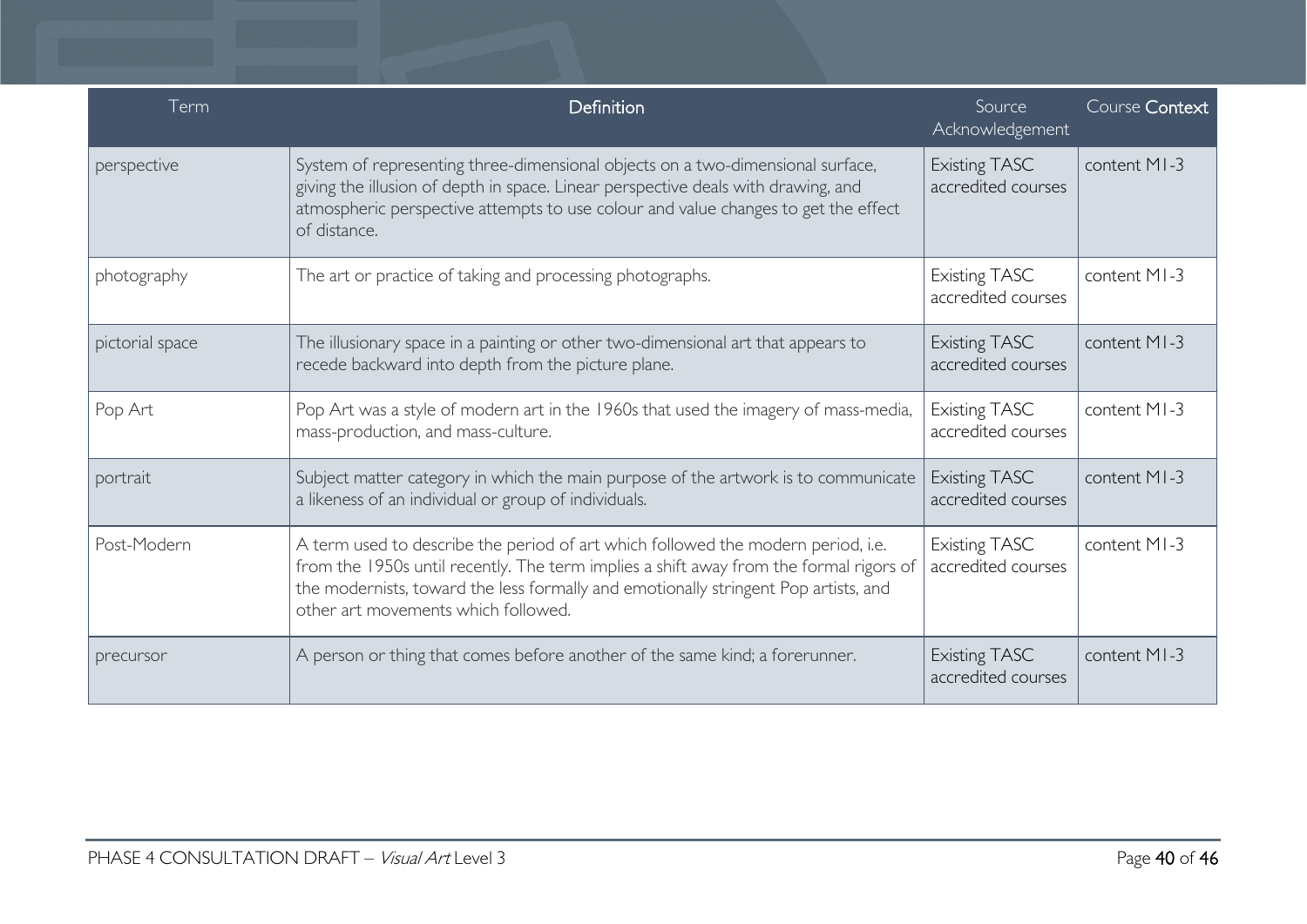| Term            | Definition                                                                                                                                                                                                                                                                                               | Source<br>Acknowledgement                  | Course Context |
|-----------------|----------------------------------------------------------------------------------------------------------------------------------------------------------------------------------------------------------------------------------------------------------------------------------------------------------|--------------------------------------------|----------------|
| perspective     | System of representing three-dimensional objects on a two-dimensional surface,<br>giving the illusion of depth in space. Linear perspective deals with drawing, and<br>atmospheric perspective attempts to use colour and value changes to get the effect<br>of distance.                                | <b>Existing TASC</b><br>accredited courses | content MI-3   |
| photography     | The art or practice of taking and processing photographs.                                                                                                                                                                                                                                                | <b>Existing TASC</b><br>accredited courses | content MI-3   |
| pictorial space | The illusionary space in a painting or other two-dimensional art that appears to<br>recede backward into depth from the picture plane.                                                                                                                                                                   | <b>Existing TASC</b><br>accredited courses | content MI-3   |
| Pop Art         | Pop Art was a style of modern art in the 1960s that used the imagery of mass-media,<br>mass-production, and mass-culture.                                                                                                                                                                                | <b>Existing TASC</b><br>accredited courses | content MI-3   |
| portrait        | Subject matter category in which the main purpose of the artwork is to communicate<br>a likeness of an individual or group of individuals.                                                                                                                                                               | <b>Existing TASC</b><br>accredited courses | content MI-3   |
| Post-Modern     | A term used to describe the period of art which followed the modern period, i.e.<br>from the 1950s until recently. The term implies a shift away from the formal rigors of<br>the modernists, toward the less formally and emotionally stringent Pop artists, and<br>other art movements which followed. | <b>Existing TASC</b><br>accredited courses | content MI-3   |
| precursor       | A person or thing that comes before another of the same kind; a forerunner.                                                                                                                                                                                                                              | <b>Existing TASC</b><br>accredited courses | content MI-3   |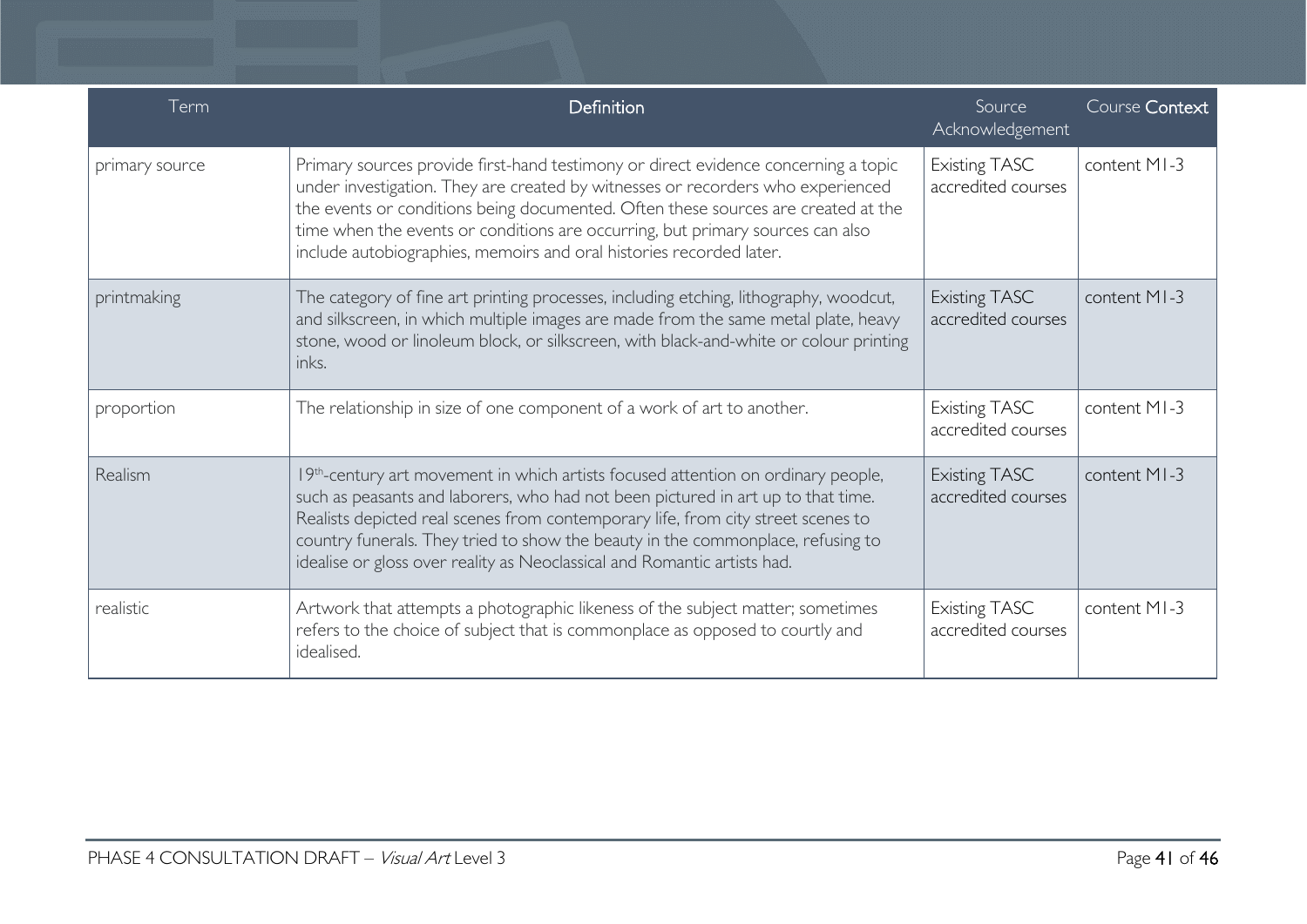| Term           | Definition                                                                                                                                                                                                                                                                                                                                                                                                                           | Source<br>Acknowledgement                  | Course Context |
|----------------|--------------------------------------------------------------------------------------------------------------------------------------------------------------------------------------------------------------------------------------------------------------------------------------------------------------------------------------------------------------------------------------------------------------------------------------|--------------------------------------------|----------------|
| primary source | Primary sources provide first-hand testimony or direct evidence concerning a topic<br>under investigation. They are created by witnesses or recorders who experienced<br>the events or conditions being documented. Often these sources are created at the<br>time when the events or conditions are occurring, but primary sources can also<br>include autobiographies, memoirs and oral histories recorded later.                  | <b>Existing TASC</b><br>accredited courses | content MI-3   |
| printmaking    | The category of fine art printing processes, including etching, lithography, woodcut,<br>and silkscreen, in which multiple images are made from the same metal plate, heavy<br>stone, wood or linoleum block, or silkscreen, with black-and-white or colour printing<br>inks.                                                                                                                                                        | <b>Existing TASC</b><br>accredited courses | content MI-3   |
| proportion     | The relationship in size of one component of a work of art to another.                                                                                                                                                                                                                                                                                                                                                               | <b>Existing TASC</b><br>accredited courses | content MI-3   |
| Realism        | 19 <sup>th</sup> -century art movement in which artists focused attention on ordinary people,<br>such as peasants and laborers, who had not been pictured in art up to that time.<br>Realists depicted real scenes from contemporary life, from city street scenes to<br>country funerals. They tried to show the beauty in the commonplace, refusing to<br>idealise or gloss over reality as Neoclassical and Romantic artists had. | <b>Existing TASC</b><br>accredited courses | content MI-3   |
| realistic      | Artwork that attempts a photographic likeness of the subject matter; sometimes<br>refers to the choice of subject that is commonplace as opposed to courtly and<br>idealised.                                                                                                                                                                                                                                                        | <b>Existing TASC</b><br>accredited courses | content MI-3   |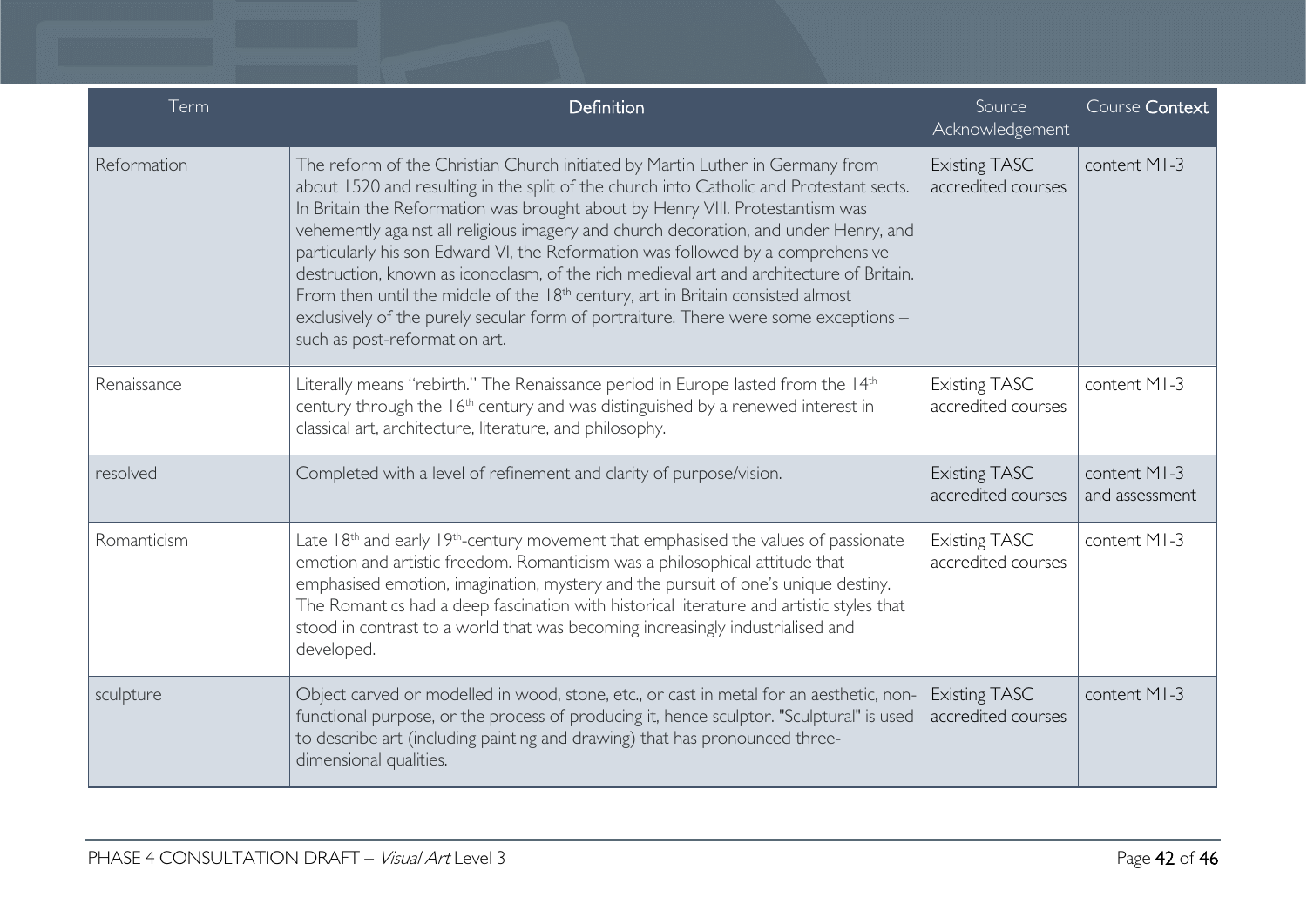| Term        | Definition                                                                                                                                                                                                                                                                                                                                                                                                                                                                                                                                                                                                                                                                                                                                             | Source<br>Acknowledgement                  | Course Context                 |
|-------------|--------------------------------------------------------------------------------------------------------------------------------------------------------------------------------------------------------------------------------------------------------------------------------------------------------------------------------------------------------------------------------------------------------------------------------------------------------------------------------------------------------------------------------------------------------------------------------------------------------------------------------------------------------------------------------------------------------------------------------------------------------|--------------------------------------------|--------------------------------|
| Reformation | The reform of the Christian Church initiated by Martin Luther in Germany from<br>about 1520 and resulting in the split of the church into Catholic and Protestant sects.<br>In Britain the Reformation was brought about by Henry VIII. Protestantism was<br>vehemently against all religious imagery and church decoration, and under Henry, and<br>particularly his son Edward VI, the Reformation was followed by a comprehensive<br>destruction, known as iconoclasm, of the rich medieval art and architecture of Britain.<br>From then until the middle of the 18 <sup>th</sup> century, art in Britain consisted almost<br>exclusively of the purely secular form of portraiture. There were some exceptions -<br>such as post-reformation art. | <b>Existing TASC</b><br>accredited courses | content MI-3                   |
| Renaissance | Literally means "rebirth." The Renaissance period in Europe lasted from the 14th<br>century through the 16 <sup>th</sup> century and was distinguished by a renewed interest in<br>classical art, architecture, literature, and philosophy.                                                                                                                                                                                                                                                                                                                                                                                                                                                                                                            | <b>Existing TASC</b><br>accredited courses | content MI-3                   |
| resolved    | Completed with a level of refinement and clarity of purpose/vision.                                                                                                                                                                                                                                                                                                                                                                                                                                                                                                                                                                                                                                                                                    | <b>Existing TASC</b><br>accredited courses | content MI-3<br>and assessment |
| Romanticism | Late $18th$ and early $19th$ -century movement that emphasised the values of passionate<br>emotion and artistic freedom. Romanticism was a philosophical attitude that<br>emphasised emotion, imagination, mystery and the pursuit of one's unique destiny.<br>The Romantics had a deep fascination with historical literature and artistic styles that<br>stood in contrast to a world that was becoming increasingly industrialised and<br>developed.                                                                                                                                                                                                                                                                                                | <b>Existing TASC</b><br>accredited courses | content MI-3                   |
| sculpture   | Object carved or modelled in wood, stone, etc., or cast in metal for an aesthetic, non-<br>functional purpose, or the process of producing it, hence sculptor. "Sculptural" is used<br>to describe art (including painting and drawing) that has pronounced three-<br>dimensional qualities.                                                                                                                                                                                                                                                                                                                                                                                                                                                           | <b>Existing TASC</b><br>accredited courses | content MI-3                   |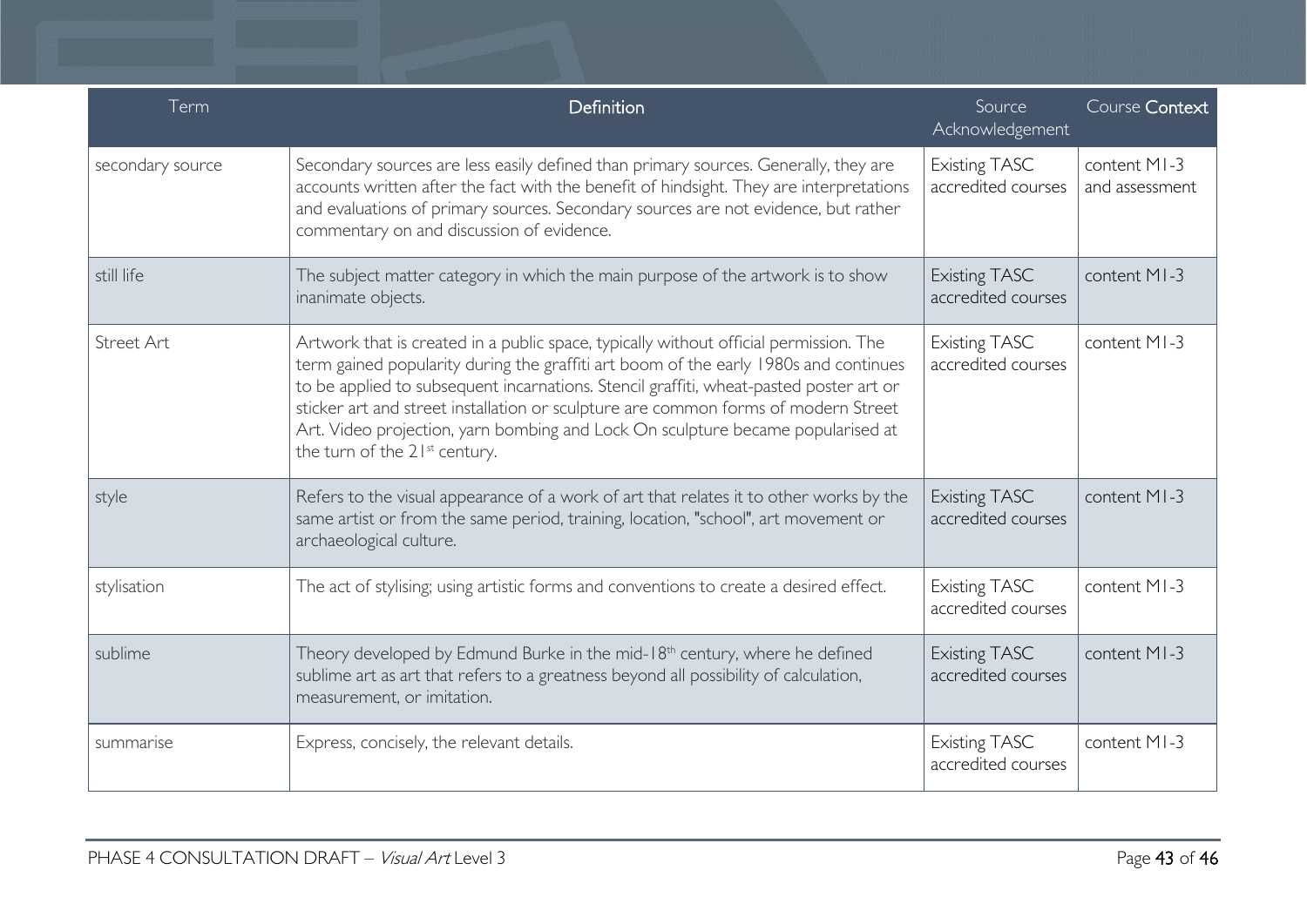| Term             | Definition                                                                                                                                                                                                                                                                                                                                                                                                                                                                                    | Source<br>Acknowledgement                  | Course Context                 |
|------------------|-----------------------------------------------------------------------------------------------------------------------------------------------------------------------------------------------------------------------------------------------------------------------------------------------------------------------------------------------------------------------------------------------------------------------------------------------------------------------------------------------|--------------------------------------------|--------------------------------|
| secondary source | Secondary sources are less easily defined than primary sources. Generally, they are<br>accounts written after the fact with the benefit of hindsight. They are interpretations<br>and evaluations of primary sources. Secondary sources are not evidence, but rather<br>commentary on and discussion of evidence.                                                                                                                                                                             | <b>Existing TASC</b><br>accredited courses | content MI-3<br>and assessment |
| still life       | The subject matter category in which the main purpose of the artwork is to show<br>inanimate objects.                                                                                                                                                                                                                                                                                                                                                                                         | <b>Existing TASC</b><br>accredited courses | content MI-3                   |
| Street Art       | Artwork that is created in a public space, typically without official permission. The<br>term gained popularity during the graffiti art boom of the early 1980s and continues<br>to be applied to subsequent incarnations. Stencil graffiti, wheat-pasted poster art or<br>sticker art and street installation or sculpture are common forms of modern Street<br>Art. Video projection, yarn bombing and Lock On sculpture became popularised at<br>the turn of the 21 <sup>st</sup> century. | <b>Existing TASC</b><br>accredited courses | content MI-3                   |
| style            | Refers to the visual appearance of a work of art that relates it to other works by the<br>same artist or from the same period, training, location, "school", art movement or<br>archaeological culture.                                                                                                                                                                                                                                                                                       | <b>Existing TASC</b><br>accredited courses | content MI-3                   |
| stylisation      | The act of stylising; using artistic forms and conventions to create a desired effect.                                                                                                                                                                                                                                                                                                                                                                                                        | <b>Existing TASC</b><br>accredited courses | content MI-3                   |
| sublime          | Theory developed by Edmund Burke in the mid-18 <sup>th</sup> century, where he defined<br>sublime art as art that refers to a greatness beyond all possibility of calculation,<br>measurement, or imitation.                                                                                                                                                                                                                                                                                  | <b>Existing TASC</b><br>accredited courses | content MI-3                   |
| summarise        | Express, concisely, the relevant details.                                                                                                                                                                                                                                                                                                                                                                                                                                                     | <b>Existing TASC</b><br>accredited courses | content MI-3                   |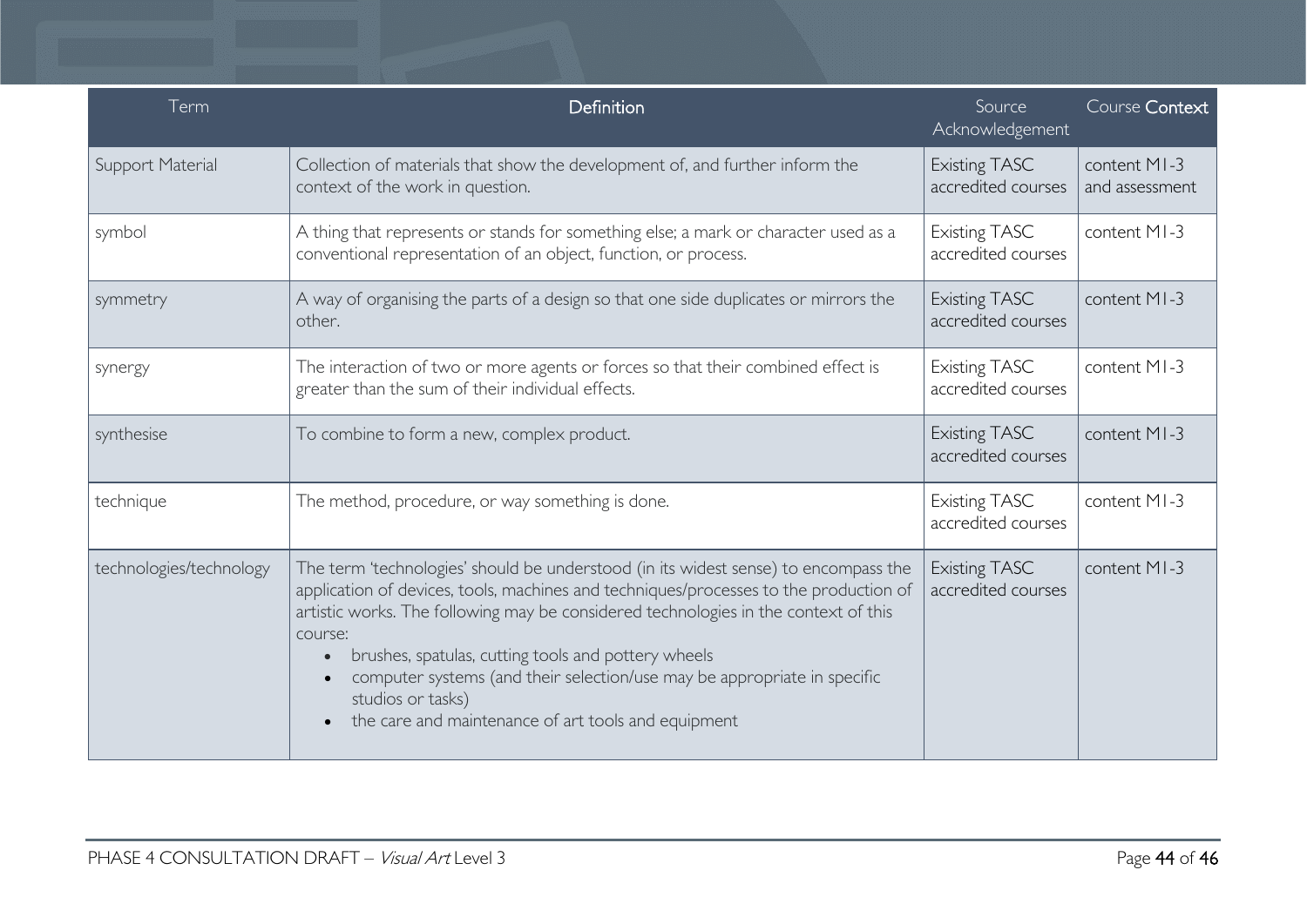| Term                    | Definition                                                                                                                                                                                                                                                                                                                                                                                                                                                                                    | Source<br>Acknowledgement                  | Course Context                 |
|-------------------------|-----------------------------------------------------------------------------------------------------------------------------------------------------------------------------------------------------------------------------------------------------------------------------------------------------------------------------------------------------------------------------------------------------------------------------------------------------------------------------------------------|--------------------------------------------|--------------------------------|
| Support Material        | Collection of materials that show the development of, and further inform the<br>context of the work in question.                                                                                                                                                                                                                                                                                                                                                                              | <b>Existing TASC</b><br>accredited courses | content MI-3<br>and assessment |
| symbol                  | A thing that represents or stands for something else; a mark or character used as a<br>conventional representation of an object, function, or process.                                                                                                                                                                                                                                                                                                                                        | <b>Existing TASC</b><br>accredited courses | content MI-3                   |
| symmetry                | A way of organising the parts of a design so that one side duplicates or mirrors the<br>other.                                                                                                                                                                                                                                                                                                                                                                                                | <b>Existing TASC</b><br>accredited courses | content MI-3                   |
| synergy                 | The interaction of two or more agents or forces so that their combined effect is<br>greater than the sum of their individual effects.                                                                                                                                                                                                                                                                                                                                                         | <b>Existing TASC</b><br>accredited courses | content MI-3                   |
| synthesise              | To combine to form a new, complex product.                                                                                                                                                                                                                                                                                                                                                                                                                                                    | <b>Existing TASC</b><br>accredited courses | content MI-3                   |
| technique               | The method, procedure, or way something is done.                                                                                                                                                                                                                                                                                                                                                                                                                                              | <b>Existing TASC</b><br>accredited courses | content MI-3                   |
| technologies/technology | The term 'technologies' should be understood (in its widest sense) to encompass the<br>application of devices, tools, machines and techniques/processes to the production of<br>artistic works. The following may be considered technologies in the context of this<br>course:<br>brushes, spatulas, cutting tools and pottery wheels<br>computer systems (and their selection/use may be appropriate in specific<br>studios or tasks)<br>the care and maintenance of art tools and equipment | <b>Existing TASC</b><br>accredited courses | content MI-3                   |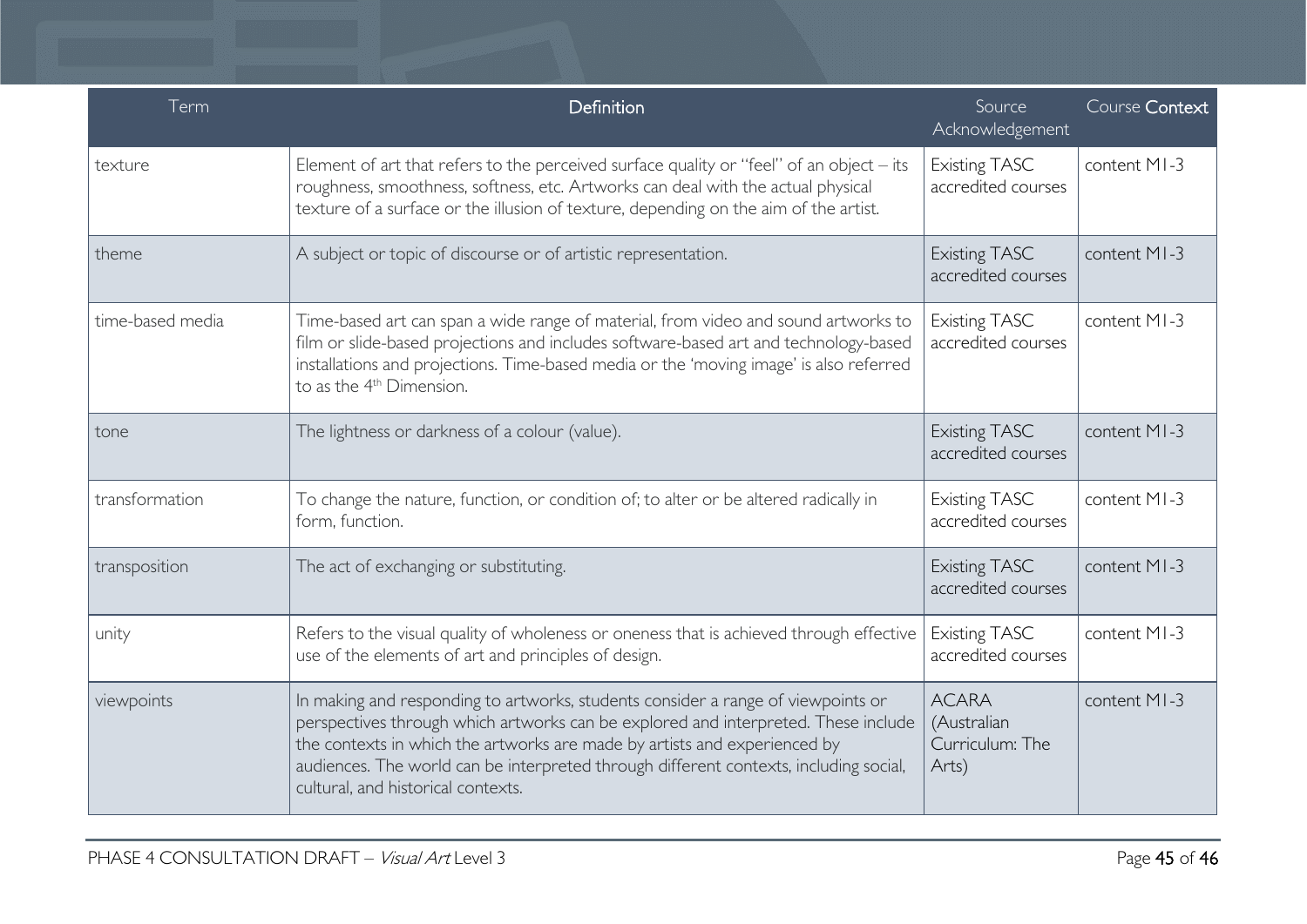| Term             | Definition                                                                                                                                                                                                                                                                                                                                                                         | Source<br>Acknowledgement                               | Course Context |
|------------------|------------------------------------------------------------------------------------------------------------------------------------------------------------------------------------------------------------------------------------------------------------------------------------------------------------------------------------------------------------------------------------|---------------------------------------------------------|----------------|
| texture          | Element of art that refers to the perceived surface quality or "feel" of an object - its<br>roughness, smoothness, softness, etc. Artworks can deal with the actual physical<br>texture of a surface or the illusion of texture, depending on the aim of the artist.                                                                                                               | <b>Existing TASC</b><br>accredited courses              | content MI-3   |
| theme            | A subject or topic of discourse or of artistic representation.                                                                                                                                                                                                                                                                                                                     | <b>Existing TASC</b><br>accredited courses              | content MI-3   |
| time-based media | Time-based art can span a wide range of material, from video and sound artworks to<br>film or slide-based projections and includes software-based art and technology-based<br>installations and projections. Time-based media or the 'moving image' is also referred<br>to as the 4 <sup>th</sup> Dimension.                                                                       | <b>Existing TASC</b><br>accredited courses              | content MI-3   |
| tone             | The lightness or darkness of a colour (value).                                                                                                                                                                                                                                                                                                                                     | <b>Existing TASC</b><br>accredited courses              | content MI-3   |
| transformation   | To change the nature, function, or condition of; to alter or be altered radically in<br>form, function.                                                                                                                                                                                                                                                                            | <b>Existing TASC</b><br>accredited courses              | content MI-3   |
| transposition    | The act of exchanging or substituting.                                                                                                                                                                                                                                                                                                                                             | <b>Existing TASC</b><br>accredited courses              | content MI-3   |
| unity            | Refers to the visual quality of wholeness or oneness that is achieved through effective<br>use of the elements of art and principles of design.                                                                                                                                                                                                                                    | <b>Existing TASC</b><br>accredited courses              | content MI-3   |
| viewpoints       | In making and responding to artworks, students consider a range of viewpoints or<br>perspectives through which artworks can be explored and interpreted. These include<br>the contexts in which the artworks are made by artists and experienced by<br>audiences. The world can be interpreted through different contexts, including social,<br>cultural, and historical contexts. | <b>ACARA</b><br>(Australian<br>Curriculum: The<br>Arts) | content MI-3   |